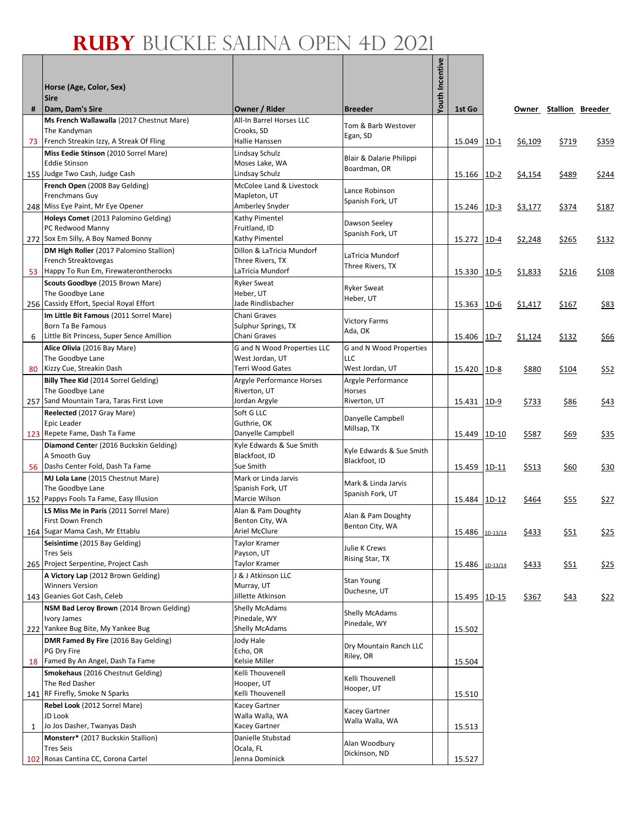Г

|    |                                                                                     |                                               |                                     | Youth Incentive |                 |         |         |                        |       |
|----|-------------------------------------------------------------------------------------|-----------------------------------------------|-------------------------------------|-----------------|-----------------|---------|---------|------------------------|-------|
|    | Horse (Age, Color, Sex)                                                             |                                               |                                     |                 |                 |         |         |                        |       |
| #  | <b>Sire</b><br>Dam, Dam's Sire                                                      | Owner / Rider                                 | <b>Breeder</b>                      |                 | 1st Go          |         |         | Owner Stallion Breeder |       |
|    | Ms French Wallawalla (2017 Chestnut Mare)                                           | All-In Barrel Horses LLC                      | Tom & Barb Westover                 |                 |                 |         |         |                        |       |
|    | The Kandyman                                                                        | Crooks, SD                                    | Egan, SD                            |                 |                 |         |         |                        |       |
|    | 73 French Streakin Izzy, A Streak Of Fling<br>Miss Eedie Stinson (2010 Sorrel Mare) | Hallie Hanssen<br>Lindsay Schulz              |                                     |                 | 15.049          | $1D-1$  | \$6,109 | \$719                  | \$359 |
|    | <b>Eddie Stinson</b>                                                                | Moses Lake, WA                                | Blair & Dalarie Philippi            |                 |                 |         |         |                        |       |
|    | 155 Judge Two Cash, Judge Cash                                                      | Lindsay Schulz                                | Boardman, OR                        |                 | 15.166          | $1D-2$  | \$4,154 | \$489                  | \$244 |
|    | French Open (2008 Bay Gelding)                                                      | McColee Land & Livestock                      | Lance Robinson                      |                 |                 |         |         |                        |       |
|    | Frenchmans Guy<br>248 Miss Eye Paint, Mr Eye Opener                                 | Mapleton, UT<br>Amberley Snyder               | Spanish Fork, UT                    |                 | 15.246 1D-3     |         | \$3,177 | \$374                  | \$187 |
|    | Holeys Comet (2013 Palomino Gelding)                                                | Kathy Pimentel                                |                                     |                 |                 |         |         |                        |       |
|    | PC Redwood Manny                                                                    | Fruitland, ID                                 | Dawson Seeley<br>Spanish Fork, UT   |                 |                 |         |         |                        |       |
|    | 272 Sox Em Silly, A Boy Named Bonny                                                 | Kathy Pimentel                                |                                     |                 | 15.272 1D-4     |         | \$2,248 | \$265                  | \$132 |
|    | DM High Roller (2017 Palomino Stallion)<br>French Streaktovegas                     | Dillon & LaTricia Mundorf<br>Three Rivers, TX | LaTricia Mundorf                    |                 |                 |         |         |                        |       |
|    | 53 Happy To Run Em, Firewaterontherocks                                             | LaTricia Mundorf                              | Three Rivers, TX                    |                 | 15.330          | $1D-5$  | \$1,833 | \$216                  | \$108 |
|    | Scouts Goodbye (2015 Brown Mare)                                                    | <b>Ryker Sweat</b>                            | <b>Ryker Sweat</b>                  |                 |                 |         |         |                        |       |
|    | The Goodbye Lane                                                                    | Heber, UT                                     | Heber, UT                           |                 |                 |         |         |                        |       |
|    | 256 Cassidy Effort, Special Royal Effort<br>Im Little Bit Famous (2011 Sorrel Mare) | Jade Rindlisbacher<br>Chani Graves            |                                     |                 | 15.363 1D-6     |         | \$1,417 | \$167                  | \$83  |
|    | Born Ta Be Famous                                                                   | Sulphur Springs, TX                           | <b>Victory Farms</b>                |                 |                 |         |         |                        |       |
| 6  | Little Bit Princess, Super Sence Amillion                                           | Chani Graves                                  | Ada, OK                             |                 | 15.406          | $1D-7$  | \$1,124 | \$132                  | \$66  |
|    | Alice Olivia (2016 Bay Mare)                                                        | <b>G</b> and N Wood Properties LLC            | <b>G</b> and N Wood Properties      |                 |                 |         |         |                        |       |
| 80 | The Goodbye Lane<br>Kizzy Cue, Streakin Dash                                        | West Jordan, UT<br>Terri Wood Gates           | LLC<br>West Jordan, UT              |                 | 15.420 1D-8     |         | \$880   | \$104                  | \$52  |
|    | Billy Thee Kid (2014 Sorrel Gelding)                                                | Argyle Performance Horses                     | Argyle Performance                  |                 |                 |         |         |                        |       |
|    | The Goodbye Lane                                                                    | Riverton, UT                                  | Horses                              |                 |                 |         |         |                        |       |
|    | 257 Sand Mountain Tara, Taras First Love                                            | Jordan Argyle                                 | Riverton, UT                        |                 | 15.431 1D-9     |         | \$733   | \$86                   | \$43  |
|    | Reelected (2017 Gray Mare)<br>Epic Leader                                           | Soft G LLC<br>Guthrie, OK                     | Danyelle Campbell                   |                 |                 |         |         |                        |       |
|    | 123 Repete Fame, Dash Ta Fame                                                       | Danyelle Campbell                             | Millsap, TX                         |                 | 15.449 1D-10    |         | \$587   | \$69                   | 535   |
|    | Diamond Center (2016 Buckskin Gelding)                                              | Kyle Edwards & Sue Smith                      | Kyle Edwards & Sue Smith            |                 |                 |         |         |                        |       |
|    | A Smooth Guy                                                                        | Blackfoot, ID                                 | Blackfoot, ID                       |                 |                 |         |         |                        |       |
| 56 | Dashs Center Fold, Dash Ta Fame<br>MJ Lola Lane (2015 Chestnut Mare)                | Sue Smith<br>Mark or Linda Jarvis             |                                     |                 | 15.459          | $1D-11$ | \$513   | \$60                   | \$30  |
|    | The Goodbye Lane                                                                    | Spanish Fork, UT                              | Mark & Linda Jarvis                 |                 |                 |         |         |                        |       |
|    | 152 Pappys Fools Ta Fame, Easy Illusion                                             | Marcie Wilson                                 | Spanish Fork, UT                    |                 | 15.484 1D-12    |         | \$464   | \$55                   | \$27  |
|    | LS Miss Me in Paris (2011 Sorrel Mare)                                              | Alan & Pam Doughty                            | Alan & Pam Doughty                  |                 |                 |         |         |                        |       |
|    | First Down French<br>164 Sugar Mama Cash, Mr Ettablu                                | Benton City, WA<br>Ariel McClure              | Benton City, WA                     |                 | 15.486 1D-13/14 |         | \$433   | \$51                   | \$25  |
|    | Seisintime (2015 Bay Gelding)                                                       | Taylor Kramer                                 |                                     |                 |                 |         |         |                        |       |
|    | <b>Tres Seis</b>                                                                    | Payson, UT                                    | Julie K Crews<br>Rising Star, TX    |                 |                 |         |         |                        |       |
|    | 265 Project Serpentine, Project Cash                                                | Taylor Kramer                                 |                                     |                 | 15.486 1D-13/14 |         | \$433   | 551                    | \$25  |
|    | A Victory Lap (2012 Brown Gelding)<br><b>Winners Version</b>                        | J & J Atkinson LLC<br>Murray, UT              | Stan Young                          |                 |                 |         |         |                        |       |
|    | 143 Geanies Got Cash, Celeb                                                         | Jillette Atkinson                             | Duchesne, UT                        |                 | 15.495 1D-15    |         | \$367   | \$43                   | \$22  |
|    | NSM Bad Leroy Brown (2014 Brown Gelding)                                            | <b>Shelly McAdams</b>                         | Shelly McAdams                      |                 |                 |         |         |                        |       |
|    | Ivory James<br>222 Yankee Bug Bite, My Yankee Bug                                   | Pinedale, WY<br><b>Shelly McAdams</b>         | Pinedale, WY                        |                 |                 |         |         |                        |       |
|    | DMR Famed By Fire (2016 Bay Gelding)                                                | Jody Hale                                     |                                     |                 | 15.502          |         |         |                        |       |
|    | PG Dry Fire                                                                         | Echo, OR                                      | Dry Mountain Ranch LLC<br>Riley, OR |                 |                 |         |         |                        |       |
|    | 18 Famed By An Angel, Dash Ta Fame                                                  | Kelsie Miller                                 |                                     |                 | 15.504          |         |         |                        |       |
|    | Smokehaus (2016 Chestnut Gelding)<br>The Red Dasher                                 | Kelli Thouvenell<br>Hooper, UT                | Kelli Thouvenell                    |                 |                 |         |         |                        |       |
|    | 141 RF Firefly, Smoke N Sparks                                                      | Kelli Thouvenell                              | Hooper, UT                          |                 | 15.510          |         |         |                        |       |
|    | Rebel Look (2012 Sorrel Mare)                                                       | Kacey Gartner                                 |                                     |                 |                 |         |         |                        |       |
|    | JD Look                                                                             | Walla Walla, WA                               | Kacey Gartner<br>Walla Walla, WA    |                 |                 |         |         |                        |       |
| 1  | Jo Jos Dasher, Twanyas Dash<br>Monsterr* (2017 Buckskin Stallion)                   | Kacey Gartner<br>Danielle Stubstad            |                                     |                 | 15.513          |         |         |                        |       |
|    | <b>Tres Seis</b>                                                                    | Ocala, FL                                     | Alan Woodbury                       |                 |                 |         |         |                        |       |
|    | 102 Rosas Cantina CC, Corona Cartel                                                 | Jenna Dominick                                | Dickinson, ND                       |                 | 15.527          |         |         |                        |       |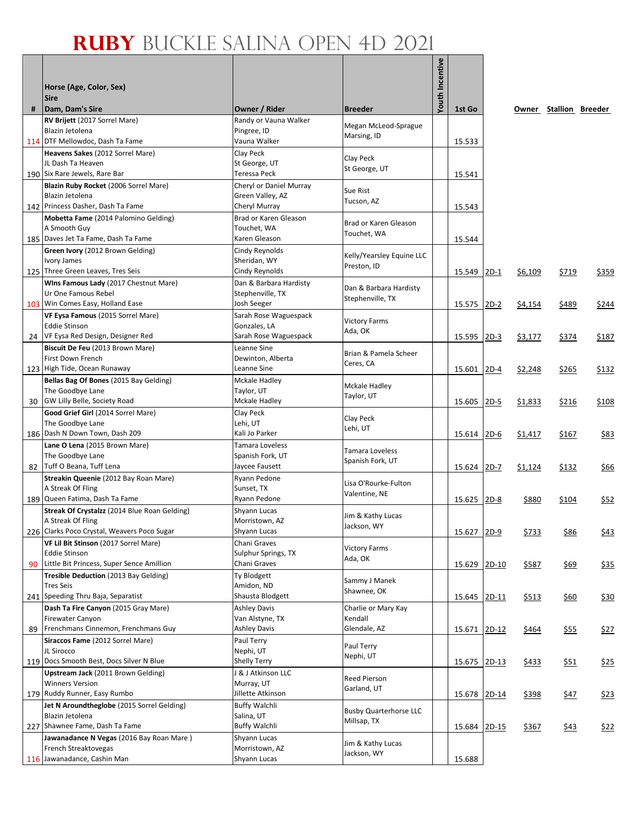|    |                                                                |                                        |                               | Youth Incentive |              |         |              |             |                        |
|----|----------------------------------------------------------------|----------------------------------------|-------------------------------|-----------------|--------------|---------|--------------|-------------|------------------------|
|    | Horse (Age, Color, Sex)                                        |                                        |                               |                 |              |         |              |             |                        |
|    | <b>Sire</b>                                                    |                                        |                               |                 |              |         |              |             |                        |
| #  | Dam, Dam's Sire<br>RV Brijett (2017 Sorrel Mare)               | Owner / Rider<br>Randy or Vauna Walker | <b>Breeder</b>                |                 | 1st Go       |         |              |             | Owner Stallion Breeder |
|    | Blazin Jetolena                                                | Pingree, ID                            | Megan McLeod-Sprague          |                 |              |         |              |             |                        |
|    | 114 DTF Mellowdoc, Dash Ta Fame                                | Vauna Walker                           | Marsing, ID                   |                 | 15.533       |         |              |             |                        |
|    | Heavens Sakes (2012 Sorrel Mare)                               | Clay Peck                              | Clay Peck                     |                 |              |         |              |             |                        |
|    | JL Dash Ta Heaven<br>190 Six Rare Jewels, Rare Bar             | St George, UT<br>Teressa Peck          | St George, UT                 |                 |              |         |              |             |                        |
|    | Blazin Ruby Rocket (2006 Sorrel Mare)                          | Cheryl or Daniel Murray                |                               |                 | 15.541       |         |              |             |                        |
|    | Blazin Jetolena                                                | Green Valley, AZ                       | Sue Rist                      |                 |              |         |              |             |                        |
|    | 142 Princess Dasher, Dash Ta Fame                              | Cheryl Murray                          | Tucson, AZ                    |                 | 15.543       |         |              |             |                        |
|    | Mobetta Fame (2014 Palomino Gelding)                           | Brad or Karen Gleason                  | Brad or Karen Gleason         |                 |              |         |              |             |                        |
|    | A Smooth Guy                                                   | Touchet, WA                            | Touchet, WA                   |                 |              |         |              |             |                        |
|    | 185 Daves Jet Ta Fame, Dash Ta Fame                            | Karen Gleason                          |                               |                 | 15.544       |         |              |             |                        |
|    | Green Ivory (2012 Brown Gelding)                               | Cindy Reynolds                         | Kelly/Yearsley Equine LLC     |                 |              |         |              |             |                        |
|    | Ivory James<br>125 Three Green Leaves, Tres Seis               | Sheridan, WY<br>Cindy Reynolds         | Preston, ID                   |                 | 15.549 2D-1  |         | \$6,109      | \$719       | \$359                  |
|    | Wins Famous Lady (2017 Chestnut Mare)                          | Dan & Barbara Hardisty                 |                               |                 |              |         |              |             |                        |
|    | Ur One Famous Rebel                                            | Stephenville, TX                       | Dan & Barbara Hardisty        |                 |              |         |              |             |                        |
|    | 103 Win Comes Easy, Holland Ease                               | Josh Seeger                            | Stephenville, TX              |                 | 15.575 2D-2  |         | \$4,154      | \$489       | \$244                  |
|    | VF Eysa Famous (2015 Sorrel Mare)                              | Sarah Rose Waguespack                  | <b>Victory Farms</b>          |                 |              |         |              |             |                        |
|    | <b>Eddie Stinson</b>                                           | Gonzales, LA                           | Ada, OK                       |                 |              |         |              |             |                        |
| 24 | VF Eysa Red Design, Designer Red                               | Sarah Rose Waguespack                  |                               |                 | 15.595       | $2D-3$  | \$3,177      | \$374       | \$187                  |
|    | Biscuit De Feu (2013 Brown Mare)                               | Leanne Sine                            | Brian & Pamela Scheer         |                 |              |         |              |             |                        |
|    | First Down French<br>123 High Tide, Ocean Runaway              | Dewinton, Alberta<br>Leanne Sine       | Ceres, CA                     |                 | 15.601 2D-4  |         |              |             | \$132                  |
|    | Bellas Bag Of Bones (2015 Bay Gelding)                         | <b>Mckale Hadley</b>                   |                               |                 |              |         | \$2,248      | \$265       |                        |
|    | The Goodbye Lane                                               | Taylor, UT                             | Mckale Hadley                 |                 |              |         |              |             |                        |
|    | 30 GW Lilly Belle, Society Road                                | Mckale Hadley                          | Taylor, UT                    |                 | 15.605       | $2D-5$  | \$1,833      | \$216       | \$108                  |
|    | Good Grief Girl (2014 Sorrel Mare)                             | Clay Peck                              | Clay Peck                     |                 |              |         |              |             |                        |
|    | The Goodbye Lane                                               | Lehi, UT                               | Lehi, UT                      |                 |              |         |              |             |                        |
|    | 186 Dash N Down Town, Dash 209                                 | Kali Jo Parker                         |                               |                 | 15.614 2D-6  |         | \$1,417      | \$167       | \$83                   |
|    | Lane O Lena (2015 Brown Mare)<br>The Goodbye Lane              | Tamara Loveless<br>Spanish Fork, UT    | <b>Tamara Loveless</b>        |                 |              |         |              |             |                        |
|    | 82   Tuff O Beana, Tuff Lena                                   | Jaycee Fausett                         | Spanish Fork, UT              |                 | 15.624 2D-7  |         | \$1,124      | \$132       | <u>\$66</u>            |
|    | Streakin Queenie (2012 Bay Roan Mare)                          | Ryann Pedone                           |                               |                 |              |         |              |             |                        |
|    | A Streak Of Fling                                              | Sunset, TX                             | Lisa O'Rourke-Fulton          |                 |              |         |              |             |                        |
|    | 189 Queen Fatima, Dash Ta Fame                                 | Ryann Pedone                           | Valentine, NE                 |                 | 15.625       | $2D-8$  | \$880        | \$104       | \$52                   |
|    | Streak Of Crystalzz (2014 Blue Roan Gelding)                   | Shyann Lucas                           | Jim & Kathy Lucas             |                 |              |         |              |             |                        |
|    | A Streak Of Fling                                              | Morristown, AZ                         | Jackson, WY                   |                 |              |         |              |             |                        |
|    | 226 Clarks Poco Crystal, Weavers Poco Sugar                    | Shyann Lucas<br>Chani Graves           |                               |                 | 15.627 2D-9  |         | \$733        | \$86        | \$43                   |
|    | VF Lil Bit Stinson (2017 Sorrel Mare)<br><b>Eddie Stinson</b>  | Sulphur Springs, TX                    | <b>Victory Farms</b>          |                 |              |         |              |             |                        |
| 90 | Little Bit Princess, Super Sence Amillion                      | Chani Graves                           | Ada, OK                       |                 | 15.629       | $2D-10$ | \$587        | \$69        | \$35                   |
|    | Tresible Deduction (2013 Bay Gelding)                          | Ty Blodgett                            |                               |                 |              |         |              |             |                        |
|    | Tres Seis                                                      | Amidon, ND                             | Sammy J Manek<br>Shawnee, OK  |                 |              |         |              |             |                        |
|    | 241 Speeding Thru Baja, Separatist                             | Shausta Blodgett                       |                               |                 | 15.645 2D-11 |         | <u>\$513</u> | <u>\$60</u> | \$30                   |
|    | Dash Ta Fire Canyon (2015 Gray Mare)                           | <b>Ashley Davis</b>                    | Charlie or Mary Kay           |                 |              |         |              |             |                        |
|    | <b>Firewater Canyon</b><br>Frenchmans Cinnemon, Frenchmans Guy | Van Alstyne, TX<br><b>Ashley Davis</b> | Kendall<br>Glendale, AZ       |                 |              |         |              |             |                        |
| 89 | Siraccos Fame (2012 Sorrel Mare)                               | Paul Terry                             |                               |                 | 15.671 2D-12 |         | \$464        | <u>\$55</u> | \$27                   |
|    | JL Sirocco                                                     | Nephi, UT                              | Paul Terry                    |                 |              |         |              |             |                        |
|    | 119 Docs Smooth Best, Docs Silver N Blue                       | Shelly Terry                           | Nephi, UT                     |                 | 15.675 2D-13 |         | \$433        | \$51        | \$25                   |
|    | Upstream Jack (2011 Brown Gelding)                             | J & J Atkinson LLC                     | Reed Pierson                  |                 |              |         |              |             |                        |
|    | <b>Winners Version</b>                                         | Murray, UT                             | Garland, UT                   |                 |              |         |              |             |                        |
|    | 179 Ruddy Runner, Easy Rumbo                                   | Jillette Atkinson                      |                               |                 | 15.678 2D-14 |         | \$398        | \$47        | \$23                   |
|    | Jet N Aroundtheglobe (2015 Sorrel Gelding)                     | <b>Buffy Walchli</b>                   | <b>Busby Quarterhorse LLC</b> |                 |              |         |              |             |                        |
|    | Blazin Jetolena<br>227 Shawnee Fame, Dash Ta Fame              | Salina, UT<br><b>Buffy Walchli</b>     | Millsap, TX                   |                 | 15.684 2D-15 |         | \$367        |             | \$22                   |
|    | Jawanadance N Vegas (2016 Bay Roan Mare)                       | Shyann Lucas                           |                               |                 |              |         |              | <u>\$43</u> |                        |
|    | French Streaktovegas                                           | Morristown, AZ                         | Jim & Kathy Lucas             |                 |              |         |              |             |                        |
|    | 116 Jawanadance, Cashin Man                                    | Shyann Lucas                           | Jackson, WY                   |                 | 15.688       |         |              |             |                        |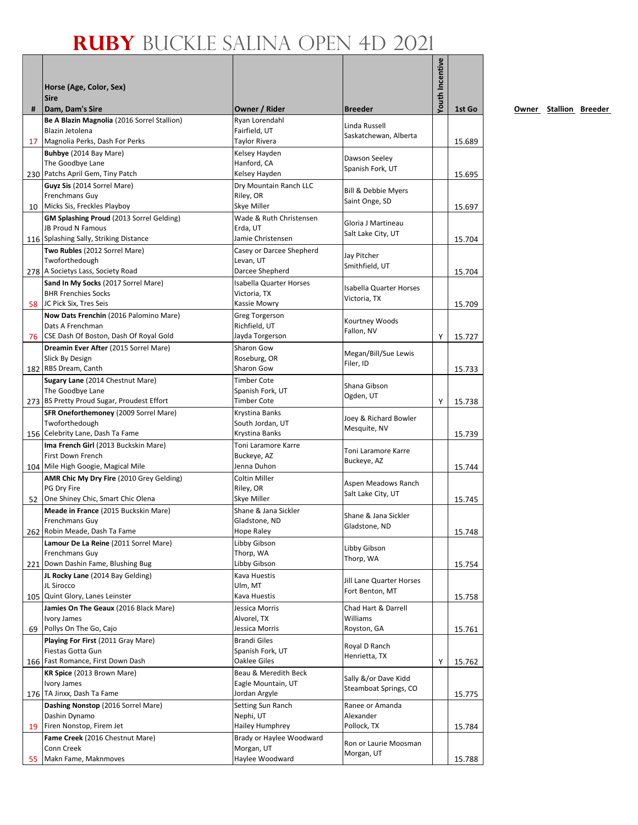|    | Horse (Age, Color, Sex)<br><b>Sire</b>                                                                         |                                                           |                                          | Youth Incentive |        |
|----|----------------------------------------------------------------------------------------------------------------|-----------------------------------------------------------|------------------------------------------|-----------------|--------|
| #  | Dam, Dam's Sire                                                                                                | Owner / Rider                                             | <b>Breeder</b>                           |                 | 1st Go |
|    | Be A Blazin Magnolia (2016 Sorrel Stallion)<br>Blazin Jetolena                                                 | Ryan Lorendahl<br>Fairfield, UT                           | Linda Russell<br>Saskatchewan, Alberta   |                 |        |
|    | 17 Magnolia Perks, Dash For Perks                                                                              | Taylor Rivera                                             |                                          |                 | 15.689 |
|    | Buhbye (2014 Bay Mare)<br>The Goodbye Lane                                                                     | Kelsey Hayden<br>Hanford, CA                              | Dawson Seeley<br>Spanish Fork, UT        |                 |        |
|    | 230 Patchs April Gem, Tiny Patch                                                                               | Kelsey Hayden                                             |                                          |                 | 15.695 |
| 10 | Guyz Sis (2014 Sorrel Mare)<br>Frenchmans Guy<br>Micks Sis, Freckles Playboy                                   | Dry Mountain Ranch LLC<br>Riley, OR<br>Skye Miller        | Bill & Debbie Myers<br>Saint Onge, SD    |                 | 15.697 |
|    | GM Splashing Proud (2013 Sorrel Gelding)<br><b>JB Proud N Famous</b><br>116 Splashing Sally, Striking Distance | Wade & Ruth Christensen<br>Erda, UT<br>Jamie Christensen  | Gloria J Martineau<br>Salt Lake City, UT |                 |        |
|    | Two Rubles (2012 Sorrel Mare)                                                                                  | Casey or Darcee Shepherd                                  |                                          |                 | 15.704 |
|    | Twoforthedough                                                                                                 | Levan, UT                                                 | Jay Pitcher                              |                 |        |
|    | 278 A Societys Lass, Society Road                                                                              | Darcee Shepherd                                           | Smithfield, UT                           |                 | 15.704 |
|    | Sand In My Socks (2017 Sorrel Mare)                                                                            | <b>Isabella Quarter Horses</b>                            | <b>Isabella Quarter Horses</b>           |                 |        |
|    | <b>BHR Frenchies Socks</b>                                                                                     | Victoria, TX                                              | Victoria, TX                             |                 |        |
|    | 58 JC Pick Six, Tres Seis                                                                                      | Kassie Mowry                                              |                                          |                 | 15.709 |
|    | Now Dats Frenchin (2016 Palomino Mare)<br>Dats A Frenchman<br>76 CSE Dash Of Boston, Dash Of Royal Gold        | <b>Greg Torgerson</b><br>Richfield, UT<br>Jayda Torgerson | Kourtney Woods<br>Fallon, NV             | Y               | 15.727 |
|    | Dreamin Ever After (2015 Sorrel Mare)                                                                          | Sharon Gow                                                |                                          |                 |        |
|    | Slick By Design                                                                                                | Roseburg, OR                                              | Megan/Bill/Sue Lewis                     |                 |        |
|    | 182 RBS Dream, Canth                                                                                           | <b>Sharon Gow</b>                                         | Filer, ID                                |                 | 15.733 |
|    | Sugary Lane (2014 Chestnut Mare)                                                                               | <b>Timber Cote</b>                                        | Shana Gibson                             |                 |        |
|    | The Goodbye Lane                                                                                               | Spanish Fork, UT                                          | Ogden, UT                                |                 |        |
|    | 273 BS Pretty Proud Sugar, Proudest Effort                                                                     | <b>Timber Cote</b>                                        |                                          | Y               | 15.738 |
|    | SFR Oneforthemoney (2009 Sorrel Mare)<br>Twoforthedough                                                        | Krystina Banks<br>South Jordan, UT                        | Joey & Richard Bowler                    |                 |        |
|    | 156 Celebrity Lane, Dash Ta Fame                                                                               | Krystina Banks                                            | Mesquite, NV                             |                 | 15.739 |
|    | Ima French Girl (2013 Buckskin Mare)                                                                           | Toni Laramore Karre                                       |                                          |                 |        |
|    | First Down French                                                                                              | Buckeye, AZ                                               | Toni Laramore Karre                      |                 |        |
|    | 104 Mile High Googie, Magical Mile                                                                             | Jenna Duhon                                               | Buckeye, AZ                              |                 | 15.744 |
|    | AMR Chic My Dry Fire (2010 Grey Gelding)                                                                       | Coltin Miller                                             | Aspen Meadows Ranch                      |                 |        |
|    | PG Dry Fire                                                                                                    | Riley, OR                                                 | Salt Lake City, UT                       |                 |        |
| 52 | One Shiney Chic, Smart Chic Olena                                                                              | Skye Miller                                               |                                          |                 | 15.745 |
|    | Meade in France (2015 Buckskin Mare)<br><b>Frenchmans Guv</b>                                                  | Shane & Jana Sickler<br>Gladstone, ND                     | Shane & Jana Sickler                     |                 |        |
|    | 262 Robin Meade, Dash Ta Fame                                                                                  | Hope Raley                                                | Gladstone, ND                            |                 | 15.748 |
|    | Lamour De La Reine (2011 Sorrel Mare)                                                                          | Libby Gibson                                              |                                          |                 |        |
|    | Frenchmans Guy                                                                                                 | Thorp, WA                                                 | Libby Gibson<br>Thorp, WA                |                 |        |
|    | 221 Down Dashin Fame, Blushing Bug                                                                             | Libby Gibson                                              |                                          |                 | 15.754 |
|    | JL Rocky Lane (2014 Bay Gelding)                                                                               | Kava Huestis                                              | Jill Lane Quarter Horses                 |                 |        |
|    | JL Sirocco<br>105 Quint Glory, Lanes Leinster                                                                  | Ulm, MT<br>Kava Huestis                                   | Fort Benton, MT                          |                 | 15.758 |
|    | Jamies On The Geaux (2016 Black Mare)                                                                          | Jessica Morris                                            | Chad Hart & Darrell                      |                 |        |
|    | Ivory James                                                                                                    | Alvorel, TX                                               | Williams                                 |                 |        |
|    | 69 Pollys On The Go, Cajo                                                                                      | Jessica Morris                                            | Royston, GA                              |                 | 15.761 |
|    | Playing For First (2011 Gray Mare)                                                                             | <b>Brandi Giles</b>                                       | Royal D Ranch                            |                 |        |
|    | Fiestas Gotta Gun                                                                                              | Spanish Fork, UT                                          | Henrietta, TX                            |                 |        |
|    | 166 Fast Romance, First Down Dash                                                                              | Oaklee Giles                                              |                                          | Υ               | 15.762 |
|    | KR Spice (2013 Brown Mare)<br>Ivory James                                                                      | Beau & Meredith Beck<br>Eagle Mountain, UT                | Sally &/or Dave Kidd                     |                 |        |
|    | 176 TA Jinxx, Dash Ta Fame                                                                                     | Jordan Argyle                                             | Steamboat Springs, CO                    |                 | 15.775 |
|    | Dashing Nonstop (2016 Sorrel Mare)                                                                             | Setting Sun Ranch                                         | Ranee or Amanda                          |                 |        |
|    | Dashin Dynamo                                                                                                  | Nephi, UT                                                 | Alexander                                |                 |        |
|    | 19 Firen Nonstop, Firem Jet                                                                                    | Hailey Humphrey                                           | Pollock, TX                              |                 | 15.784 |
|    | Fame Creek (2016 Chestnut Mare)                                                                                | Brady or Haylee Woodward                                  | Ron or Laurie Moosman                    |                 |        |
|    | Conn Creek                                                                                                     | Morgan, UT                                                | Morgan, UT                               |                 |        |
| 55 | Makn Fame, Maknmoves                                                                                           | Haylee Woodward                                           |                                          |                 | 15.788 |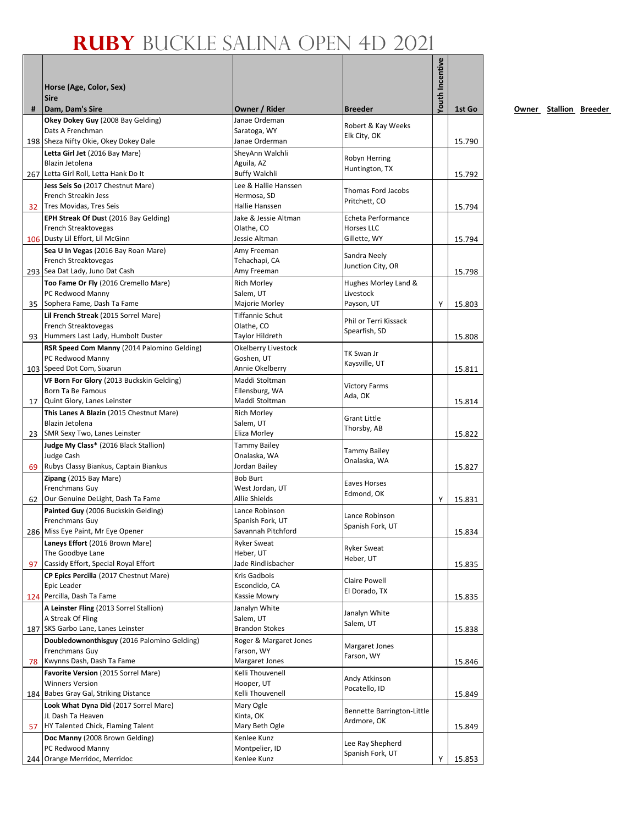|    |                                                                         |                                      |                                     | <b>Youth Incentive</b> |        |
|----|-------------------------------------------------------------------------|--------------------------------------|-------------------------------------|------------------------|--------|
|    | Horse (Age, Color, Sex)                                                 |                                      |                                     |                        |        |
| #  | <b>Sire</b><br>Dam, Dam's Sire                                          | Owner / Rider                        | <b>Breeder</b>                      |                        | 1st Go |
|    | Okey Dokey Guy (2008 Bay Gelding)                                       | Janae Ordeman                        |                                     |                        |        |
|    | Dats A Frenchman                                                        | Saratoga, WY                         | Robert & Kay Weeks<br>Elk City, OK  |                        |        |
|    | 198 Sheza Nifty Okie, Okey Dokey Dale                                   | Janae Orderman                       |                                     |                        | 15.790 |
|    | Letta Girl Jet (2016 Bay Mare)                                          | SheyAnn Walchli                      | Robyn Herring                       |                        |        |
|    | Blazin Jetolena<br>267 Letta Girl Roll, Letta Hank Do It                | Aguila, AZ<br><b>Buffy Walchli</b>   | Huntington, TX                      |                        | 15.792 |
|    | Jess Seis So (2017 Chestnut Mare)                                       | Lee & Hallie Hanssen                 |                                     |                        |        |
|    | French Streakin Jess                                                    | Hermosa, SD                          | <b>Thomas Ford Jacobs</b>           |                        |        |
| 32 | Tres Movidas, Tres Seis                                                 | Hallie Hanssen                       | Pritchett, CO                       |                        | 15.794 |
|    | EPH Streak Of Dust (2016 Bay Gelding)                                   | Jake & Jessie Altman                 | Echeta Performance                  |                        |        |
|    | French Streaktovegas                                                    | Olathe, CO                           | Horses LLC                          |                        |        |
|    | 106 Dusty Lil Effort, Lil McGinn<br>Sea U In Vegas (2016 Bay Roan Mare) | Jessie Altman<br>Amy Freeman         | Gillette, WY                        |                        | 15.794 |
|    | French Streaktovegas                                                    | Tehachapi, CA                        | Sandra Neely                        |                        |        |
|    | 293 Sea Dat Lady, Juno Dat Cash                                         | Amy Freeman                          | Junction City, OR                   |                        | 15.798 |
|    | Too Fame Or Fly (2016 Cremello Mare)                                    | Rich Morley                          | Hughes Morley Land &                |                        |        |
|    | PC Redwood Manny                                                        | Salem, UT                            | Livestock                           |                        |        |
|    | 35 Sophera Fame, Dash Ta Fame                                           | Majorie Morley                       | Payson, UT                          | Y                      | 15.803 |
|    | Lil French Streak (2015 Sorrel Mare)                                    | <b>Tiffannie Schut</b>               | Phil or Terri Kissack               |                        |        |
| 93 | French Streaktovegas<br>Hummers Last Lady, Humbolt Duster               | Olathe, CO<br>Taylor Hildreth        | Spearfish, SD                       |                        | 15.808 |
|    | RSR Speed Com Manny (2014 Palomino Gelding)                             | Okelberry Livestock                  |                                     |                        |        |
|    | PC Redwood Manny                                                        | Goshen, UT                           | TK Swan Jr                          |                        |        |
|    | 103 Speed Dot Com, Sixarun                                              | Annie Okelberry                      | Kaysville, UT                       |                        | 15.811 |
|    | VF Born For Glory (2013 Buckskin Gelding)                               | Maddi Stoltman                       | <b>Victory Farms</b>                |                        |        |
|    | Born Ta Be Famous                                                       | Ellensburg, WA                       | Ada, OK                             |                        |        |
| 17 | Quint Glory, Lanes Leinster                                             | Maddi Stoltman                       |                                     |                        | 15.814 |
|    | This Lanes A Blazin (2015 Chestnut Mare)<br>Blazin Jetolena             | <b>Rich Morley</b><br>Salem, UT      | <b>Grant Little</b>                 |                        |        |
|    | 23 SMR Sexy Two, Lanes Leinster                                         | Eliza Morley                         | Thorsby, AB                         |                        | 15.822 |
|    | Judge My Class* (2016 Black Stallion)                                   | Tammy Bailey                         |                                     |                        |        |
|    | Judge Cash                                                              | Onalaska, WA                         | <b>Tammy Bailey</b><br>Onalaska, WA |                        |        |
| 69 | Rubys Classy Biankus, Captain Biankus                                   | Jordan Bailey                        |                                     |                        | 15.827 |
|    | Zipang (2015 Bay Mare)                                                  | <b>Bob Burt</b>                      | Eaves Horses                        |                        |        |
| 62 | Frenchmans Guy<br>Our Genuine DeLight, Dash Ta Fame                     | West Jordan, UT<br>Allie Shields     | Edmond, OK                          | Y                      | 15.831 |
|    | Painted Guy (2006 Buckskin Gelding)                                     | Lance Robinson                       |                                     |                        |        |
|    | Frenchmans Guy                                                          | Spanish Fork, UT                     | Lance Robinson                      |                        |        |
|    | 286 Miss Eye Paint, Mr Eye Opener                                       | Savannah Pitchford                   | Spanish Fork, UT                    |                        | 15.834 |
|    | Laneys Effort (2016 Brown Mare)                                         | <b>Ryker Sweat</b>                   | <b>Ryker Sweat</b>                  |                        |        |
|    | The Goodbye Lane<br>Cassidy Effort, Special Royal Effort                | Heber, UT<br>Jade Rindlisbacher      | Heber, UT                           |                        |        |
| 97 | CP Epics Percilla (2017 Chestnut Mare)                                  | Kris Gadbois                         |                                     |                        | 15.835 |
|    | Epic Leader                                                             | Escondido, CA                        | Claire Powell                       |                        |        |
|    | 124 Percilla, Dash Ta Fame                                              | Kassie Mowry                         | El Dorado, TX                       |                        | 15.835 |
|    | A Leinster Fling (2013 Sorrel Stallion)                                 | Janalyn White                        | Janalyn White                       |                        |        |
|    | A Streak Of Fling                                                       | Salem, UT                            | Salem, UT                           |                        |        |
|    | 187 SKS Garbo Lane, Lanes Leinster                                      | <b>Brandon Stokes</b>                |                                     |                        | 15.838 |
|    | Doubledownonthisguy (2016 Palomino Gelding)<br>Frenchmans Guy           | Roger & Margaret Jones<br>Farson, WY | Margaret Jones                      |                        |        |
| 78 | Kwynns Dash, Dash Ta Fame                                               | Margaret Jones                       | Farson, WY                          |                        | 15.846 |
|    | Favorite Version (2015 Sorrel Mare)                                     | Kelli Thouvenell                     |                                     |                        |        |
|    | <b>Winners Version</b>                                                  | Hooper, UT                           | Andy Atkinson                       |                        |        |
|    | 184 Babes Gray Gal, Striking Distance                                   | Kelli Thouvenell                     | Pocatello, ID                       |                        | 15.849 |
|    | Look What Dyna Did (2017 Sorrel Mare)                                   | Mary Ogle                            | Bennette Barrington-Little          |                        |        |
|    | JL Dash Ta Heaven                                                       | Kinta, OK                            | Ardmore, OK                         |                        |        |
| 57 | HY Talented Chick, Flaming Talent<br>Doc Manny (2008 Brown Gelding)     | Mary Beth Ogle<br>Kenlee Kunz        |                                     |                        | 15.849 |
|    | PC Redwood Manny                                                        | Montpelier, ID                       | Lee Ray Shepherd                    |                        |        |
|    | 244 Orange Merridoc, Merridoc                                           | Kenlee Kunz                          | Spanish Fork, UT                    | Υ                      | 15.853 |
|    |                                                                         |                                      |                                     |                        |        |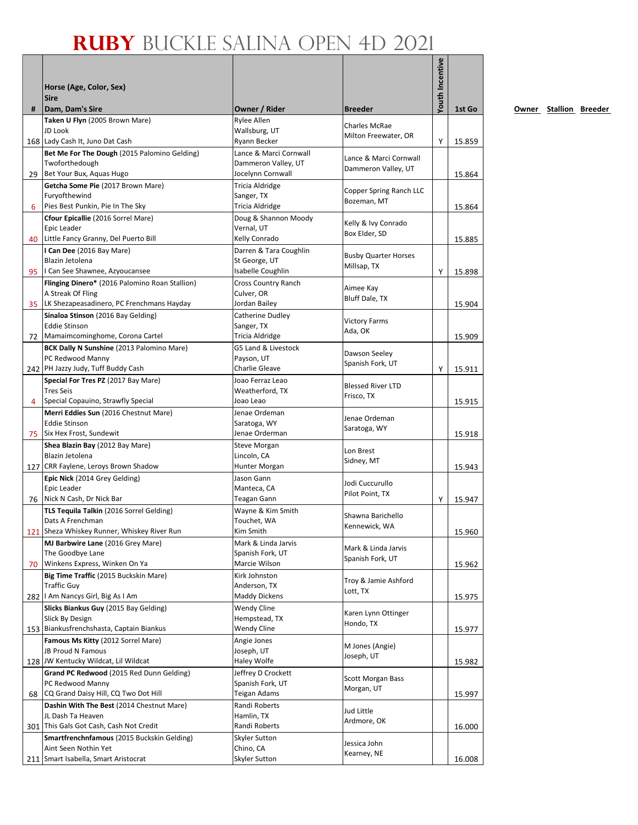|   |                                                                |                                    |                                               | Youth Incentive |        |
|---|----------------------------------------------------------------|------------------------------------|-----------------------------------------------|-----------------|--------|
|   | Horse (Age, Color, Sex)                                        |                                    |                                               |                 |        |
|   | <b>Sire</b>                                                    |                                    |                                               |                 |        |
| # | Dam, Dam's Sire                                                | Owner / Rider                      | <b>Breeder</b>                                |                 | 1st Go |
|   | Taken U Flyn (2005 Brown Mare)<br>JD Look                      | Rylee Allen<br>Wallsburg, UT       | <b>Charles McRae</b>                          |                 |        |
|   | 168 Lady Cash It, Juno Dat Cash                                | Ryann Becker                       | Milton Freewater, OR                          | Υ               | 15.859 |
|   | Bet Me For The Dough (2015 Palomino Gelding)                   | Lance & Marci Cornwall             |                                               |                 |        |
|   | Twoforthedough                                                 | Dammeron Valley, UT                | Lance & Marci Cornwall<br>Dammeron Valley, UT |                 |        |
|   | 29 Bet Your Bux, Aquas Hugo                                    | Jocelynn Cornwall                  |                                               |                 | 15.864 |
|   | Getcha Some Pie (2017 Brown Mare)                              | Tricia Aldridge                    | Copper Spring Ranch LLC                       |                 |        |
| 6 | Furyofthewind<br>Pies Best Punkin, Pie In The Sky              | Sanger, TX<br>Tricia Aldridge      | Bozeman, MT                                   |                 | 15.864 |
|   | Cfour Epicallie (2016 Sorrel Mare)                             | Doug & Shannon Moody               |                                               |                 |        |
|   | Epic Leader                                                    | Vernal, UT                         | Kelly & Ivy Conrado<br>Box Elder, SD          |                 |        |
|   | 40 Little Fancy Granny, Del Puerto Bill                        | Kelly Conrado                      |                                               |                 | 15.885 |
|   | I Can Dee (2016 Bay Mare)                                      | Darren & Tara Coughlin             | <b>Busby Quarter Horses</b>                   |                 |        |
|   | Blazin Jetolena<br>95   Can See Shawnee, Azyoucansee           | St George, UT<br>Isabelle Coughlin | Millsap, TX                                   | Υ               | 15.898 |
|   | Flinging Dinero* (2016 Palomino Roan Stallion)                 | Cross Country Ranch                |                                               |                 |        |
|   | A Streak Of Fling                                              | Culver, OR                         | Aimee Kay                                     |                 |        |
|   | 35 LK Shezapeasadinero, PC Frenchmans Hayday                   | Jordan Bailey                      | Bluff Dale, TX                                |                 | 15.904 |
|   | Sinaloa Stinson (2016 Bay Gelding)                             | Catherine Dudley                   | <b>Victory Farms</b>                          |                 |        |
|   | <b>Eddie Stinson</b>                                           | Sanger, TX                         | Ada, OK                                       |                 |        |
|   | 72 Mamaimcominghome, Corona Cartel                             | <b>Tricia Aldridge</b>             |                                               |                 | 15.909 |
|   | BCK Dally N Sunshine (2013 Palomino Mare)<br>PC Redwood Manny  | G5 Land & Livestock<br>Payson, UT  | Dawson Seeley                                 |                 |        |
|   | 242 PH Jazzy Judy, Tuff Buddy Cash                             | Charlie Gleave                     | Spanish Fork, UT                              | Y               | 15.911 |
|   | Special For Tres PZ (2017 Bay Mare)                            | Joao Ferraz Leao                   |                                               |                 |        |
|   | <b>Tres Seis</b>                                               | Weatherford, TX                    | <b>Blessed River LTD</b><br>Frisco, TX        |                 |        |
| 4 | Special Copauino, Strawfly Special                             | Joao Leao                          |                                               |                 | 15.915 |
|   | Merri Eddies Sun (2016 Chestnut Mare)<br><b>Eddie Stinson</b>  | Jenae Ordeman<br>Saratoga, WY      | Jenae Ordeman                                 |                 |        |
|   | 75 Six Hex Frost, Sundewit                                     | Jenae Orderman                     | Saratoga, WY                                  |                 | 15.918 |
|   | Shea Blazin Bay (2012 Bay Mare)                                | Steve Morgan                       |                                               |                 |        |
|   | Blazin Jetolena                                                | Lincoln, CA                        | Lon Brest<br>Sidney, MT                       |                 |        |
|   | 127 CRR Faylene, Leroys Brown Shadow                           | Hunter Morgan                      |                                               |                 | 15.943 |
|   | Epic Nick (2014 Grey Gelding)                                  | Jason Gann                         | Jodi Cuccurullo                               |                 |        |
|   | Epic Leader<br>76 Nick N Cash, Dr Nick Bar                     | Manteca, CA<br>Teagan Gann         | Pilot Point, TX                               | Υ               | 15.947 |
|   | TLS Tequila Talkin (2016 Sorrel Gelding)                       | Wayne & Kim Smith                  |                                               |                 |        |
|   | Dats A Frenchman                                               | Touchet, WA                        | Shawna Barichello                             |                 |        |
|   | 121 Sheza Whiskey Runner, Whiskey River Run                    | Kim Smith                          | Kennewick, WA                                 |                 | 15.960 |
|   | MJ Barbwire Lane (2016 Grey Mare)                              | Mark & Linda Jarvis                | Mark & Linda Jarvis                           |                 |        |
|   | The Goodbye Lane<br>70 Winkens Express, Winken On Ya           | Spanish Fork, UT<br>Marcie Wilson  | Spanish Fork, UT                              |                 |        |
|   | Big Time Traffic (2015 Buckskin Mare)                          | Kirk Johnston                      |                                               |                 | 15.962 |
|   | <b>Traffic Guy</b>                                             | Anderson, TX                       | Troy & Jamie Ashford                          |                 |        |
|   | 282   Am Nancys Girl, Big As I Am                              | <b>Maddy Dickens</b>               | Lott, TX                                      |                 | 15.975 |
|   | Slicks Biankus Guy (2015 Bay Gelding)                          | Wendy Cline                        | Karen Lynn Ottinger                           |                 |        |
|   | Slick By Design                                                | Hempstead, TX                      | Hondo, TX                                     |                 |        |
|   | 153 Biankusfrenchshasta, Captain Biankus                       | Wendy Cline                        |                                               |                 | 15.977 |
|   | Famous Ms Kitty (2012 Sorrel Mare)<br><b>JB Proud N Famous</b> | Angie Jones<br>Joseph, UT          | M Jones (Angie)                               |                 |        |
|   | 128 JW Kentucky Wildcat, Lil Wildcat                           | Haley Wolfe                        | Joseph, UT                                    |                 | 15.982 |
|   | Grand PC Redwood (2015 Red Dunn Gelding)                       | Jeffrey D Crockett                 |                                               |                 |        |
|   | PC Redwood Manny                                               | Spanish Fork, UT                   | Scott Morgan Bass<br>Morgan, UT               |                 |        |
|   | 68 CQ Grand Daisy Hill, CQ Two Dot Hill                        | Teigan Adams                       |                                               |                 | 15.997 |
|   | Dashin With The Best (2014 Chestnut Mare)<br>JL Dash Ta Heaven | Randi Roberts<br>Hamlin, TX        | Jud Little                                    |                 |        |
|   | 301 This Gals Got Cash, Cash Not Credit                        | Randi Roberts                      | Ardmore, OK                                   |                 | 16.000 |
|   | Smartfrenchnfamous (2015 Buckskin Gelding)                     | Skyler Sutton                      |                                               |                 |        |
|   | Aint Seen Nothin Yet                                           | Chino, CA                          | Jessica John<br>Kearney, NE                   |                 |        |
|   | 211 Smart Isabella, Smart Aristocrat                           | Skyler Sutton                      |                                               |                 | 16.008 |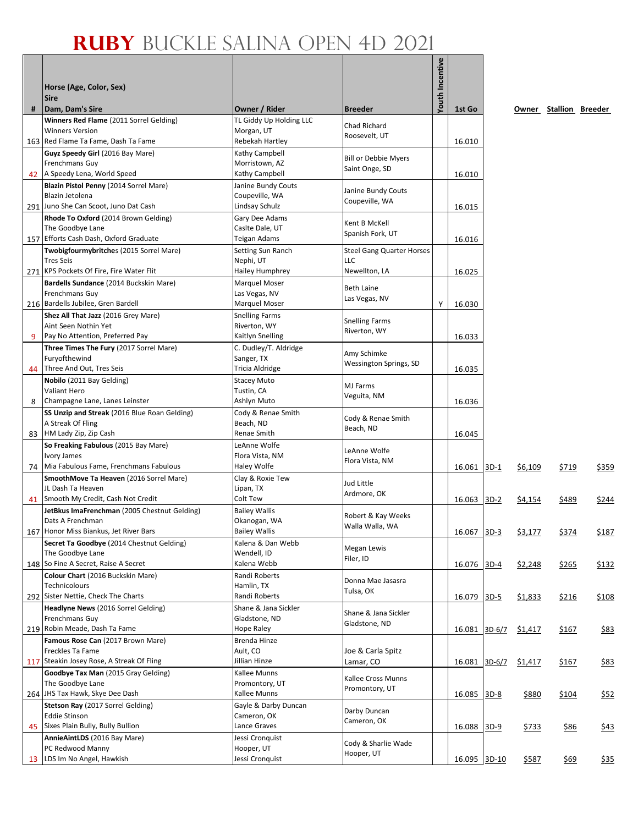|    | Horse (Age, Color, Sex)<br><b>Sire</b>                                                                     |                                                              |                                                                 | Youth Incentive |              |          |                |                        |              |
|----|------------------------------------------------------------------------------------------------------------|--------------------------------------------------------------|-----------------------------------------------------------------|-----------------|--------------|----------|----------------|------------------------|--------------|
| #  | Dam, Dam's Sire                                                                                            | Owner / Rider                                                | <b>Breeder</b>                                                  |                 | 1st Go       |          |                | Owner Stallion Breeder |              |
|    | Winners Red Flame (2011 Sorrel Gelding)<br><b>Winners Version</b><br>163 Red Flame Ta Fame, Dash Ta Fame   | TL Giddy Up Holding LLC<br>Morgan, UT<br>Rebekah Hartley     | Chad Richard<br>Roosevelt, UT                                   |                 | 16.010       |          |                |                        |              |
| 42 | Guyz Speedy Girl (2016 Bay Mare)<br>Frenchmans Guy<br>A Speedy Lena, World Speed                           | Kathy Campbell<br>Morristown, AZ<br>Kathy Campbell           | <b>Bill or Debbie Myers</b><br>Saint Onge, SD                   |                 | 16.010       |          |                |                        |              |
|    | Blazin Pistol Penny (2014 Sorrel Mare)<br>Blazin Jetolena<br>291 Juno She Can Scoot, Juno Dat Cash         | Janine Bundy Couts<br>Coupeville, WA<br>Lindsay Schulz       | Janine Bundy Couts<br>Coupeville, WA                            |                 | 16.015       |          |                |                        |              |
|    | Rhode To Oxford (2014 Brown Gelding)<br>The Goodbye Lane<br>157 Efforts Cash Dash, Oxford Graduate         | Gary Dee Adams<br>Caslte Dale, UT<br>Teigan Adams            | Kent B McKell<br>Spanish Fork, UT                               |                 | 16.016       |          |                |                        |              |
|    | Twobigfourmybritches (2015 Sorrel Mare)<br><b>Tres Seis</b><br>271 KPS Pockets Of Fire, Fire Water Flit    | Setting Sun Ranch<br>Nephi, UT                               | <b>Steel Gang Quarter Horses</b><br><b>LLC</b><br>Newellton, LA |                 |              |          |                |                        |              |
|    | Bardells Sundance (2014 Buckskin Mare)<br>Frenchmans Guy                                                   | Hailey Humphrey<br>Marquel Moser<br>Las Vegas, NV            | Beth Laine                                                      |                 | 16.025       |          |                |                        |              |
|    | 216 Bardells Jubilee, Gren Bardell<br>Shez All That Jazz (2016 Grey Mare)                                  | <b>Marquel Moser</b><br><b>Snelling Farms</b>                | Las Vegas, NV                                                   | Υ               | 16.030       |          |                |                        |              |
| 9  | Aint Seen Nothin Yet<br>Pay No Attention, Preferred Pay                                                    | Riverton, WY<br>Kaitlyn Snelling                             | <b>Snelling Farms</b><br>Riverton, WY                           |                 | 16.033       |          |                |                        |              |
| 44 | Three Times The Fury (2017 Sorrel Mare)<br>Furyofthewind<br>Three And Out, Tres Seis                       | C. Dudley/T. Aldridge<br>Sanger, TX<br>Tricia Aldridge       | Amy Schimke<br>Wessington Springs, SD                           |                 | 16.035       |          |                |                        |              |
| 8  | Nobilo (2011 Bay Gelding)<br><b>Valiant Hero</b><br>Champagne Lane, Lanes Leinster                         | <b>Stacey Muto</b><br>Tustin, CA<br>Ashlyn Muto              | MJ Farms<br>Veguita, NM                                         |                 | 16.036       |          |                |                        |              |
| 83 | SS Unzip and Streak (2016 Blue Roan Gelding)<br>A Streak Of Fling<br>HM Lady Zip, Zip Cash                 | Cody & Renae Smith<br>Beach, ND<br>Renae Smith               | Cody & Renae Smith<br>Beach, ND                                 |                 | 16.045       |          |                |                        |              |
|    | So Freaking Fabulous (2015 Bay Mare)<br>Ivory James<br>74 Mia Fabulous Fame, Frenchmans Fabulous           | LeAnne Wolfe<br>Flora Vista, NM<br>Haley Wolfe               | LeAnne Wolfe<br>Flora Vista, NM                                 |                 | 16.061       | $3D-1$   | \$6,109        | \$719                  | \$359        |
|    | SmoothMove Ta Heaven (2016 Sorrel Mare)<br>JL Dash Ta Heaven<br>41 Smooth My Credit, Cash Not Credit       | Clay & Roxie Tew<br>Lipan, TX<br>Colt Tew                    | Jud Little<br>Ardmore, OK                                       |                 | 16.063       | $3D-2$   | <u>\$4,154</u> | \$489                  | <u>\$244</u> |
|    | JetBkus ImaFrenchman (2005 Chestnut Gelding)<br>Dats A Frenchman<br>167 Honor Miss Biankus, Jet River Bars | <b>Bailey Wallis</b><br>Okanogan, WA<br><b>Bailey Wallis</b> | Robert & Kay Weeks<br>Walla Walla, WA                           |                 | 16.067       | $3D-3$   | \$3,177        | \$374                  | \$187        |
|    | Secret Ta Goodbye (2014 Chestnut Gelding)<br>The Goodbye Lane<br>148 So Fine A Secret, Raise A Secret      | Kalena & Dan Webb<br>Wendell, ID<br>Kalena Webb              | Megan Lewis<br>Filer, ID                                        |                 | 16.076       | $3D-4$   | \$2,248        |                        |              |
|    | Colour Chart (2016 Buckskin Mare)<br>Technicolours                                                         | Randi Roberts<br>Hamlin, TX                                  | Donna Mae Jasasra<br>Tulsa, OK                                  |                 |              |          |                | <u>\$265</u>           | <u>\$132</u> |
|    | 292 Sister Nettie, Check The Charts<br>Headlyne News (2016 Sorrel Gelding)<br>Frenchmans Guy               | Randi Roberts<br>Shane & Jana Sickler<br>Gladstone, ND       | Shane & Jana Sickler<br>Gladstone, ND                           |                 | 16.079       | $3D-5$   | \$1,833        | \$216                  | \$108        |
|    | 219 Robin Meade, Dash Ta Fame<br>Famous Rose Can (2017 Brown Mare)<br>Freckles Ta Fame                     | Hope Raley<br>Brenda Hinze<br>Ault, CO                       | Joe & Carla Spitz                                               |                 | 16.081       | $3D-6/7$ | \$1,417        | \$167                  | \$83         |
|    | 117 Steakin Josey Rose, A Streak Of Fling<br>Goodbye Tax Man (2015 Gray Gelding)<br>The Goodbye Lane       | Jillian Hinze<br>Kallee Munns<br>Promontory, UT              | Lamar, CO<br>Kallee Cross Munns                                 |                 | 16.081       | $3D-6/7$ | \$1,417        | \$167                  | \$83         |
|    | 264 JHS Tax Hawk, Skye Dee Dash<br>Stetson Ray (2017 Sorrel Gelding)                                       | Kallee Munns<br>Gayle & Darby Duncan                         | Promontory, UT<br>Darby Duncan                                  |                 | 16.085       | $3D-8$   | \$880          | \$104                  | <u>\$52</u>  |
| 45 | <b>Eddie Stinson</b><br>Sixes Plain Bully, Bully Bullion<br>AnnieAintLDS (2016 Bay Mare)                   | Cameron, OK<br>Lance Graves<br>Jessi Cronquist               | Cameron, OK                                                     |                 | 16.088       | $3D-9$   | <u>\$733</u>   | <u>\$86</u>            | <u>\$43</u>  |
|    | PC Redwood Manny<br>13 LDS Im No Angel, Hawkish                                                            | Hooper, UT<br>Jessi Cronquist                                | Cody & Sharlie Wade<br>Hooper, UT                               |                 | 16.095 3D-10 |          | \$587          | \$69                   | <u>\$35</u>  |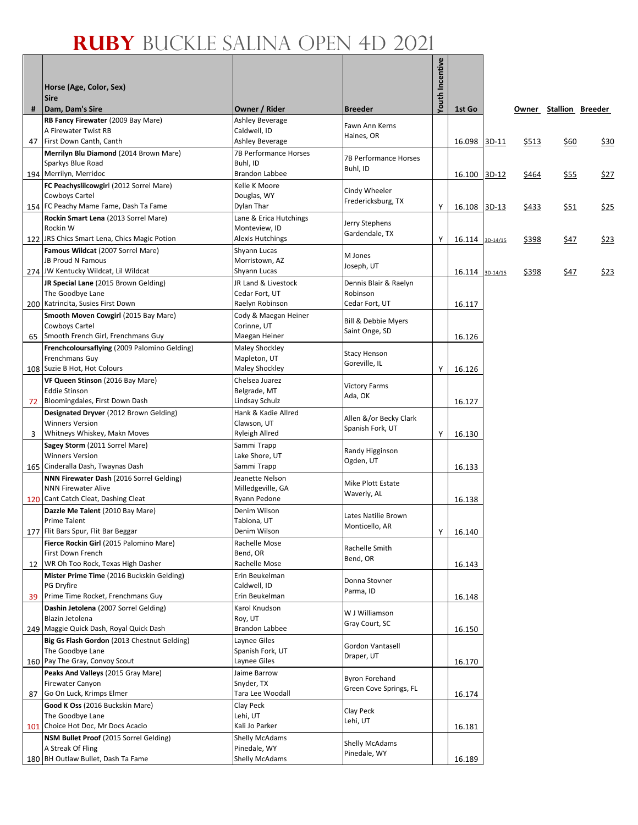|    |                                                                   |                                         |                                       | <b>Youth Incentive</b> |        |          |       |                        |             |
|----|-------------------------------------------------------------------|-----------------------------------------|---------------------------------------|------------------------|--------|----------|-------|------------------------|-------------|
|    | Horse (Age, Color, Sex)<br><b>Sire</b>                            |                                         |                                       |                        |        |          |       |                        |             |
| #  | Dam, Dam's Sire                                                   | Owner / Rider                           | <b>Breeder</b>                        |                        | 1st Go |          |       | Owner Stallion Breeder |             |
|    | RB Fancy Firewater (2009 Bay Mare)                                | <b>Ashley Beverage</b>                  | Fawn Ann Kerns                        |                        |        |          |       |                        |             |
|    | A Firewater Twist RB                                              | Caldwell, ID                            | Haines, OR                            |                        |        |          |       |                        |             |
| 47 | First Down Canth, Canth                                           | Ashley Beverage                         |                                       |                        | 16.098 | 3D-11    | \$513 | \$60                   | <u>\$30</u> |
|    | Merrilyn Blu Diamond (2014 Brown Mare)<br>Sparkys Blue Road       | 7B Performance Horses<br>Buhl, ID       | 7B Performance Horses                 |                        |        |          |       |                        |             |
|    | 194 Merrilyn, Merridoc                                            | <b>Brandon Labbee</b>                   | Buhl, ID                              |                        | 16.100 | $3D-12$  | \$464 | \$55                   | \$27        |
|    | FC Peachyslilcowgirl (2012 Sorrel Mare)                           | Kelle K Moore                           | Cindy Wheeler                         |                        |        |          |       |                        |             |
|    | Cowboys Cartel                                                    | Douglas, WY                             | Fredericksburg, TX                    |                        |        |          |       |                        |             |
|    | 154 FC Peachy Mame Fame, Dash Ta Fame                             | Dylan Thar                              |                                       | Υ                      | 16.108 | $3D-13$  | \$433 | \$51                   | \$25        |
|    | Rockin Smart Lena (2013 Sorrel Mare)<br>Rockin W                  | Lane & Erica Hutchings<br>Monteview, ID | Jerry Stephens                        |                        |        |          |       |                        |             |
|    | 122 JRS Chics Smart Lena, Chics Magic Potion                      | <b>Alexis Hutchings</b>                 | Gardendale, TX                        | Υ                      | 16.114 | 3D-14/15 | \$398 | \$47                   | <u>\$23</u> |
|    | Famous Wildcat (2007 Sorrel Mare)                                 | Shyann Lucas                            |                                       |                        |        |          |       |                        |             |
|    | <b>JB Proud N Famous</b>                                          | Morristown, AZ                          | M Jones<br>Joseph, UT                 |                        |        |          |       |                        |             |
|    | 274 JW Kentucky Wildcat, Lil Wildcat                              | Shyann Lucas                            |                                       |                        | 16.114 | 3D-14/15 | \$398 | \$47                   | \$23        |
|    | JR Special Lane (2015 Brown Gelding)<br>The Goodbye Lane          | JR Land & Livestock<br>Cedar Fort, UT   | Dennis Blair & Raelyn<br>Robinson     |                        |        |          |       |                        |             |
|    | 200 Katrincita, Susies First Down                                 | Raelyn Robinson                         | Cedar Fort, UT                        |                        | 16.117 |          |       |                        |             |
|    | Smooth Moven Cowgirl (2015 Bay Mare)                              | Cody & Maegan Heiner                    |                                       |                        |        |          |       |                        |             |
|    | Cowboys Cartel                                                    | Corinne, UT                             | Bill & Debbie Myers<br>Saint Onge, SD |                        |        |          |       |                        |             |
| 65 | Smooth French Girl, Frenchmans Guy                                | Maegan Heiner                           |                                       |                        | 16.126 |          |       |                        |             |
|    | Frenchcoloursaflying (2009 Palomino Gelding)<br>Frenchmans Guy    | <b>Maley Shockley</b><br>Mapleton, UT   | <b>Stacy Henson</b>                   |                        |        |          |       |                        |             |
|    | 108 Suzie B Hot, Hot Colours                                      | <b>Maley Shockley</b>                   | Goreville, IL                         | Υ                      | 16.126 |          |       |                        |             |
|    | VF Queen Stinson (2016 Bay Mare)                                  | Chelsea Juarez                          |                                       |                        |        |          |       |                        |             |
|    | <b>Eddie Stinson</b>                                              | Belgrade, MT                            | <b>Victory Farms</b><br>Ada, OK       |                        |        |          |       |                        |             |
| 72 | Bloomingdales, First Down Dash                                    | Lindsay Schulz                          |                                       |                        | 16.127 |          |       |                        |             |
|    | Designated Dryver (2012 Brown Gelding)<br><b>Winners Version</b>  | Hank & Kadie Allred<br>Clawson, UT      | Allen &/or Becky Clark                |                        |        |          |       |                        |             |
| 3  | Whitneys Whiskey, Makn Moves                                      | Ryleigh Allred                          | Spanish Fork, UT                      | Y                      | 16.130 |          |       |                        |             |
|    | Sagey Storm (2011 Sorrel Mare)                                    | Sammi Trapp                             |                                       |                        |        |          |       |                        |             |
|    | <b>Winners Version</b>                                            | Lake Shore, UT                          | Randy Higginson<br>Ogden, UT          |                        |        |          |       |                        |             |
|    | 165 Cinderalla Dash, Twaynas Dash                                 | Sammi Trapp                             |                                       |                        | 16.133 |          |       |                        |             |
|    | NNN Firewater Dash (2016 Sorrel Gelding)                          | Jeanette Nelson<br>Milledgeville, GA    | Mike Plott Estate                     |                        |        |          |       |                        |             |
|    | <b>NNN Firewater Alive</b><br>120 Cant Catch Cleat, Dashing Cleat | Ryann Pedone                            | Waverly, AL                           |                        | 16.138 |          |       |                        |             |
|    | Dazzle Me Talent (2010 Bay Mare)                                  | Denim Wilson                            |                                       |                        |        |          |       |                        |             |
|    | <b>Prime Talent</b>                                               | Tabiona, UT                             | Lates Natilie Brown<br>Monticello, AR |                        |        |          |       |                        |             |
|    | 177 Flit Bars Spur, Flit Bar Beggar                               | Denim Wilson                            |                                       | Υ                      | 16.140 |          |       |                        |             |
|    | Fierce Rockin Girl (2015 Palomino Mare)<br>First Down French      | Rachelle Mose<br>Bend, OR               | Rachelle Smith                        |                        |        |          |       |                        |             |
| 12 | WR Oh Too Rock, Texas High Dasher                                 | Rachelle Mose                           | Bend, OR                              |                        | 16.143 |          |       |                        |             |
|    | Mister Prime Time (2016 Buckskin Gelding)                         | Erin Beukelman                          |                                       |                        |        |          |       |                        |             |
|    | PG Dryfire                                                        | Caldwell, ID                            | Donna Stovner<br>Parma, ID            |                        |        |          |       |                        |             |
| 39 | Prime Time Rocket, Frenchmans Guy                                 | Erin Beukelman                          |                                       |                        | 16.148 |          |       |                        |             |
|    | Dashin Jetolena (2007 Sorrel Gelding)<br>Blazin Jetolena          | Karol Knudson<br>Roy, UT                | W J Williamson                        |                        |        |          |       |                        |             |
|    | 249 Maggie Quick Dash, Royal Quick Dash                           | <b>Brandon Labbee</b>                   | Gray Court, SC                        |                        | 16.150 |          |       |                        |             |
|    | Big Gs Flash Gordon (2013 Chestnut Gelding)                       | Laynee Giles                            |                                       |                        |        |          |       |                        |             |
|    | The Goodbye Lane                                                  | Spanish Fork, UT                        | Gordon Vantasell<br>Draper, UT        |                        |        |          |       |                        |             |
|    | 160 Pay The Gray, Convoy Scout                                    | Laynee Giles                            |                                       |                        | 16.170 |          |       |                        |             |
|    | Peaks And Valleys (2015 Gray Mare)<br><b>Firewater Canyon</b>     | Jaime Barrow<br>Snyder, TX              | <b>Byron Forehand</b>                 |                        |        |          |       |                        |             |
| 87 | Go On Luck, Krimps Elmer                                          | Tara Lee Woodall                        | Green Cove Springs, FL                |                        | 16.174 |          |       |                        |             |
|    | Good K Oss (2016 Buckskin Mare)                                   | Clay Peck                               |                                       |                        |        |          |       |                        |             |
|    | The Goodbye Lane                                                  | Lehi, UT                                | Clay Peck<br>Lehi, UT                 |                        |        |          |       |                        |             |
|    | 101 Choice Hot Doc, Mr Docs Acacio                                | Kali Jo Parker                          |                                       |                        | 16.181 |          |       |                        |             |
|    | NSM Bullet Proof (2015 Sorrel Gelding)<br>A Streak Of Fling       | <b>Shelly McAdams</b><br>Pinedale, WY   | Shelly McAdams                        |                        |        |          |       |                        |             |
|    | 180 BH Outlaw Bullet, Dash Ta Fame                                | <b>Shelly McAdams</b>                   | Pinedale, WY                          |                        | 16.189 |          |       |                        |             |
|    |                                                                   |                                         |                                       |                        |        |          |       |                        |             |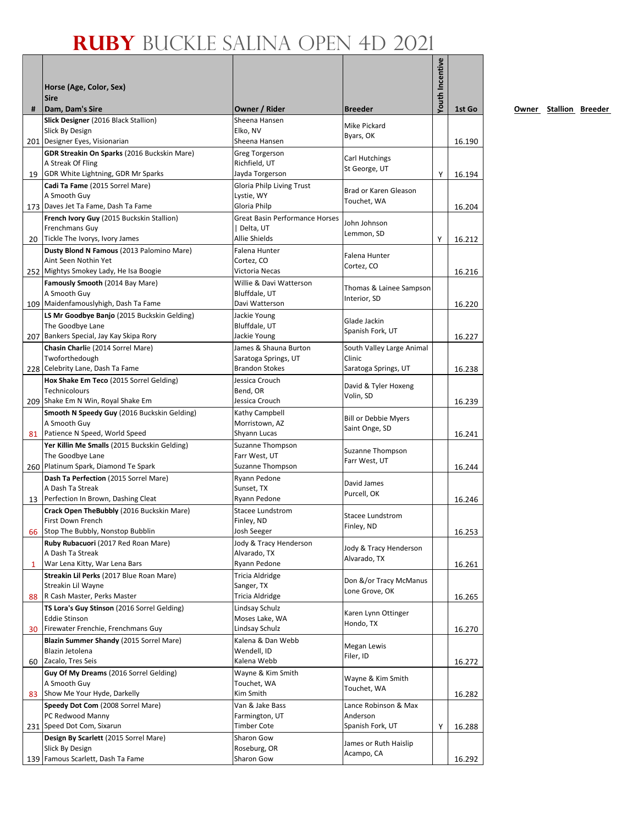|    |                                                                               |                                       |                                               | Youth Incentive |        |
|----|-------------------------------------------------------------------------------|---------------------------------------|-----------------------------------------------|-----------------|--------|
|    | Horse (Age, Color, Sex)                                                       |                                       |                                               |                 |        |
|    | <b>Sire</b>                                                                   |                                       |                                               |                 |        |
| #  | Dam, Dam's Sire                                                               | Owner / Rider                         | <b>Breeder</b>                                |                 | 1st Go |
|    | Slick Designer (2016 Black Stallion)                                          | Sheena Hansen                         | Mike Pickard                                  |                 |        |
|    | Slick By Design<br>201 Designer Eyes, Visionarian                             | Elko, NV<br>Sheena Hansen             | Byars, OK                                     |                 |        |
|    | GDR Streakin On Sparks (2016 Buckskin Mare)                                   | <b>Greg Torgerson</b>                 |                                               |                 | 16.190 |
|    | A Streak Of Fling                                                             | Richfield, UT                         | Carl Hutchings                                |                 |        |
|    | 19 GDR White Lightning, GDR Mr Sparks                                         | Jayda Torgerson                       | St George, UT                                 | Y               | 16.194 |
|    | Cadi Ta Fame (2015 Sorrel Mare)                                               | <b>Gloria Philp Living Trust</b>      | Brad or Karen Gleason                         |                 |        |
|    | A Smooth Guy<br>173 Daves Jet Ta Fame, Dash Ta Fame                           | Lystie, WY<br>Gloria Philp            | Touchet, WA                                   |                 | 16.204 |
|    | French Ivory Guy (2015 Buckskin Stallion)                                     | <b>Great Basin Performance Horses</b> |                                               |                 |        |
|    | Frenchmans Guy                                                                | Delta, UT                             | John Johnson<br>Lemmon, SD                    |                 |        |
|    | 20 Tickle The Ivorys, Ivory James                                             | Allie Shields                         |                                               | Υ               | 16.212 |
|    | Dusty Blond N Famous (2013 Palomino Mare)                                     | Falena Hunter                         | Falena Hunter                                 |                 |        |
|    | Aint Seen Nothin Yet<br>252 Mightys Smokey Lady, He Isa Boogie                | Cortez, CO<br>Victoria Necas          | Cortez, CO                                    |                 | 16.216 |
|    | Famously Smooth (2014 Bay Mare)                                               | Willie & Davi Watterson               |                                               |                 |        |
|    | A Smooth Guy                                                                  | Bluffdale, UT                         | Thomas & Lainee Sampson                       |                 |        |
|    | 109 Maidenfamouslyhigh, Dash Ta Fame                                          | Davi Watterson                        | Interior, SD                                  |                 | 16.220 |
|    | LS Mr Goodbye Banjo (2015 Buckskin Gelding)                                   | Jackie Young                          | Glade Jackin                                  |                 |        |
|    | The Goodbye Lane<br>207 Bankers Special, Jay Kay Skipa Rory                   | Bluffdale, UT<br>Jackie Young         | Spanish Fork, UT                              |                 | 16.227 |
|    | Chasin Charlie (2014 Sorrel Mare)                                             | James & Shauna Burton                 | South Valley Large Animal                     |                 |        |
|    | Twoforthedough                                                                | Saratoga Springs, UT                  | Clinic                                        |                 |        |
|    | 228 Celebrity Lane, Dash Ta Fame                                              | <b>Brandon Stokes</b>                 | Saratoga Springs, UT                          |                 | 16.238 |
|    | Hox Shake Em Teco (2015 Sorrel Gelding)                                       | Jessica Crouch                        | David & Tyler Hoxeng                          |                 |        |
|    | Technicolours<br>209 Shake Em N Win, Royal Shake Em                           | Bend, OR<br>Jessica Crouch            | Volin, SD                                     |                 | 16.239 |
|    | Smooth N Speedy Guy (2016 Buckskin Gelding)                                   | Kathy Campbell                        |                                               |                 |        |
|    | A Smooth Guy                                                                  | Morristown, AZ                        | <b>Bill or Debbie Myers</b><br>Saint Onge, SD |                 |        |
|    | 81 Patience N Speed, World Speed                                              | Shyann Lucas                          |                                               |                 | 16.241 |
|    | Yer Killin Me Smalls (2015 Buckskin Gelding)                                  | Suzanne Thompson                      | Suzanne Thompson                              |                 |        |
|    | The Goodbye Lane<br>260 Platinum Spark, Diamond Te Spark                      | Farr West, UT<br>Suzanne Thompson     | Farr West, UT                                 |                 | 16.244 |
|    | Dash Ta Perfection (2015 Sorrel Mare)                                         | Ryann Pedone                          |                                               |                 |        |
|    | A Dash Ta Streak                                                              | Sunset, TX                            | David James<br>Purcell, OK                    |                 |        |
| 13 | Perfection In Brown, Dashing Cleat                                            | Ryann Pedone                          |                                               |                 | 16.246 |
|    | Crack Open TheBubbly (2016 Buckskin Mare)<br>First Down French                | <b>Stacee Lundstrom</b><br>Finley, ND | <b>Stacee Lundstrom</b>                       |                 |        |
|    | 66 Stop The Bubbly, Nonstop Bubblin                                           | Josh Seeger                           | Finley, ND                                    |                 | 16.253 |
|    | Ruby Rubacuori (2017 Red Roan Mare)                                           | Jody & Tracy Henderson                |                                               |                 |        |
|    | A Dash Ta Streak                                                              | Alvarado, TX                          | Jody & Tracy Henderson<br>Alvarado, TX        |                 |        |
| 1  | War Lena Kitty, War Lena Bars                                                 | Ryann Pedone                          |                                               |                 | 16.261 |
|    | Streakin Lil Perks (2017 Blue Roan Mare)<br>Streakin Lil Wayne                | Tricia Aldridge<br>Sanger, TX         | Don &/or Tracy McManus                        |                 |        |
| 88 | R Cash Master, Perks Master                                                   | Tricia Aldridge                       | Lone Grove, OK                                |                 | 16.265 |
|    | TS Lora's Guy Stinson (2016 Sorrel Gelding)                                   | Lindsay Schulz                        | Karen Lynn Ottinger                           |                 |        |
|    | <b>Eddie Stinson</b>                                                          | Moses Lake, WA                        | Hondo, TX                                     |                 |        |
| 30 | Firewater Frenchie, Frenchmans Guy<br>Blazin Summer Shandy (2015 Sorrel Mare) | Lindsay Schulz<br>Kalena & Dan Webb   |                                               |                 | 16.270 |
|    | Blazin Jetolena                                                               | Wendell, ID                           | Megan Lewis                                   |                 |        |
| 60 | Zacalo, Tres Seis                                                             | Kalena Webb                           | Filer, ID                                     |                 | 16.272 |
|    | Guy Of My Dreams (2016 Sorrel Gelding)                                        | Wayne & Kim Smith                     | Wayne & Kim Smith                             |                 |        |
|    | A Smooth Guy                                                                  | Touchet, WA                           | Touchet, WA                                   |                 |        |
|    | 83 Show Me Your Hyde, Darkelly<br>Speedy Dot Com (2008 Sorrel Mare)           | Kim Smith<br>Van & Jake Bass          | Lance Robinson & Max                          |                 | 16.282 |
|    | PC Redwood Manny                                                              | Farmington, UT                        | Anderson                                      |                 |        |
|    | 231 Speed Dot Com, Sixarun                                                    | <b>Timber Cote</b>                    | Spanish Fork, UT                              | Y               | 16.288 |
|    | Design By Scarlett (2015 Sorrel Mare)                                         | Sharon Gow                            | James or Ruth Haislip                         |                 |        |
|    | Slick By Design<br>139 Famous Scarlett, Dash Ta Fame                          | Roseburg, OR                          | Acampo, CA                                    |                 |        |
|    |                                                                               | Sharon Gow                            |                                               |                 | 16.292 |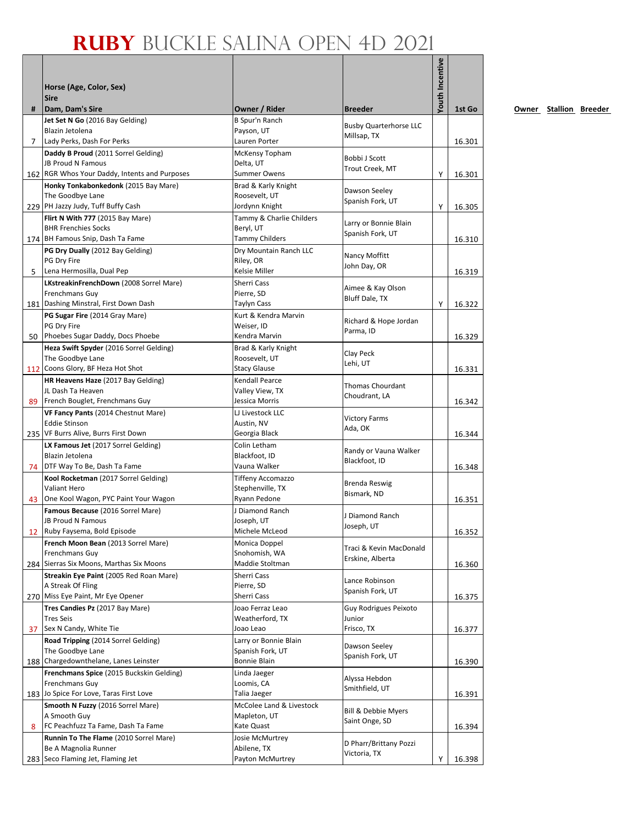| Youth Incentive<br>Horse (Age, Color, Sex)<br><b>Sire</b><br>Dam, Dam's Sire<br>Owner / Rider<br>#<br><b>Breeder</b><br>1st Go<br><b>B Spur'n Ranch</b><br>Jet Set N Go (2016 Bay Gelding)<br><b>Busby Quarterhorse LLC</b><br>Blazin Jetolena<br>Payson, UT<br>Millsap, TX<br>$\overline{7}$<br>Lady Perks, Dash For Perks<br>Lauren Porter<br>Daddy B Proud (2011 Sorrel Gelding)<br>McKensy Topham<br>Bobbi J Scott<br>JB Proud N Famous<br>Delta, UT<br>Trout Creek, MT<br>162 RGR Whos Your Daddy, Intents and Purposes<br><b>Summer Owens</b><br>Υ<br>16.301<br>Honky Tonkabonkedonk (2015 Bay Mare)<br>Brad & Karly Knight<br>Dawson Seeley<br>The Goodbye Lane<br>Roosevelt, UT<br>Spanish Fork, UT<br>229 PH Jazzy Judy, Tuff Buffy Cash<br>Jordynn Knight<br>Y<br>16.305<br>Flirt N With 777 (2015 Bay Mare)<br>Tammy & Charlie Childers<br>Larry or Bonnie Blain<br>Beryl, UT<br><b>BHR Frenchies Socks</b><br>Spanish Fork, UT<br>174 BH Famous Snip, Dash Ta Fame<br><b>Tammy Childers</b><br>PG Dry Dually (2012 Bay Gelding)<br>Dry Mountain Ranch LLC<br>Nancy Moffitt<br>PG Dry Fire<br>Riley, OR<br>John Day, OR<br>Lena Hermosilla, Dual Pep<br>Kelsie Miller<br>5<br>16.319<br>LKstreakinFrenchDown (2008 Sorrel Mare)<br>Sherri Cass<br>Aimee & Kay Olson<br>Frenchmans Guy<br>Pierre, SD<br>Bluff Dale, TX<br>181 Dashing Minstral, First Down Dash<br>Taylyn Cass<br>Υ<br>PG Sugar Fire (2014 Gray Mare)<br>Kurt & Kendra Marvin<br>Richard & Hope Jordan<br>PG Dry Fire<br>Weiser, ID<br>Parma, ID<br>Phoebes Sugar Daddy, Docs Phoebe<br>Kendra Marvin<br>50<br>16.329<br>Heza Swift Spyder (2016 Sorrel Gelding)<br>Brad & Karly Knight<br>Clay Peck<br>The Goodbye Lane<br>Roosevelt, UT<br>Lehi, UT<br>112 Coons Glory, BF Heza Hot Shot<br><b>Stacy Glause</b><br>16.331<br>HR Heavens Haze (2017 Bay Gelding)<br>Kendall Pearce<br>Thomas Chourdant<br>JL Dash Ta Heaven<br>Valley View, TX<br>Choudrant, LA<br>89 French Bouglet, Frenchmans Guy<br>Jessica Morris<br>VF Fancy Pants (2014 Chestnut Mare)<br>LJ Livestock LLC<br><b>Victory Farms</b><br><b>Eddie Stinson</b><br>Austin, NV<br>Ada, OK<br>235 VF Burrs Alive, Burrs First Down<br>Georgia Black<br>16.344<br>Colin Letham<br>LX Famous Jet (2017 Sorrel Gelding)<br>Randy or Vauna Walker<br>Blackfoot, ID<br>Blazin Jetolena<br>Blackfoot, ID<br>Vauna Walker<br>74   DTF Way To Be, Dash Ta Fame<br>Kool Rocketman (2017 Sorrel Gelding)<br><b>Tiffeny Accomazzo</b><br>Brenda Reswig<br>Valiant Hero<br>Stephenville, TX<br>Bismark, ND<br>One Kool Wagon, PYC Paint Your Wagon<br>Ryann Pedone<br>43<br>16.351<br>Famous Because (2016 Sorrel Mare)<br>J Diamond Ranch<br>J Diamond Ranch<br><b>JB Proud N Famous</b><br>Joseph, UT<br>Joseph, UT<br>12 Ruby Faysema, Bold Episode<br>Michele McLeod<br>French Moon Bean (2013 Sorrel Mare)<br>Monica Doppel<br>Traci & Kevin MacDonald<br>Frenchmans Guy<br>Snohomish, WA<br>Erskine, Alberta<br>284 Sierras Six Moons, Marthas Six Moons<br>Maddie Stoltman<br>Streakin Eye Paint (2005 Red Roan Mare)<br>Sherri Cass<br>Lance Robinson<br>A Streak Of Fling<br>Pierre, SD<br>Spanish Fork, UT<br>270 Miss Eye Paint, Mr Eye Opener<br>Sherri Cass<br>16.375<br>Tres Candies Pz (2017 Bay Mare)<br>Joao Ferraz Leao<br>Guy Rodrigues Peixoto<br><b>Tres Seis</b><br>Weatherford, TX<br>Junior<br>Sex N Candy, White Tie<br>Frisco, TX<br>Joao Leao<br>37<br>16.377<br>Road Tripping (2014 Sorrel Gelding)<br>Larry or Bonnie Blain<br>Dawson Seeley<br>The Goodbye Lane<br>Spanish Fork, UT<br>Spanish Fork, UT<br>188 Chargedownthelane, Lanes Leinster<br>Bonnie Blain<br>16.390<br>Frenchmans Spice (2015 Buckskin Gelding)<br>Linda Jaeger<br>Alyssa Hebdon<br>Frenchmans Guy<br>Loomis, CA<br>Smithfield, UT<br>183 Jo Spice For Love, Taras First Love<br>Talia Jaeger<br>Smooth N Fuzzy (2016 Sorrel Mare)<br>McColee Land & Livestock<br>Bill & Debbie Myers<br>A Smooth Guy<br>Mapleton, UT<br>Saint Onge, SD<br>FC Peachfuzz Ta Fame, Dash Ta Fame<br>Kate Quast<br>16.394<br>8<br>Runnin To The Flame (2010 Sorrel Mare)<br>Josie McMurtrey<br>D Pharr/Brittany Pozzi<br>Be A Magnolia Runner<br>Abilene, TX<br>Victoria, TX<br>283 Seco Flaming Jet, Flaming Jet<br>Payton McMurtrey<br>Υ |  |  |        |
|------------------------------------------------------------------------------------------------------------------------------------------------------------------------------------------------------------------------------------------------------------------------------------------------------------------------------------------------------------------------------------------------------------------------------------------------------------------------------------------------------------------------------------------------------------------------------------------------------------------------------------------------------------------------------------------------------------------------------------------------------------------------------------------------------------------------------------------------------------------------------------------------------------------------------------------------------------------------------------------------------------------------------------------------------------------------------------------------------------------------------------------------------------------------------------------------------------------------------------------------------------------------------------------------------------------------------------------------------------------------------------------------------------------------------------------------------------------------------------------------------------------------------------------------------------------------------------------------------------------------------------------------------------------------------------------------------------------------------------------------------------------------------------------------------------------------------------------------------------------------------------------------------------------------------------------------------------------------------------------------------------------------------------------------------------------------------------------------------------------------------------------------------------------------------------------------------------------------------------------------------------------------------------------------------------------------------------------------------------------------------------------------------------------------------------------------------------------------------------------------------------------------------------------------------------------------------------------------------------------------------------------------------------------------------------------------------------------------------------------------------------------------------------------------------------------------------------------------------------------------------------------------------------------------------------------------------------------------------------------------------------------------------------------------------------------------------------------------------------------------------------------------------------------------------------------------------------------------------------------------------------------------------------------------------------------------------------------------------------------------------------------------------------------------------------------------------------------------------------------------------------------------------------------------------------------------------------------------------------------------------------------------------------------------------------------------------------------------------------------------------------------------------------------------------------------------------------------------------------------------------------------------------------------------------------------------------------------------------------------------------------------------------------------------------------------------------------------------------------------------------------------------------------------------------------------------------------------------------------------------------------|--|--|--------|
|                                                                                                                                                                                                                                                                                                                                                                                                                                                                                                                                                                                                                                                                                                                                                                                                                                                                                                                                                                                                                                                                                                                                                                                                                                                                                                                                                                                                                                                                                                                                                                                                                                                                                                                                                                                                                                                                                                                                                                                                                                                                                                                                                                                                                                                                                                                                                                                                                                                                                                                                                                                                                                                                                                                                                                                                                                                                                                                                                                                                                                                                                                                                                                                                                                                                                                                                                                                                                                                                                                                                                                                                                                                                                                                                                                                                                                                                                                                                                                                                                                                                                                                                                                                                                                                            |  |  |        |
|                                                                                                                                                                                                                                                                                                                                                                                                                                                                                                                                                                                                                                                                                                                                                                                                                                                                                                                                                                                                                                                                                                                                                                                                                                                                                                                                                                                                                                                                                                                                                                                                                                                                                                                                                                                                                                                                                                                                                                                                                                                                                                                                                                                                                                                                                                                                                                                                                                                                                                                                                                                                                                                                                                                                                                                                                                                                                                                                                                                                                                                                                                                                                                                                                                                                                                                                                                                                                                                                                                                                                                                                                                                                                                                                                                                                                                                                                                                                                                                                                                                                                                                                                                                                                                                            |  |  |        |
|                                                                                                                                                                                                                                                                                                                                                                                                                                                                                                                                                                                                                                                                                                                                                                                                                                                                                                                                                                                                                                                                                                                                                                                                                                                                                                                                                                                                                                                                                                                                                                                                                                                                                                                                                                                                                                                                                                                                                                                                                                                                                                                                                                                                                                                                                                                                                                                                                                                                                                                                                                                                                                                                                                                                                                                                                                                                                                                                                                                                                                                                                                                                                                                                                                                                                                                                                                                                                                                                                                                                                                                                                                                                                                                                                                                                                                                                                                                                                                                                                                                                                                                                                                                                                                                            |  |  |        |
|                                                                                                                                                                                                                                                                                                                                                                                                                                                                                                                                                                                                                                                                                                                                                                                                                                                                                                                                                                                                                                                                                                                                                                                                                                                                                                                                                                                                                                                                                                                                                                                                                                                                                                                                                                                                                                                                                                                                                                                                                                                                                                                                                                                                                                                                                                                                                                                                                                                                                                                                                                                                                                                                                                                                                                                                                                                                                                                                                                                                                                                                                                                                                                                                                                                                                                                                                                                                                                                                                                                                                                                                                                                                                                                                                                                                                                                                                                                                                                                                                                                                                                                                                                                                                                                            |  |  |        |
|                                                                                                                                                                                                                                                                                                                                                                                                                                                                                                                                                                                                                                                                                                                                                                                                                                                                                                                                                                                                                                                                                                                                                                                                                                                                                                                                                                                                                                                                                                                                                                                                                                                                                                                                                                                                                                                                                                                                                                                                                                                                                                                                                                                                                                                                                                                                                                                                                                                                                                                                                                                                                                                                                                                                                                                                                                                                                                                                                                                                                                                                                                                                                                                                                                                                                                                                                                                                                                                                                                                                                                                                                                                                                                                                                                                                                                                                                                                                                                                                                                                                                                                                                                                                                                                            |  |  | 16.301 |
|                                                                                                                                                                                                                                                                                                                                                                                                                                                                                                                                                                                                                                                                                                                                                                                                                                                                                                                                                                                                                                                                                                                                                                                                                                                                                                                                                                                                                                                                                                                                                                                                                                                                                                                                                                                                                                                                                                                                                                                                                                                                                                                                                                                                                                                                                                                                                                                                                                                                                                                                                                                                                                                                                                                                                                                                                                                                                                                                                                                                                                                                                                                                                                                                                                                                                                                                                                                                                                                                                                                                                                                                                                                                                                                                                                                                                                                                                                                                                                                                                                                                                                                                                                                                                                                            |  |  |        |
|                                                                                                                                                                                                                                                                                                                                                                                                                                                                                                                                                                                                                                                                                                                                                                                                                                                                                                                                                                                                                                                                                                                                                                                                                                                                                                                                                                                                                                                                                                                                                                                                                                                                                                                                                                                                                                                                                                                                                                                                                                                                                                                                                                                                                                                                                                                                                                                                                                                                                                                                                                                                                                                                                                                                                                                                                                                                                                                                                                                                                                                                                                                                                                                                                                                                                                                                                                                                                                                                                                                                                                                                                                                                                                                                                                                                                                                                                                                                                                                                                                                                                                                                                                                                                                                            |  |  |        |
|                                                                                                                                                                                                                                                                                                                                                                                                                                                                                                                                                                                                                                                                                                                                                                                                                                                                                                                                                                                                                                                                                                                                                                                                                                                                                                                                                                                                                                                                                                                                                                                                                                                                                                                                                                                                                                                                                                                                                                                                                                                                                                                                                                                                                                                                                                                                                                                                                                                                                                                                                                                                                                                                                                                                                                                                                                                                                                                                                                                                                                                                                                                                                                                                                                                                                                                                                                                                                                                                                                                                                                                                                                                                                                                                                                                                                                                                                                                                                                                                                                                                                                                                                                                                                                                            |  |  |        |
|                                                                                                                                                                                                                                                                                                                                                                                                                                                                                                                                                                                                                                                                                                                                                                                                                                                                                                                                                                                                                                                                                                                                                                                                                                                                                                                                                                                                                                                                                                                                                                                                                                                                                                                                                                                                                                                                                                                                                                                                                                                                                                                                                                                                                                                                                                                                                                                                                                                                                                                                                                                                                                                                                                                                                                                                                                                                                                                                                                                                                                                                                                                                                                                                                                                                                                                                                                                                                                                                                                                                                                                                                                                                                                                                                                                                                                                                                                                                                                                                                                                                                                                                                                                                                                                            |  |  |        |
|                                                                                                                                                                                                                                                                                                                                                                                                                                                                                                                                                                                                                                                                                                                                                                                                                                                                                                                                                                                                                                                                                                                                                                                                                                                                                                                                                                                                                                                                                                                                                                                                                                                                                                                                                                                                                                                                                                                                                                                                                                                                                                                                                                                                                                                                                                                                                                                                                                                                                                                                                                                                                                                                                                                                                                                                                                                                                                                                                                                                                                                                                                                                                                                                                                                                                                                                                                                                                                                                                                                                                                                                                                                                                                                                                                                                                                                                                                                                                                                                                                                                                                                                                                                                                                                            |  |  |        |
|                                                                                                                                                                                                                                                                                                                                                                                                                                                                                                                                                                                                                                                                                                                                                                                                                                                                                                                                                                                                                                                                                                                                                                                                                                                                                                                                                                                                                                                                                                                                                                                                                                                                                                                                                                                                                                                                                                                                                                                                                                                                                                                                                                                                                                                                                                                                                                                                                                                                                                                                                                                                                                                                                                                                                                                                                                                                                                                                                                                                                                                                                                                                                                                                                                                                                                                                                                                                                                                                                                                                                                                                                                                                                                                                                                                                                                                                                                                                                                                                                                                                                                                                                                                                                                                            |  |  |        |
|                                                                                                                                                                                                                                                                                                                                                                                                                                                                                                                                                                                                                                                                                                                                                                                                                                                                                                                                                                                                                                                                                                                                                                                                                                                                                                                                                                                                                                                                                                                                                                                                                                                                                                                                                                                                                                                                                                                                                                                                                                                                                                                                                                                                                                                                                                                                                                                                                                                                                                                                                                                                                                                                                                                                                                                                                                                                                                                                                                                                                                                                                                                                                                                                                                                                                                                                                                                                                                                                                                                                                                                                                                                                                                                                                                                                                                                                                                                                                                                                                                                                                                                                                                                                                                                            |  |  |        |
|                                                                                                                                                                                                                                                                                                                                                                                                                                                                                                                                                                                                                                                                                                                                                                                                                                                                                                                                                                                                                                                                                                                                                                                                                                                                                                                                                                                                                                                                                                                                                                                                                                                                                                                                                                                                                                                                                                                                                                                                                                                                                                                                                                                                                                                                                                                                                                                                                                                                                                                                                                                                                                                                                                                                                                                                                                                                                                                                                                                                                                                                                                                                                                                                                                                                                                                                                                                                                                                                                                                                                                                                                                                                                                                                                                                                                                                                                                                                                                                                                                                                                                                                                                                                                                                            |  |  | 16.310 |
|                                                                                                                                                                                                                                                                                                                                                                                                                                                                                                                                                                                                                                                                                                                                                                                                                                                                                                                                                                                                                                                                                                                                                                                                                                                                                                                                                                                                                                                                                                                                                                                                                                                                                                                                                                                                                                                                                                                                                                                                                                                                                                                                                                                                                                                                                                                                                                                                                                                                                                                                                                                                                                                                                                                                                                                                                                                                                                                                                                                                                                                                                                                                                                                                                                                                                                                                                                                                                                                                                                                                                                                                                                                                                                                                                                                                                                                                                                                                                                                                                                                                                                                                                                                                                                                            |  |  |        |
|                                                                                                                                                                                                                                                                                                                                                                                                                                                                                                                                                                                                                                                                                                                                                                                                                                                                                                                                                                                                                                                                                                                                                                                                                                                                                                                                                                                                                                                                                                                                                                                                                                                                                                                                                                                                                                                                                                                                                                                                                                                                                                                                                                                                                                                                                                                                                                                                                                                                                                                                                                                                                                                                                                                                                                                                                                                                                                                                                                                                                                                                                                                                                                                                                                                                                                                                                                                                                                                                                                                                                                                                                                                                                                                                                                                                                                                                                                                                                                                                                                                                                                                                                                                                                                                            |  |  |        |
|                                                                                                                                                                                                                                                                                                                                                                                                                                                                                                                                                                                                                                                                                                                                                                                                                                                                                                                                                                                                                                                                                                                                                                                                                                                                                                                                                                                                                                                                                                                                                                                                                                                                                                                                                                                                                                                                                                                                                                                                                                                                                                                                                                                                                                                                                                                                                                                                                                                                                                                                                                                                                                                                                                                                                                                                                                                                                                                                                                                                                                                                                                                                                                                                                                                                                                                                                                                                                                                                                                                                                                                                                                                                                                                                                                                                                                                                                                                                                                                                                                                                                                                                                                                                                                                            |  |  |        |
|                                                                                                                                                                                                                                                                                                                                                                                                                                                                                                                                                                                                                                                                                                                                                                                                                                                                                                                                                                                                                                                                                                                                                                                                                                                                                                                                                                                                                                                                                                                                                                                                                                                                                                                                                                                                                                                                                                                                                                                                                                                                                                                                                                                                                                                                                                                                                                                                                                                                                                                                                                                                                                                                                                                                                                                                                                                                                                                                                                                                                                                                                                                                                                                                                                                                                                                                                                                                                                                                                                                                                                                                                                                                                                                                                                                                                                                                                                                                                                                                                                                                                                                                                                                                                                                            |  |  |        |
|                                                                                                                                                                                                                                                                                                                                                                                                                                                                                                                                                                                                                                                                                                                                                                                                                                                                                                                                                                                                                                                                                                                                                                                                                                                                                                                                                                                                                                                                                                                                                                                                                                                                                                                                                                                                                                                                                                                                                                                                                                                                                                                                                                                                                                                                                                                                                                                                                                                                                                                                                                                                                                                                                                                                                                                                                                                                                                                                                                                                                                                                                                                                                                                                                                                                                                                                                                                                                                                                                                                                                                                                                                                                                                                                                                                                                                                                                                                                                                                                                                                                                                                                                                                                                                                            |  |  | 16.322 |
|                                                                                                                                                                                                                                                                                                                                                                                                                                                                                                                                                                                                                                                                                                                                                                                                                                                                                                                                                                                                                                                                                                                                                                                                                                                                                                                                                                                                                                                                                                                                                                                                                                                                                                                                                                                                                                                                                                                                                                                                                                                                                                                                                                                                                                                                                                                                                                                                                                                                                                                                                                                                                                                                                                                                                                                                                                                                                                                                                                                                                                                                                                                                                                                                                                                                                                                                                                                                                                                                                                                                                                                                                                                                                                                                                                                                                                                                                                                                                                                                                                                                                                                                                                                                                                                            |  |  |        |
|                                                                                                                                                                                                                                                                                                                                                                                                                                                                                                                                                                                                                                                                                                                                                                                                                                                                                                                                                                                                                                                                                                                                                                                                                                                                                                                                                                                                                                                                                                                                                                                                                                                                                                                                                                                                                                                                                                                                                                                                                                                                                                                                                                                                                                                                                                                                                                                                                                                                                                                                                                                                                                                                                                                                                                                                                                                                                                                                                                                                                                                                                                                                                                                                                                                                                                                                                                                                                                                                                                                                                                                                                                                                                                                                                                                                                                                                                                                                                                                                                                                                                                                                                                                                                                                            |  |  |        |
|                                                                                                                                                                                                                                                                                                                                                                                                                                                                                                                                                                                                                                                                                                                                                                                                                                                                                                                                                                                                                                                                                                                                                                                                                                                                                                                                                                                                                                                                                                                                                                                                                                                                                                                                                                                                                                                                                                                                                                                                                                                                                                                                                                                                                                                                                                                                                                                                                                                                                                                                                                                                                                                                                                                                                                                                                                                                                                                                                                                                                                                                                                                                                                                                                                                                                                                                                                                                                                                                                                                                                                                                                                                                                                                                                                                                                                                                                                                                                                                                                                                                                                                                                                                                                                                            |  |  |        |
|                                                                                                                                                                                                                                                                                                                                                                                                                                                                                                                                                                                                                                                                                                                                                                                                                                                                                                                                                                                                                                                                                                                                                                                                                                                                                                                                                                                                                                                                                                                                                                                                                                                                                                                                                                                                                                                                                                                                                                                                                                                                                                                                                                                                                                                                                                                                                                                                                                                                                                                                                                                                                                                                                                                                                                                                                                                                                                                                                                                                                                                                                                                                                                                                                                                                                                                                                                                                                                                                                                                                                                                                                                                                                                                                                                                                                                                                                                                                                                                                                                                                                                                                                                                                                                                            |  |  |        |
|                                                                                                                                                                                                                                                                                                                                                                                                                                                                                                                                                                                                                                                                                                                                                                                                                                                                                                                                                                                                                                                                                                                                                                                                                                                                                                                                                                                                                                                                                                                                                                                                                                                                                                                                                                                                                                                                                                                                                                                                                                                                                                                                                                                                                                                                                                                                                                                                                                                                                                                                                                                                                                                                                                                                                                                                                                                                                                                                                                                                                                                                                                                                                                                                                                                                                                                                                                                                                                                                                                                                                                                                                                                                                                                                                                                                                                                                                                                                                                                                                                                                                                                                                                                                                                                            |  |  |        |
|                                                                                                                                                                                                                                                                                                                                                                                                                                                                                                                                                                                                                                                                                                                                                                                                                                                                                                                                                                                                                                                                                                                                                                                                                                                                                                                                                                                                                                                                                                                                                                                                                                                                                                                                                                                                                                                                                                                                                                                                                                                                                                                                                                                                                                                                                                                                                                                                                                                                                                                                                                                                                                                                                                                                                                                                                                                                                                                                                                                                                                                                                                                                                                                                                                                                                                                                                                                                                                                                                                                                                                                                                                                                                                                                                                                                                                                                                                                                                                                                                                                                                                                                                                                                                                                            |  |  |        |
|                                                                                                                                                                                                                                                                                                                                                                                                                                                                                                                                                                                                                                                                                                                                                                                                                                                                                                                                                                                                                                                                                                                                                                                                                                                                                                                                                                                                                                                                                                                                                                                                                                                                                                                                                                                                                                                                                                                                                                                                                                                                                                                                                                                                                                                                                                                                                                                                                                                                                                                                                                                                                                                                                                                                                                                                                                                                                                                                                                                                                                                                                                                                                                                                                                                                                                                                                                                                                                                                                                                                                                                                                                                                                                                                                                                                                                                                                                                                                                                                                                                                                                                                                                                                                                                            |  |  |        |
|                                                                                                                                                                                                                                                                                                                                                                                                                                                                                                                                                                                                                                                                                                                                                                                                                                                                                                                                                                                                                                                                                                                                                                                                                                                                                                                                                                                                                                                                                                                                                                                                                                                                                                                                                                                                                                                                                                                                                                                                                                                                                                                                                                                                                                                                                                                                                                                                                                                                                                                                                                                                                                                                                                                                                                                                                                                                                                                                                                                                                                                                                                                                                                                                                                                                                                                                                                                                                                                                                                                                                                                                                                                                                                                                                                                                                                                                                                                                                                                                                                                                                                                                                                                                                                                            |  |  | 16.342 |
|                                                                                                                                                                                                                                                                                                                                                                                                                                                                                                                                                                                                                                                                                                                                                                                                                                                                                                                                                                                                                                                                                                                                                                                                                                                                                                                                                                                                                                                                                                                                                                                                                                                                                                                                                                                                                                                                                                                                                                                                                                                                                                                                                                                                                                                                                                                                                                                                                                                                                                                                                                                                                                                                                                                                                                                                                                                                                                                                                                                                                                                                                                                                                                                                                                                                                                                                                                                                                                                                                                                                                                                                                                                                                                                                                                                                                                                                                                                                                                                                                                                                                                                                                                                                                                                            |  |  |        |
|                                                                                                                                                                                                                                                                                                                                                                                                                                                                                                                                                                                                                                                                                                                                                                                                                                                                                                                                                                                                                                                                                                                                                                                                                                                                                                                                                                                                                                                                                                                                                                                                                                                                                                                                                                                                                                                                                                                                                                                                                                                                                                                                                                                                                                                                                                                                                                                                                                                                                                                                                                                                                                                                                                                                                                                                                                                                                                                                                                                                                                                                                                                                                                                                                                                                                                                                                                                                                                                                                                                                                                                                                                                                                                                                                                                                                                                                                                                                                                                                                                                                                                                                                                                                                                                            |  |  |        |
|                                                                                                                                                                                                                                                                                                                                                                                                                                                                                                                                                                                                                                                                                                                                                                                                                                                                                                                                                                                                                                                                                                                                                                                                                                                                                                                                                                                                                                                                                                                                                                                                                                                                                                                                                                                                                                                                                                                                                                                                                                                                                                                                                                                                                                                                                                                                                                                                                                                                                                                                                                                                                                                                                                                                                                                                                                                                                                                                                                                                                                                                                                                                                                                                                                                                                                                                                                                                                                                                                                                                                                                                                                                                                                                                                                                                                                                                                                                                                                                                                                                                                                                                                                                                                                                            |  |  |        |
|                                                                                                                                                                                                                                                                                                                                                                                                                                                                                                                                                                                                                                                                                                                                                                                                                                                                                                                                                                                                                                                                                                                                                                                                                                                                                                                                                                                                                                                                                                                                                                                                                                                                                                                                                                                                                                                                                                                                                                                                                                                                                                                                                                                                                                                                                                                                                                                                                                                                                                                                                                                                                                                                                                                                                                                                                                                                                                                                                                                                                                                                                                                                                                                                                                                                                                                                                                                                                                                                                                                                                                                                                                                                                                                                                                                                                                                                                                                                                                                                                                                                                                                                                                                                                                                            |  |  |        |
|                                                                                                                                                                                                                                                                                                                                                                                                                                                                                                                                                                                                                                                                                                                                                                                                                                                                                                                                                                                                                                                                                                                                                                                                                                                                                                                                                                                                                                                                                                                                                                                                                                                                                                                                                                                                                                                                                                                                                                                                                                                                                                                                                                                                                                                                                                                                                                                                                                                                                                                                                                                                                                                                                                                                                                                                                                                                                                                                                                                                                                                                                                                                                                                                                                                                                                                                                                                                                                                                                                                                                                                                                                                                                                                                                                                                                                                                                                                                                                                                                                                                                                                                                                                                                                                            |  |  | 16.348 |
|                                                                                                                                                                                                                                                                                                                                                                                                                                                                                                                                                                                                                                                                                                                                                                                                                                                                                                                                                                                                                                                                                                                                                                                                                                                                                                                                                                                                                                                                                                                                                                                                                                                                                                                                                                                                                                                                                                                                                                                                                                                                                                                                                                                                                                                                                                                                                                                                                                                                                                                                                                                                                                                                                                                                                                                                                                                                                                                                                                                                                                                                                                                                                                                                                                                                                                                                                                                                                                                                                                                                                                                                                                                                                                                                                                                                                                                                                                                                                                                                                                                                                                                                                                                                                                                            |  |  |        |
|                                                                                                                                                                                                                                                                                                                                                                                                                                                                                                                                                                                                                                                                                                                                                                                                                                                                                                                                                                                                                                                                                                                                                                                                                                                                                                                                                                                                                                                                                                                                                                                                                                                                                                                                                                                                                                                                                                                                                                                                                                                                                                                                                                                                                                                                                                                                                                                                                                                                                                                                                                                                                                                                                                                                                                                                                                                                                                                                                                                                                                                                                                                                                                                                                                                                                                                                                                                                                                                                                                                                                                                                                                                                                                                                                                                                                                                                                                                                                                                                                                                                                                                                                                                                                                                            |  |  |        |
|                                                                                                                                                                                                                                                                                                                                                                                                                                                                                                                                                                                                                                                                                                                                                                                                                                                                                                                                                                                                                                                                                                                                                                                                                                                                                                                                                                                                                                                                                                                                                                                                                                                                                                                                                                                                                                                                                                                                                                                                                                                                                                                                                                                                                                                                                                                                                                                                                                                                                                                                                                                                                                                                                                                                                                                                                                                                                                                                                                                                                                                                                                                                                                                                                                                                                                                                                                                                                                                                                                                                                                                                                                                                                                                                                                                                                                                                                                                                                                                                                                                                                                                                                                                                                                                            |  |  |        |
|                                                                                                                                                                                                                                                                                                                                                                                                                                                                                                                                                                                                                                                                                                                                                                                                                                                                                                                                                                                                                                                                                                                                                                                                                                                                                                                                                                                                                                                                                                                                                                                                                                                                                                                                                                                                                                                                                                                                                                                                                                                                                                                                                                                                                                                                                                                                                                                                                                                                                                                                                                                                                                                                                                                                                                                                                                                                                                                                                                                                                                                                                                                                                                                                                                                                                                                                                                                                                                                                                                                                                                                                                                                                                                                                                                                                                                                                                                                                                                                                                                                                                                                                                                                                                                                            |  |  |        |
|                                                                                                                                                                                                                                                                                                                                                                                                                                                                                                                                                                                                                                                                                                                                                                                                                                                                                                                                                                                                                                                                                                                                                                                                                                                                                                                                                                                                                                                                                                                                                                                                                                                                                                                                                                                                                                                                                                                                                                                                                                                                                                                                                                                                                                                                                                                                                                                                                                                                                                                                                                                                                                                                                                                                                                                                                                                                                                                                                                                                                                                                                                                                                                                                                                                                                                                                                                                                                                                                                                                                                                                                                                                                                                                                                                                                                                                                                                                                                                                                                                                                                                                                                                                                                                                            |  |  | 16.352 |
|                                                                                                                                                                                                                                                                                                                                                                                                                                                                                                                                                                                                                                                                                                                                                                                                                                                                                                                                                                                                                                                                                                                                                                                                                                                                                                                                                                                                                                                                                                                                                                                                                                                                                                                                                                                                                                                                                                                                                                                                                                                                                                                                                                                                                                                                                                                                                                                                                                                                                                                                                                                                                                                                                                                                                                                                                                                                                                                                                                                                                                                                                                                                                                                                                                                                                                                                                                                                                                                                                                                                                                                                                                                                                                                                                                                                                                                                                                                                                                                                                                                                                                                                                                                                                                                            |  |  |        |
|                                                                                                                                                                                                                                                                                                                                                                                                                                                                                                                                                                                                                                                                                                                                                                                                                                                                                                                                                                                                                                                                                                                                                                                                                                                                                                                                                                                                                                                                                                                                                                                                                                                                                                                                                                                                                                                                                                                                                                                                                                                                                                                                                                                                                                                                                                                                                                                                                                                                                                                                                                                                                                                                                                                                                                                                                                                                                                                                                                                                                                                                                                                                                                                                                                                                                                                                                                                                                                                                                                                                                                                                                                                                                                                                                                                                                                                                                                                                                                                                                                                                                                                                                                                                                                                            |  |  |        |
|                                                                                                                                                                                                                                                                                                                                                                                                                                                                                                                                                                                                                                                                                                                                                                                                                                                                                                                                                                                                                                                                                                                                                                                                                                                                                                                                                                                                                                                                                                                                                                                                                                                                                                                                                                                                                                                                                                                                                                                                                                                                                                                                                                                                                                                                                                                                                                                                                                                                                                                                                                                                                                                                                                                                                                                                                                                                                                                                                                                                                                                                                                                                                                                                                                                                                                                                                                                                                                                                                                                                                                                                                                                                                                                                                                                                                                                                                                                                                                                                                                                                                                                                                                                                                                                            |  |  | 16.360 |
|                                                                                                                                                                                                                                                                                                                                                                                                                                                                                                                                                                                                                                                                                                                                                                                                                                                                                                                                                                                                                                                                                                                                                                                                                                                                                                                                                                                                                                                                                                                                                                                                                                                                                                                                                                                                                                                                                                                                                                                                                                                                                                                                                                                                                                                                                                                                                                                                                                                                                                                                                                                                                                                                                                                                                                                                                                                                                                                                                                                                                                                                                                                                                                                                                                                                                                                                                                                                                                                                                                                                                                                                                                                                                                                                                                                                                                                                                                                                                                                                                                                                                                                                                                                                                                                            |  |  |        |
|                                                                                                                                                                                                                                                                                                                                                                                                                                                                                                                                                                                                                                                                                                                                                                                                                                                                                                                                                                                                                                                                                                                                                                                                                                                                                                                                                                                                                                                                                                                                                                                                                                                                                                                                                                                                                                                                                                                                                                                                                                                                                                                                                                                                                                                                                                                                                                                                                                                                                                                                                                                                                                                                                                                                                                                                                                                                                                                                                                                                                                                                                                                                                                                                                                                                                                                                                                                                                                                                                                                                                                                                                                                                                                                                                                                                                                                                                                                                                                                                                                                                                                                                                                                                                                                            |  |  |        |
|                                                                                                                                                                                                                                                                                                                                                                                                                                                                                                                                                                                                                                                                                                                                                                                                                                                                                                                                                                                                                                                                                                                                                                                                                                                                                                                                                                                                                                                                                                                                                                                                                                                                                                                                                                                                                                                                                                                                                                                                                                                                                                                                                                                                                                                                                                                                                                                                                                                                                                                                                                                                                                                                                                                                                                                                                                                                                                                                                                                                                                                                                                                                                                                                                                                                                                                                                                                                                                                                                                                                                                                                                                                                                                                                                                                                                                                                                                                                                                                                                                                                                                                                                                                                                                                            |  |  |        |
|                                                                                                                                                                                                                                                                                                                                                                                                                                                                                                                                                                                                                                                                                                                                                                                                                                                                                                                                                                                                                                                                                                                                                                                                                                                                                                                                                                                                                                                                                                                                                                                                                                                                                                                                                                                                                                                                                                                                                                                                                                                                                                                                                                                                                                                                                                                                                                                                                                                                                                                                                                                                                                                                                                                                                                                                                                                                                                                                                                                                                                                                                                                                                                                                                                                                                                                                                                                                                                                                                                                                                                                                                                                                                                                                                                                                                                                                                                                                                                                                                                                                                                                                                                                                                                                            |  |  |        |
|                                                                                                                                                                                                                                                                                                                                                                                                                                                                                                                                                                                                                                                                                                                                                                                                                                                                                                                                                                                                                                                                                                                                                                                                                                                                                                                                                                                                                                                                                                                                                                                                                                                                                                                                                                                                                                                                                                                                                                                                                                                                                                                                                                                                                                                                                                                                                                                                                                                                                                                                                                                                                                                                                                                                                                                                                                                                                                                                                                                                                                                                                                                                                                                                                                                                                                                                                                                                                                                                                                                                                                                                                                                                                                                                                                                                                                                                                                                                                                                                                                                                                                                                                                                                                                                            |  |  |        |
|                                                                                                                                                                                                                                                                                                                                                                                                                                                                                                                                                                                                                                                                                                                                                                                                                                                                                                                                                                                                                                                                                                                                                                                                                                                                                                                                                                                                                                                                                                                                                                                                                                                                                                                                                                                                                                                                                                                                                                                                                                                                                                                                                                                                                                                                                                                                                                                                                                                                                                                                                                                                                                                                                                                                                                                                                                                                                                                                                                                                                                                                                                                                                                                                                                                                                                                                                                                                                                                                                                                                                                                                                                                                                                                                                                                                                                                                                                                                                                                                                                                                                                                                                                                                                                                            |  |  |        |
|                                                                                                                                                                                                                                                                                                                                                                                                                                                                                                                                                                                                                                                                                                                                                                                                                                                                                                                                                                                                                                                                                                                                                                                                                                                                                                                                                                                                                                                                                                                                                                                                                                                                                                                                                                                                                                                                                                                                                                                                                                                                                                                                                                                                                                                                                                                                                                                                                                                                                                                                                                                                                                                                                                                                                                                                                                                                                                                                                                                                                                                                                                                                                                                                                                                                                                                                                                                                                                                                                                                                                                                                                                                                                                                                                                                                                                                                                                                                                                                                                                                                                                                                                                                                                                                            |  |  |        |
|                                                                                                                                                                                                                                                                                                                                                                                                                                                                                                                                                                                                                                                                                                                                                                                                                                                                                                                                                                                                                                                                                                                                                                                                                                                                                                                                                                                                                                                                                                                                                                                                                                                                                                                                                                                                                                                                                                                                                                                                                                                                                                                                                                                                                                                                                                                                                                                                                                                                                                                                                                                                                                                                                                                                                                                                                                                                                                                                                                                                                                                                                                                                                                                                                                                                                                                                                                                                                                                                                                                                                                                                                                                                                                                                                                                                                                                                                                                                                                                                                                                                                                                                                                                                                                                            |  |  |        |
|                                                                                                                                                                                                                                                                                                                                                                                                                                                                                                                                                                                                                                                                                                                                                                                                                                                                                                                                                                                                                                                                                                                                                                                                                                                                                                                                                                                                                                                                                                                                                                                                                                                                                                                                                                                                                                                                                                                                                                                                                                                                                                                                                                                                                                                                                                                                                                                                                                                                                                                                                                                                                                                                                                                                                                                                                                                                                                                                                                                                                                                                                                                                                                                                                                                                                                                                                                                                                                                                                                                                                                                                                                                                                                                                                                                                                                                                                                                                                                                                                                                                                                                                                                                                                                                            |  |  |        |
|                                                                                                                                                                                                                                                                                                                                                                                                                                                                                                                                                                                                                                                                                                                                                                                                                                                                                                                                                                                                                                                                                                                                                                                                                                                                                                                                                                                                                                                                                                                                                                                                                                                                                                                                                                                                                                                                                                                                                                                                                                                                                                                                                                                                                                                                                                                                                                                                                                                                                                                                                                                                                                                                                                                                                                                                                                                                                                                                                                                                                                                                                                                                                                                                                                                                                                                                                                                                                                                                                                                                                                                                                                                                                                                                                                                                                                                                                                                                                                                                                                                                                                                                                                                                                                                            |  |  | 16.391 |
|                                                                                                                                                                                                                                                                                                                                                                                                                                                                                                                                                                                                                                                                                                                                                                                                                                                                                                                                                                                                                                                                                                                                                                                                                                                                                                                                                                                                                                                                                                                                                                                                                                                                                                                                                                                                                                                                                                                                                                                                                                                                                                                                                                                                                                                                                                                                                                                                                                                                                                                                                                                                                                                                                                                                                                                                                                                                                                                                                                                                                                                                                                                                                                                                                                                                                                                                                                                                                                                                                                                                                                                                                                                                                                                                                                                                                                                                                                                                                                                                                                                                                                                                                                                                                                                            |  |  |        |
|                                                                                                                                                                                                                                                                                                                                                                                                                                                                                                                                                                                                                                                                                                                                                                                                                                                                                                                                                                                                                                                                                                                                                                                                                                                                                                                                                                                                                                                                                                                                                                                                                                                                                                                                                                                                                                                                                                                                                                                                                                                                                                                                                                                                                                                                                                                                                                                                                                                                                                                                                                                                                                                                                                                                                                                                                                                                                                                                                                                                                                                                                                                                                                                                                                                                                                                                                                                                                                                                                                                                                                                                                                                                                                                                                                                                                                                                                                                                                                                                                                                                                                                                                                                                                                                            |  |  |        |
|                                                                                                                                                                                                                                                                                                                                                                                                                                                                                                                                                                                                                                                                                                                                                                                                                                                                                                                                                                                                                                                                                                                                                                                                                                                                                                                                                                                                                                                                                                                                                                                                                                                                                                                                                                                                                                                                                                                                                                                                                                                                                                                                                                                                                                                                                                                                                                                                                                                                                                                                                                                                                                                                                                                                                                                                                                                                                                                                                                                                                                                                                                                                                                                                                                                                                                                                                                                                                                                                                                                                                                                                                                                                                                                                                                                                                                                                                                                                                                                                                                                                                                                                                                                                                                                            |  |  |        |
|                                                                                                                                                                                                                                                                                                                                                                                                                                                                                                                                                                                                                                                                                                                                                                                                                                                                                                                                                                                                                                                                                                                                                                                                                                                                                                                                                                                                                                                                                                                                                                                                                                                                                                                                                                                                                                                                                                                                                                                                                                                                                                                                                                                                                                                                                                                                                                                                                                                                                                                                                                                                                                                                                                                                                                                                                                                                                                                                                                                                                                                                                                                                                                                                                                                                                                                                                                                                                                                                                                                                                                                                                                                                                                                                                                                                                                                                                                                                                                                                                                                                                                                                                                                                                                                            |  |  |        |
|                                                                                                                                                                                                                                                                                                                                                                                                                                                                                                                                                                                                                                                                                                                                                                                                                                                                                                                                                                                                                                                                                                                                                                                                                                                                                                                                                                                                                                                                                                                                                                                                                                                                                                                                                                                                                                                                                                                                                                                                                                                                                                                                                                                                                                                                                                                                                                                                                                                                                                                                                                                                                                                                                                                                                                                                                                                                                                                                                                                                                                                                                                                                                                                                                                                                                                                                                                                                                                                                                                                                                                                                                                                                                                                                                                                                                                                                                                                                                                                                                                                                                                                                                                                                                                                            |  |  | 16.398 |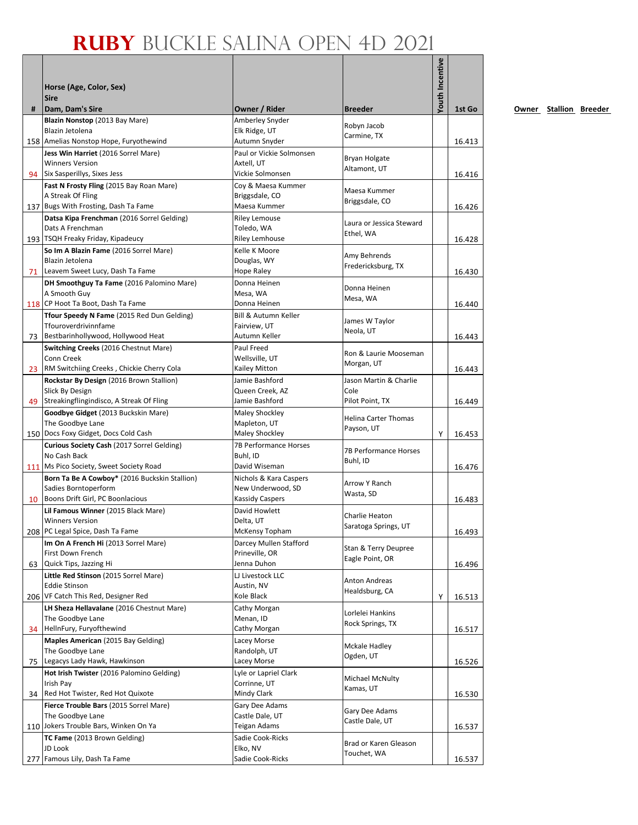|    |                                                                                    |                                             |                                        | <b>Youth Incentive</b> |        |
|----|------------------------------------------------------------------------------------|---------------------------------------------|----------------------------------------|------------------------|--------|
|    |                                                                                    |                                             |                                        |                        |        |
|    | Horse (Age, Color, Sex)<br><b>Sire</b>                                             |                                             |                                        |                        |        |
| #  | Dam, Dam's Sire                                                                    | Owner / Rider                               | <b>Breeder</b>                         |                        | 1st Go |
|    | Blazin Nonstop (2013 Bay Mare)                                                     | Amberley Snyder                             | Robyn Jacob                            |                        |        |
|    | Blazin Jetolena                                                                    | Elk Ridge, UT                               | Carmine, TX                            |                        |        |
|    | 158 Amelias Nonstop Hope, Furyothewind<br>Jess Win Harriet (2016 Sorrel Mare)      | Autumn Snyder<br>Paul or Vickie Solmonsen   |                                        |                        | 16.413 |
|    | <b>Winners Version</b>                                                             | Axtell, UT                                  | Bryan Holgate                          |                        |        |
|    | 94 Six Sasperillys, Sixes Jess                                                     | Vickie Solmonsen                            | Altamont, UT                           |                        | 16.416 |
|    | Fast N Frosty Fling (2015 Bay Roan Mare)                                           | Coy & Maesa Kummer                          | Maesa Kummer                           |                        |        |
|    | A Streak Of Fling                                                                  | Briggsdale, CO                              | Briggsdale, CO                         |                        |        |
|    | 137 Bugs With Frosting, Dash Ta Fame<br>Datsa Kipa Frenchman (2016 Sorrel Gelding) | Maesa Kummer<br><b>Riley Lemouse</b>        |                                        |                        | 16.426 |
|    | Dats A Frenchman                                                                   | Toledo, WA                                  | Laura or Jessica Steward               |                        |        |
|    | 193 TSQH Freaky Friday, Kipadeucy                                                  | <b>Riley Lemhouse</b>                       | Ethel, WA                              |                        | 16.428 |
|    | So Im A Blazin Fame (2016 Sorrel Mare)                                             | Kelle K Moore                               | Amy Behrends                           |                        |        |
|    | Blazin Jetolena                                                                    | Douglas, WY                                 | Fredericksburg, TX                     |                        |        |
|    | 71 Leavem Sweet Lucy, Dash Ta Fame                                                 | <b>Hope Raley</b>                           |                                        |                        | 16.430 |
|    | DH Smoothguy Ta Fame (2016 Palomino Mare)<br>A Smooth Guy                          | Donna Heinen<br>Mesa, WA                    | Donna Heinen                           |                        |        |
|    | 118 CP Hoot Ta Boot, Dash Ta Fame                                                  | Donna Heinen                                | Mesa, WA                               |                        | 16.440 |
|    | Tfour Speedy N Fame (2015 Red Dun Gelding)                                         | Bill & Autumn Keller                        | James W Taylor                         |                        |        |
|    | Tfouroverdrivinnfame                                                               | Fairview, UT                                | Neola, UT                              |                        |        |
|    | 73 Bestbarinhollywood, Hollywood Heat                                              | Autumn Keller                               |                                        |                        | 16.443 |
|    | Switching Creeks (2016 Chestnut Mare)<br>Conn Creek                                | Paul Freed<br>Wellsville, UT                | Ron & Laurie Mooseman                  |                        |        |
|    | 23 RM Switchiing Creeks, Chickie Cherry Cola                                       | Kailey Mitton                               | Morgan, UT                             |                        | 16.443 |
|    | Rockstar By Design (2016 Brown Stallion)                                           | Jamie Bashford                              | Jason Martin & Charlie                 |                        |        |
|    | Slick By Design                                                                    | Queen Creek, AZ                             | Cole                                   |                        |        |
|    | 49 Streakingflingindisco, A Streak Of Fling                                        | Jamie Bashford                              | Pilot Point, TX                        |                        | 16.449 |
|    | Goodbye Gidget (2013 Buckskin Mare)<br>The Goodbye Lane                            | Maley Shockley<br>Mapleton, UT              | <b>Helina Carter Thomas</b>            |                        |        |
|    | 150 Docs Foxy Gidget, Docs Cold Cash                                               | Maley Shockley                              | Payson, UT                             | Y                      | 16.453 |
|    | Curious Society Cash (2017 Sorrel Gelding)                                         | 7B Performance Horses                       |                                        |                        |        |
|    | No Cash Back                                                                       | Buhl, ID                                    | 7B Performance Horses<br>Buhl, ID      |                        |        |
|    | 111 Ms Pico Society, Sweet Society Road                                            | David Wiseman                               |                                        |                        | 16.476 |
|    | Born Ta Be A Cowboy* (2016 Buckskin Stallion)<br>Sadies Borntoperform              | Nichols & Kara Caspers<br>New Underwood, SD | Arrow Y Ranch                          |                        |        |
| 10 | Boons Drift Girl, PC Boonlacious                                                   | <b>Kassidy Caspers</b>                      | Wasta, SD                              |                        | 16.483 |
|    | Lil Famous Winner (2015 Black Mare)                                                | David Howlett                               |                                        |                        |        |
|    | <b>Winners Version</b>                                                             | Delta, UT                                   | Charlie Heaton<br>Saratoga Springs, UT |                        |        |
|    | 208 PC Legal Spice, Dash Ta Fame                                                   | McKensy Topham                              |                                        |                        | 16.493 |
|    | Im On A French Hi (2013 Sorrel Mare)<br>First Down French                          | Darcey Mullen Stafford<br>Prineville, OR    | Stan & Terry Deupree                   |                        |        |
| 63 | Quick Tips, Jazzing Hi                                                             | Jenna Duhon                                 | Eagle Point, OR                        |                        | 16.496 |
|    | Little Red Stinson (2015 Sorrel Mare)                                              | LJ Livestock LLC                            | <b>Anton Andreas</b>                   |                        |        |
|    | <b>Eddie Stinson</b>                                                               | Austin, NV                                  | Healdsburg, CA                         |                        |        |
|    | 206 VF Catch This Red, Designer Red                                                | Kole Black                                  |                                        | Υ                      | 16.513 |
|    | LH Sheza Hellavalane (2016 Chestnut Mare)<br>The Goodbye Lane                      | Cathy Morgan<br>Menan, ID                   | Lorlelei Hankins                       |                        |        |
|    | 34 HellnFury, Furyofthewind                                                        | Cathy Morgan                                | Rock Springs, TX                       |                        | 16.517 |
|    | Maples American (2015 Bay Gelding)                                                 | Lacey Morse                                 |                                        |                        |        |
|    | The Goodbye Lane                                                                   | Randolph, UT                                | Mckale Hadley<br>Ogden, UT             |                        |        |
| 75 | Legacys Lady Hawk, Hawkinson                                                       | Lacey Morse                                 |                                        |                        | 16.526 |
|    | Hot Irish Twister (2016 Palomino Gelding)<br>Irish Pay                             | Lyle or Lapriel Clark<br>Corrinne, UT       | Michael McNulty                        |                        |        |
| 34 | Red Hot Twister, Red Hot Quixote                                                   | Mindy Clark                                 | Kamas, UT                              |                        | 16.530 |
|    | Fierce Trouble Bars (2015 Sorrel Mare)                                             | Gary Dee Adams                              |                                        |                        |        |
|    | The Goodbye Lane                                                                   | Castle Dale, UT                             | Gary Dee Adams<br>Castle Dale, UT      |                        |        |
|    | 110 Jokers Trouble Bars, Winken On Ya                                              | Teigan Adams                                |                                        |                        | 16.537 |
|    | TC Fame (2013 Brown Gelding)<br>JD Look                                            | Sadie Cook-Ricks<br>Elko, NV                | Brad or Karen Gleason                  |                        |        |
|    | 277 Famous Lily, Dash Ta Fame                                                      | Sadie Cook-Ricks                            | Touchet, WA                            |                        | 16.537 |
|    |                                                                                    |                                             |                                        |                        |        |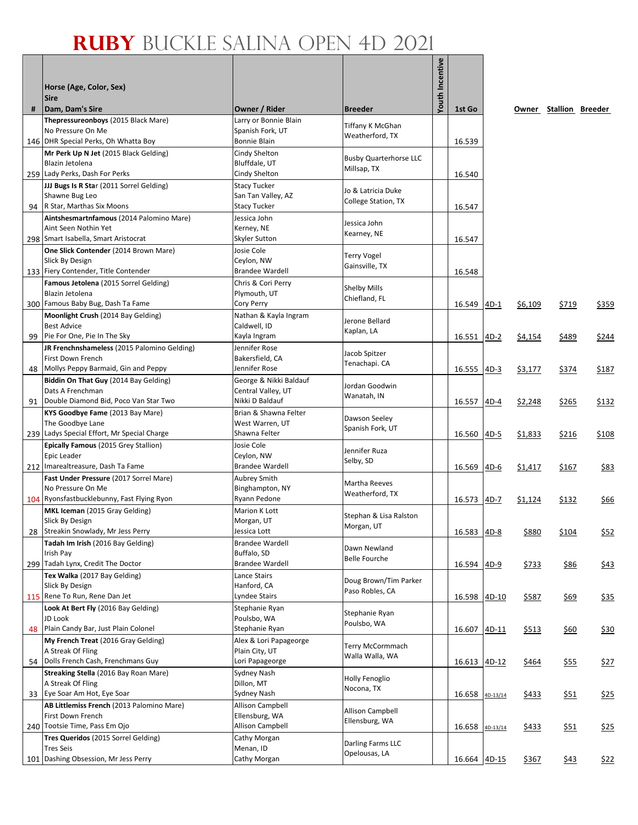|    | Horse (Age, Color, Sex)<br><b>Sire</b>                                                     |                                                                  |                                              | <b>Youth Incentive</b> |                 |        |         |                        |             |
|----|--------------------------------------------------------------------------------------------|------------------------------------------------------------------|----------------------------------------------|------------------------|-----------------|--------|---------|------------------------|-------------|
| #  | Dam, Dam's Sire                                                                            | Owner / Rider                                                    | <b>Breeder</b>                               |                        | 1st Go          |        |         | Owner Stallion Breeder |             |
|    | Thepressureonboys (2015 Black Mare)<br>No Pressure On Me                                   | Larry or Bonnie Blain<br>Spanish Fork, UT                        | Tiffany K McGhan<br>Weatherford, TX          |                        |                 |        |         |                        |             |
|    | 146 DHR Special Perks, Oh Whatta Boy                                                       | Bonnie Blain                                                     |                                              |                        | 16.539          |        |         |                        |             |
|    | Mr Perk Up N Jet (2015 Black Gelding)<br>Blazin Jetolena<br>259 Lady Perks, Dash For Perks | Cindy Shelton<br>Bluffdale, UT<br>Cindy Shelton                  | <b>Busby Quarterhorse LLC</b><br>Millsap, TX |                        | 16.540          |        |         |                        |             |
| 94 | JJJ Bugs Is R Star (2011 Sorrel Gelding)<br>Shawne Bug Leo<br>R Star, Marthas Six Moons    | <b>Stacy Tucker</b><br>San Tan Valley, AZ<br><b>Stacy Tucker</b> | Jo & Latricia Duke<br>College Station, TX    |                        | 16.547          |        |         |                        |             |
|    | Aintshesmartnfamous (2014 Palomino Mare)                                                   | Jessica John                                                     |                                              |                        |                 |        |         |                        |             |
|    | Aint Seen Nothin Yet<br>298 Smart Isabella, Smart Aristocrat                               | Kerney, NE<br>Skyler Sutton                                      | Jessica John<br>Kearney, NE                  |                        | 16.547          |        |         |                        |             |
|    | One Slick Contender (2014 Brown Mare)                                                      | Josie Cole                                                       | Terry Vogel                                  |                        |                 |        |         |                        |             |
|    | Slick By Design                                                                            | Ceylon, NW                                                       | Gainsville, TX                               |                        |                 |        |         |                        |             |
|    | 133 Fiery Contender, Title Contender                                                       | <b>Brandee Wardell</b>                                           |                                              |                        | 16.548          |        |         |                        |             |
|    | Famous Jetolena (2015 Sorrel Gelding)<br>Blazin Jetolena                                   | Chris & Cori Perry<br>Plymouth, UT                               | Shelby Mills                                 |                        |                 |        |         |                        |             |
|    | 300 Famous Baby Bug, Dash Ta Fame                                                          | Cory Perry                                                       | Chiefland, FL                                |                        | 16.549          | $4D-1$ | \$6,109 | \$719                  | \$359       |
|    | Moonlight Crush (2014 Bay Gelding)<br><b>Best Advice</b>                                   | Nathan & Kayla Ingram<br>Caldwell, ID                            | Jerone Bellard<br>Kaplan, LA                 |                        |                 |        |         |                        |             |
| 99 | Pie For One, Pie In The Sky                                                                | Kayla Ingram                                                     |                                              |                        | 16.551          | $4D-2$ | \$4,154 | \$489                  | \$244       |
|    | JR Frenchnshameless (2015 Palomino Gelding)                                                | Jennifer Rose                                                    | Jacob Spitzer                                |                        |                 |        |         |                        |             |
| 48 | First Down French<br>Mollys Peppy Barmaid, Gin and Peppy                                   | Bakersfield, CA<br>Jennifer Rose                                 | Tenachapi. CA                                |                        | 16.555 4D-3     |        | \$3,177 | \$374                  | \$187       |
|    | Biddin On That Guy (2014 Bay Gelding)                                                      | George & Nikki Baldauf                                           |                                              |                        |                 |        |         |                        |             |
|    | Dats A Frenchman                                                                           | Central Valley, UT                                               | Jordan Goodwin                               |                        |                 |        |         |                        |             |
|    | 91 Double Diamond Bid, Poco Van Star Two                                                   | Nikki D Baldauf                                                  | Wanatah, IN                                  |                        | 16.557          | $4D-4$ | \$2,248 | \$265                  | \$132       |
|    | KYS Goodbye Fame (2013 Bay Mare)                                                           | Brian & Shawna Felter                                            | Dawson Seeley                                |                        |                 |        |         |                        |             |
|    | The Goodbye Lane                                                                           | West Warren, UT                                                  | Spanish Fork, UT                             |                        |                 |        |         |                        |             |
|    | 239 Ladys Special Effort, Mr Special Charge<br>Epically Famous (2015 Grey Stallion)        | Shawna Felter<br>Josie Cole                                      |                                              |                        | 16.560          | $4D-5$ | \$1,833 | \$216                  | \$108       |
|    | Epic Leader                                                                                | Ceylon, NW                                                       | Jennifer Ruza                                |                        |                 |        |         |                        |             |
|    | 212 Imarealtreasure, Dash Ta Fame                                                          | <b>Brandee Wardell</b>                                           | Selby, SD                                    |                        | 16.569          | 4D-6   | \$1,417 | \$167                  | \$83        |
|    | Fast Under Pressure (2017 Sorrel Mare)                                                     | Aubrey Smith                                                     | Martha Reeves                                |                        |                 |        |         |                        |             |
|    | No Pressure On Me                                                                          | Binghampton, NY                                                  | Weatherford, TX                              |                        |                 |        |         |                        |             |
|    | 104 Ryonsfastbucklebunny, Fast Flying Ryon                                                 | Ryann Pedone                                                     |                                              |                        | 16.573 4D-7     |        | \$1,124 | \$132                  | \$66        |
|    | MKL Iceman (2015 Gray Gelding)<br>Slick By Design                                          | Marion K Lott<br>Morgan, UT                                      | Stephan & Lisa Ralston                       |                        |                 |        |         |                        |             |
| 28 | Streakin Snowlady, Mr Jess Perry                                                           | Jessica Lott                                                     | Morgan, UT                                   |                        | 16.583 4D-8     |        | \$880   | \$104                  | \$52        |
|    | Tadah Im Irish (2016 Bay Gelding)                                                          | <b>Brandee Wardell</b>                                           | Dawn Newland                                 |                        |                 |        |         |                        |             |
|    | Irish Pay                                                                                  | Buffalo, SD                                                      | <b>Belle Fourche</b>                         |                        |                 |        |         |                        |             |
|    | 299 Tadah Lynx, Credit The Doctor                                                          | <b>Brandee Wardell</b>                                           |                                              |                        | 16.594 4D-9     |        | \$733   | \$86                   | \$43        |
|    | Tex Walka (2017 Bay Gelding)<br>Slick By Design                                            | Lance Stairs<br>Hanford, CA                                      | Doug Brown/Tim Parker                        |                        |                 |        |         |                        |             |
|    | 115 Rene To Run, Rene Dan Jet                                                              | Lyndee Stairs                                                    | Paso Robles, CA                              |                        | 16.598          | 4D-10  | \$587   | \$69                   | \$35        |
|    | Look At Bert Fly (2016 Bay Gelding)                                                        | Stephanie Ryan                                                   | Stephanie Ryan                               |                        |                 |        |         |                        |             |
|    | JD Look                                                                                    | Poulsbo, WA                                                      | Poulsbo, WA                                  |                        |                 |        |         |                        |             |
| 48 | Plain Candy Bar, Just Plain Colonel                                                        | Stephanie Ryan                                                   |                                              |                        | 16.607          | 4D-11  | \$513   | \$60                   | \$30        |
|    | My French Treat (2016 Gray Gelding)<br>A Streak Of Fling                                   | Alex & Lori Papageorge<br>Plain City, UT                         | Terry McCormmach                             |                        |                 |        |         |                        |             |
| 54 | Dolls French Cash, Frenchmans Guy                                                          | Lori Papageorge                                                  | Walla Walla, WA                              |                        | 16.613 4D-12    |        | \$464   | \$55                   | <u>\$27</u> |
|    | Streaking Stella (2016 Bay Roan Mare)                                                      | Sydney Nash                                                      |                                              |                        |                 |        |         |                        |             |
|    | A Streak Of Fling                                                                          | Dillon, MT                                                       | Holly Fenoglio<br>Nocona, TX                 |                        |                 |        |         |                        |             |
| 33 | Eye Soar Am Hot, Eye Soar                                                                  | Sydney Nash                                                      |                                              |                        | 16.658 4D-13/14 |        | \$433   | \$51                   | \$25        |
|    | AB Littlemiss French (2013 Palomino Mare)                                                  | <b>Allison Campbell</b>                                          | Allison Campbell                             |                        |                 |        |         |                        |             |
|    | First Down French<br>240 Tootsie Time, Pass Em Ojo                                         | Ellensburg, WA<br>Allison Campbell                               | Ellensburg, WA                               |                        | 16.658 4D-13/14 |        | \$433   | \$51                   | \$25        |
|    | Tres Queridos (2015 Sorrel Gelding)                                                        | Cathy Morgan                                                     |                                              |                        |                 |        |         |                        |             |
|    | Tres Seis                                                                                  | Menan, ID                                                        | Darling Farms LLC                            |                        |                 |        |         |                        |             |
|    | 101 Dashing Obsession, Mr Jess Perry                                                       | Cathy Morgan                                                     | Opelousas, LA                                |                        | 16.664 4D-15    |        | \$367   | <u>\$43</u>            | \$22        |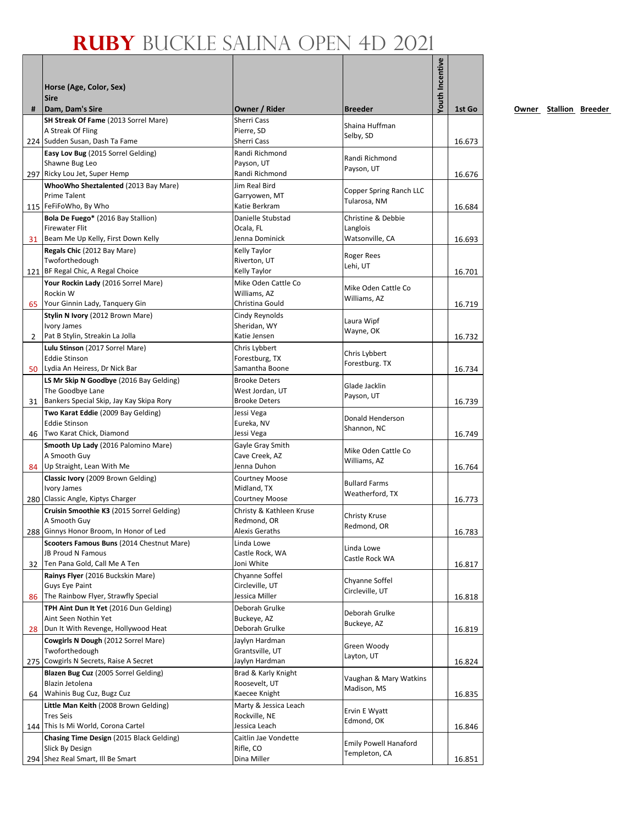|              |                                                                       |                                         |                                         | Youth Incentive |        |
|--------------|-----------------------------------------------------------------------|-----------------------------------------|-----------------------------------------|-----------------|--------|
|              | Horse (Age, Color, Sex)                                               |                                         |                                         |                 |        |
|              | <b>Sire</b>                                                           |                                         |                                         |                 |        |
| #            | Dam, Dam's Sire                                                       | Owner / Rider                           | <b>Breeder</b>                          |                 | 1st Go |
|              | SH Streak Of Fame (2013 Sorrel Mare)                                  | Sherri Cass                             | Shaina Huffman                          |                 |        |
|              | A Streak Of Fling                                                     | Pierre, SD<br>Sherri Cass               | Selby, SD                               |                 |        |
|              | 224 Sudden Susan, Dash Ta Fame<br>Easy Lov Bug (2015 Sorrel Gelding)  | Randi Richmond                          |                                         |                 | 16.673 |
|              | Shawne Bug Leo                                                        | Payson, UT                              | Randi Richmond                          |                 |        |
|              | 297 Ricky Lou Jet, Super Hemp                                         | Randi Richmond                          | Payson, UT                              |                 | 16.676 |
|              | WhooWho Sheztalented (2013 Bay Mare)                                  | Jim Real Bird                           | Copper Spring Ranch LLC                 |                 |        |
|              | <b>Prime Talent</b><br>115 FeFiFoWho, By Who                          | Garryowen, MT<br>Katie Berkram          | Tularosa, NM                            |                 |        |
|              | Bola De Fuego* (2016 Bay Stallion)                                    | Danielle Stubstad                       | Christine & Debbie                      |                 | 16.684 |
|              | <b>Firewater Flit</b>                                                 | Ocala, FL                               | Langlois                                |                 |        |
|              | 31 Beam Me Up Kelly, First Down Kelly                                 | Jenna Dominick                          | Watsonville, CA                         |                 | 16.693 |
|              | Regals Chic (2012 Bay Mare)                                           | Kelly Taylor                            | Roger Rees                              |                 |        |
|              | Twoforthedough<br>121 BF Regal Chic, A Regal Choice                   | Riverton, UT<br>Kelly Taylor            | Lehi, UT                                |                 | 16.701 |
|              | Your Rockin Lady (2016 Sorrel Mare)                                   | Mike Oden Cattle Co                     |                                         |                 |        |
|              | Rockin W                                                              | Williams, AZ                            | Mike Oden Cattle Co                     |                 |        |
| 65           | Your Ginnin Lady, Tanquery Gin                                        | Christina Gould                         | Williams, AZ                            |                 | 16.719 |
|              | Stylin N Ivory (2012 Brown Mare)                                      | Cindy Reynolds                          | Laura Wipf                              |                 |        |
|              | Ivory James<br>Pat B Stylin, Streakin La Jolla                        | Sheridan, WY<br>Katie Jensen            | Wayne, OK                               |                 |        |
| $\mathbf{2}$ | Lulu Stinson (2017 Sorrel Mare)                                       | Chris Lybbert                           |                                         |                 | 16.732 |
|              | <b>Eddie Stinson</b>                                                  | Forestburg, TX                          | Chris Lybbert                           |                 |        |
|              | 50   Lydia An Heiress, Dr Nick Bar                                    | Samantha Boone                          | Forestburg. TX                          |                 | 16.734 |
|              | LS Mr Skip N Goodbye (2016 Bay Gelding)                               | <b>Brooke Deters</b>                    | Glade Jacklin                           |                 |        |
| 31           | The Goodbye Lane<br>Bankers Special Skip, Jay Kay Skipa Rory          | West Jordan, UT<br><b>Brooke Deters</b> | Payson, UT                              |                 | 16.739 |
|              | Two Karat Eddie (2009 Bay Gelding)                                    | Jessi Vega                              |                                         |                 |        |
|              | <b>Eddie Stinson</b>                                                  | Eureka, NV                              | Donald Henderson<br>Shannon, NC         |                 |        |
|              | 46 Two Karat Chick, Diamond                                           | Jessi Vega                              |                                         |                 | 16.749 |
|              | Smooth Up Lady (2016 Palomino Mare)                                   | Gayle Gray Smith                        | Mike Oden Cattle Co                     |                 |        |
|              | A Smooth Guy<br>84 Up Straight, Lean With Me                          | Cave Creek, AZ<br>Jenna Duhon           | Williams, AZ                            |                 | 16.764 |
|              | Classic Ivory (2009 Brown Gelding)                                    | <b>Courtney Moose</b>                   |                                         |                 |        |
|              | Ivory James                                                           | Midland, TX                             | <b>Bullard Farms</b><br>Weatherford, TX |                 |        |
|              | 280 Classic Angle, Kiptys Charger                                     | <b>Courtney Moose</b>                   |                                         |                 | 16.773 |
|              | Cruisin Smoothie K3 (2015 Sorrel Gelding)<br>A Smooth Guy             | Christy & Kathleen Kruse<br>Redmond, OR | Christy Kruse                           |                 |        |
|              | 288 Ginnys Honor Broom, In Honor of Led                               | <b>Alexis Geraths</b>                   | Redmond, OR                             |                 | 16.783 |
|              | Scooters Famous Buns (2014 Chestnut Mare)                             | Linda Lowe                              |                                         |                 |        |
|              | JB Proud N Famous                                                     | Castle Rock, WA                         | Linda Lowe<br>Castle Rock WA            |                 |        |
| 32           | Ten Pana Gold, Call Me A Ten                                          | Joni White                              |                                         |                 | 16.817 |
|              | Rainys Flyer (2016 Buckskin Mare)<br>Guys Eye Paint                   | Chyanne Soffel<br>Circleville, UT       | Chyanne Soffel                          |                 |        |
| 86           | The Rainbow Flyer, Strawfly Special                                   | Jessica Miller                          | Circleville, UT                         |                 | 16.818 |
|              | TPH Aint Dun It Yet (2016 Dun Gelding)                                | Deborah Grulke                          | Deborah Grulke                          |                 |        |
|              | Aint Seen Nothin Yet                                                  | Buckeye, AZ                             | Buckeye, AZ                             |                 |        |
|              | 28   Dun It With Revenge, Hollywood Heat                              | Deborah Grulke                          |                                         |                 | 16.819 |
|              | Cowgirls N Dough (2012 Sorrel Mare)<br>Twoforthedough                 | Jaylyn Hardman<br>Grantsville, UT       | Green Woody                             |                 |        |
|              | 275 Cowgirls N Secrets, Raise A Secret                                | Jaylyn Hardman                          | Layton, UT                              |                 | 16.824 |
|              | Blazen Bug Cuz (2005 Sorrel Gelding)                                  | Brad & Karly Knight                     | Vaughan & Mary Watkins                  |                 |        |
|              | Blazin Jetolena                                                       | Roosevelt, UT                           | Madison, MS                             |                 |        |
|              | 64 Wahinis Bug Cuz, Bugz Cuz<br>Little Man Keith (2008 Brown Gelding) | Kaecee Knight<br>Marty & Jessica Leach  |                                         |                 | 16.835 |
|              | <b>Tres Seis</b>                                                      | Rockville, NE                           | Ervin E Wyatt                           |                 |        |
|              | 144 This Is Mi World, Corona Cartel                                   | Jessica Leach                           | Edmond, OK                              |                 | 16.846 |
|              | Chasing Time Design (2015 Black Gelding)                              | Caitlin Jae Vondette                    | <b>Emily Powell Hanaford</b>            |                 |        |
|              | Slick By Design                                                       | Rifle, CO                               | Templeton, CA                           |                 |        |
|              | 294 Shez Real Smart, Ill Be Smart                                     | Dina Miller                             |                                         |                 | 16.851 |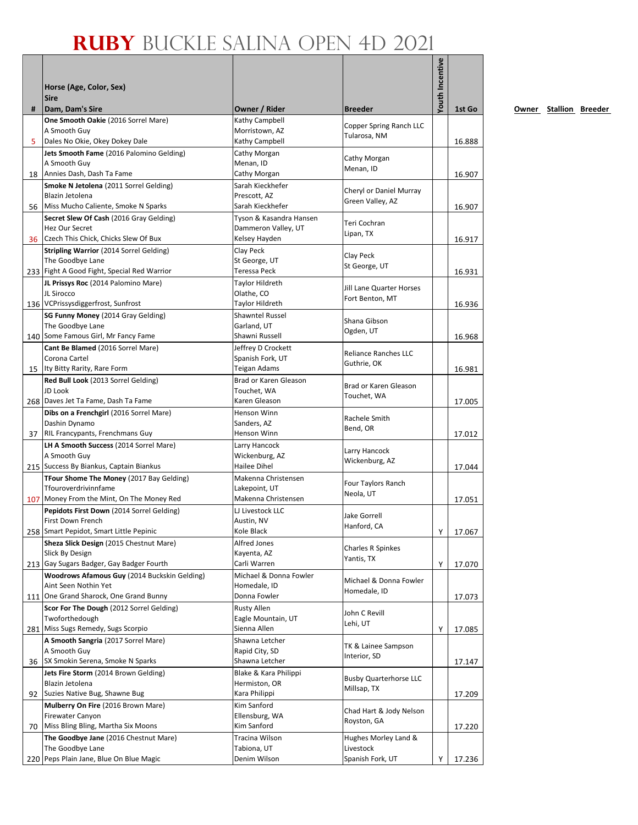|     |                                                                                |                                          |                                     | Youth Incentive |        |
|-----|--------------------------------------------------------------------------------|------------------------------------------|-------------------------------------|-----------------|--------|
|     | Horse (Age, Color, Sex)                                                        |                                          |                                     |                 |        |
|     | <b>Sire</b>                                                                    |                                          |                                     |                 |        |
| #   | Dam, Dam's Sire                                                                | Owner / Rider                            | <b>Breeder</b>                      |                 | 1st Go |
|     | One Smooth Oakie (2016 Sorrel Mare)                                            | Kathy Campbell                           | Copper Spring Ranch LLC             |                 |        |
| 5   | A Smooth Guy<br>Dales No Okie, Okey Dokey Dale                                 | Morristown, AZ<br>Kathy Campbell         | Tularosa, NM                        |                 | 16.888 |
|     | Jets Smooth Fame (2016 Palomino Gelding)                                       | Cathy Morgan                             |                                     |                 |        |
|     | A Smooth Guy                                                                   | Menan, ID                                | Cathy Morgan                        |                 |        |
|     | 18 Annies Dash, Dash Ta Fame                                                   | Cathy Morgan                             | Menan, ID                           |                 | 16.907 |
|     | <b>Smoke N Jetolena</b> (2011 Sorrel Gelding)                                  | Sarah Kieckhefer                         | Cheryl or Daniel Murray             |                 |        |
|     | Blazin Jetolena                                                                | Prescott, AZ<br>Sarah Kieckhefer         | Green Valley, AZ                    |                 |        |
| 56  | Miss Mucho Caliente, Smoke N Sparks<br>Secret Slew Of Cash (2016 Gray Gelding) | Tyson & Kasandra Hansen                  |                                     |                 | 16.907 |
|     | Hez Our Secret                                                                 | Dammeron Valley, UT                      | Teri Cochran                        |                 |        |
|     | 36 Czech This Chick, Chicks Slew Of Bux                                        | Kelsey Hayden                            | Lipan, TX                           |                 | 16.917 |
|     | <b>Stripling Warrior</b> (2014 Sorrel Gelding)                                 | Clay Peck                                | Clay Peck                           |                 |        |
|     | The Goodbye Lane                                                               | St George, UT                            | St George, UT                       |                 |        |
|     | 233 Fight A Good Fight, Special Red Warrior                                    | Teressa Peck                             |                                     |                 | 16.931 |
|     | JL Prissys Roc (2014 Palomino Mare)<br>JL Sirocco                              | Taylor Hildreth<br>Olathe, CO            | Jill Lane Quarter Horses            |                 |        |
|     | 136 VCPrissysdiggerfrost, Sunfrost                                             | Taylor Hildreth                          | Fort Benton, MT                     |                 | 16.936 |
|     | SG Funny Money (2014 Gray Gelding)                                             | <b>Shawntel Russel</b>                   |                                     |                 |        |
|     | The Goodbye Lane                                                               | Garland, UT                              | Shana Gibson                        |                 |        |
|     | 140 Some Famous Girl, Mr Fancy Fame                                            | Shawni Russell                           | Ogden, UT                           |                 | 16.968 |
|     | Cant Be Blamed (2016 Sorrel Mare)                                              | Jeffrey D Crockett                       | <b>Reliance Ranches LLC</b>         |                 |        |
|     | Corona Cartel                                                                  | Spanish Fork, UT<br>Teigan Adams         | Guthrie, OK                         |                 |        |
|     | 15   Ity Bitty Rarity, Rare Form<br>Red Bull Look (2013 Sorrel Gelding)        | Brad or Karen Gleason                    |                                     |                 | 16.981 |
|     | JD Look                                                                        | Touchet, WA                              | Brad or Karen Gleason               |                 |        |
|     | 268 Daves Jet Ta Fame, Dash Ta Fame                                            | Karen Gleason                            | Touchet, WA                         |                 | 17.005 |
|     | Dibs on a Frenchgirl (2016 Sorrel Mare)                                        | Henson Winn                              | Rachele Smith                       |                 |        |
|     | Dashin Dynamo                                                                  | Sanders, AZ                              | Bend, OR                            |                 |        |
|     | 37 RIL Francypants, Frenchmans Guy                                             | Henson Winn                              |                                     |                 | 17.012 |
|     | LH A Smooth Success (2014 Sorrel Mare)                                         | Larry Hancock                            | Larry Hancock                       |                 |        |
|     | A Smooth Guy<br>215 Success By Biankus, Captain Biankus                        | Wickenburg, AZ<br>Hailee Dihel           | Wickenburg, AZ                      |                 | 17.044 |
|     | TFour Shome The Money (2017 Bay Gelding)                                       | Makenna Christensen                      |                                     |                 |        |
|     | Tfouroverdrivinnfame                                                           | Lakepoint, UT                            | Four Taylors Ranch<br>Neola, UT     |                 |        |
|     | 107 Money From the Mint, On The Money Red                                      | Makenna Christensen                      |                                     |                 | 17.051 |
|     | Pepidots First Down (2014 Sorrel Gelding)                                      | LJ Livestock LLC                         | Jake Gorrell                        |                 |        |
|     | First Down French<br>258 Smart Pepidot, Smart Little Pepinic                   | Austin, NV<br>Kole Black                 | Hanford, CA                         | Y               |        |
|     | Sheza Slick Design (2015 Chestnut Mare)                                        | Alfred Jones                             |                                     |                 | 17.067 |
|     | Slick By Design                                                                | Kayenta, AZ                              | Charles R Spinkes                   |                 |        |
|     | 213 Gay Sugars Badger, Gay Badger Fourth                                       | Carli Warren                             | Yantis, TX                          | Υ               | 17.070 |
|     | Woodrows Afamous Guy (2014 Buckskin Gelding)                                   | Michael & Donna Fowler                   | Michael & Donna Fowler              |                 |        |
|     | Aint Seen Nothin Yet                                                           | Homedale, ID                             | Homedale, ID                        |                 |        |
|     | 111 One Grand Sharock, One Grand Bunny                                         | Donna Fowler                             |                                     |                 | 17.073 |
|     | Scor For The Dough (2012 Sorrel Gelding)<br>Twoforthedough                     | <b>Rusty Allen</b><br>Eagle Mountain, UT | John C Revill                       |                 |        |
|     | 281 Miss Sugs Remedy, Sugs Scorpio                                             | Sienna Allen                             | Lehi, UT                            | Υ               | 17.085 |
|     | A Smooth Sangria (2017 Sorrel Mare)                                            | Shawna Letcher                           |                                     |                 |        |
|     | A Smooth Guy                                                                   | Rapid City, SD                           | TK & Lainee Sampson<br>Interior, SD |                 |        |
| 36  | SX Smokin Serena, Smoke N Sparks                                               | Shawna Letcher                           |                                     |                 | 17.147 |
|     | Jets Fire Storm (2014 Brown Gelding)                                           | Blake & Kara Philippi                    | <b>Busby Quarterhorse LLC</b>       |                 |        |
| 92  | Blazin Jetolena<br>Suzies Native Bug, Shawne Bug                               | Hermiston, OR<br>Kara Philippi           | Millsap, TX                         |                 | 17.209 |
|     | Mulberry On Fire (2016 Brown Mare)                                             | Kim Sanford                              |                                     |                 |        |
|     | <b>Firewater Canyon</b>                                                        | Ellensburg, WA                           | Chad Hart & Jody Nelson             |                 |        |
|     | 70 Miss Bling Bling, Martha Six Moons                                          | Kim Sanford                              | Royston, GA                         |                 | 17.220 |
|     | The Goodbye Jane (2016 Chestnut Mare)                                          | Tracina Wilson                           | Hughes Morley Land &                |                 |        |
|     | The Goodbye Lane                                                               | Tabiona, UT                              | Livestock                           |                 |        |
| 220 | Peps Plain Jane, Blue On Blue Magic                                            | Denim Wilson                             | Spanish Fork, UT                    | Υ               | 17.236 |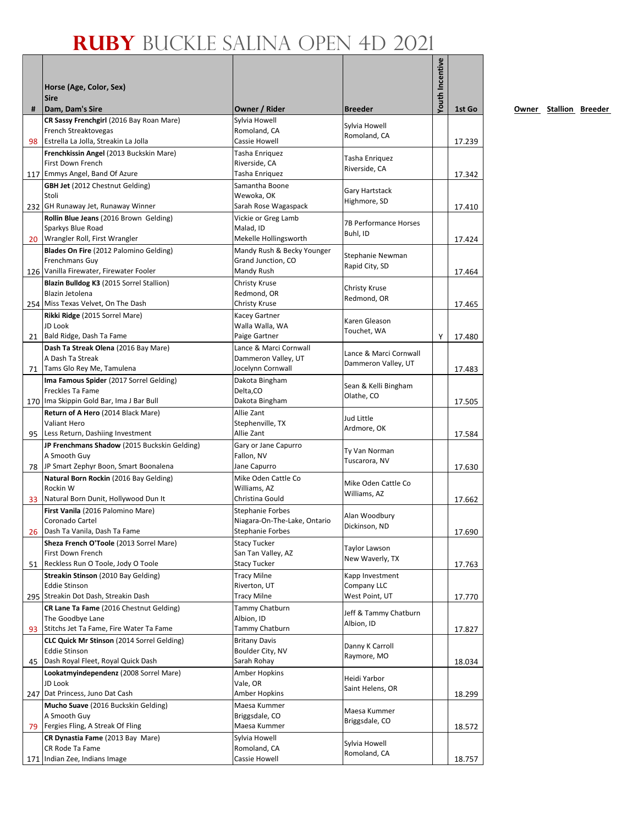|    | Horse (Age, Color, Sex)<br><b>Sire</b>                                          |                                               |                               | <b>Youth Incentive</b> |        |
|----|---------------------------------------------------------------------------------|-----------------------------------------------|-------------------------------|------------------------|--------|
| #  | Dam, Dam's Sire                                                                 | Owner / Rider                                 | <b>Breeder</b>                |                        | 1st Go |
|    | CR Sassy Frenchgirl (2016 Bay Roan Mare)                                        | Sylvia Howell                                 | Sylvia Howell                 |                        |        |
|    | French Streaktovegas                                                            | Romoland, CA                                  | Romoland, CA                  |                        |        |
| 98 | Estrella La Jolla, Streakin La Jolla                                            | Cassie Howell                                 |                               |                        | 17.239 |
|    | Frenchkissin Angel (2013 Buckskin Mare)<br>First Down French                    | Tasha Enriquez<br>Riverside, CA               | Tasha Enriquez                |                        |        |
|    | 117 Emmys Angel, Band Of Azure                                                  | Tasha Enriquez                                | Riverside, CA                 |                        | 17.342 |
|    | <b>GBH Jet</b> (2012 Chestnut Gelding)                                          | Samantha Boone                                | Gary Hartstack                |                        |        |
|    | Stoli                                                                           | Wewoka, OK                                    | Highmore, SD                  |                        |        |
|    | 232 GH Runaway Jet, Runaway Winner<br>Rollin Blue Jeans (2016 Brown Gelding)    | Sarah Rose Wagaspack<br>Vickie or Greg Lamb   |                               |                        | 17.410 |
|    | Sparkys Blue Road                                                               | Malad, ID                                     | <b>7B Performance Horses</b>  |                        |        |
|    | 20 Wrangler Roll, First Wrangler                                                | Mekelle Hollingsworth                         | Buhl, ID                      |                        | 17.424 |
|    | Blades On Fire (2012 Palomino Gelding)                                          | Mandy Rush & Becky Younger                    | Stephanie Newman              |                        |        |
|    | <b>Frenchmans Guy</b>                                                           | Grand Junction, CO                            | Rapid City, SD                |                        |        |
|    | 126 Vanilla Firewater, Firewater Fooler                                         | Mandy Rush                                    |                               |                        | 17.464 |
|    | Blazin Bulldog K3 (2015 Sorrel Stallion)<br>Blazin Jetolena                     | Christy Kruse<br>Redmond, OR                  | Christy Kruse                 |                        |        |
|    | 254 Miss Texas Velvet, On The Dash                                              | Christy Kruse                                 | Redmond, OR                   |                        | 17.465 |
|    | Rikki Ridge (2015 Sorrel Mare)                                                  | Kacey Gartner                                 | Karen Gleason                 |                        |        |
|    | JD Look                                                                         | Walla Walla, WA                               | Touchet, WA                   |                        |        |
|    | 21 Bald Ridge, Dash Ta Fame                                                     | Paige Gartner                                 |                               | Y                      | 17.480 |
|    | Dash Ta Streak Olena (2016 Bay Mare)<br>A Dash Ta Streak                        | Lance & Marci Cornwall<br>Dammeron Valley, UT | Lance & Marci Cornwall        |                        |        |
|    | 71 Tams Glo Rey Me, Tamulena                                                    | Jocelynn Cornwall                             | Dammeron Valley, UT           |                        | 17.483 |
|    | Ima Famous Spider (2017 Sorrel Gelding)                                         | Dakota Bingham                                | Sean & Kelli Bingham          |                        |        |
|    | Freckles Ta Fame                                                                | Delta, CO                                     | Olathe, CO                    |                        |        |
|    | 170 Ima Skippin Gold Bar, Ima J Bar Bull                                        | Dakota Bingham                                |                               |                        | 17.505 |
|    | Return of A Hero (2014 Black Mare)<br><b>Valiant Hero</b>                       | Allie Zant<br>Stephenville, TX                | Jud Little                    |                        |        |
|    | 95 Less Return, Dashiing Investment                                             | Allie Zant                                    | Ardmore, OK                   |                        | 17.584 |
|    | JP Frenchmans Shadow (2015 Buckskin Gelding)                                    | Gary or Jane Capurro                          | Ty Van Norman                 |                        |        |
|    | A Smooth Guy                                                                    | Fallon, NV                                    | Tuscarora, NV                 |                        |        |
|    | 78 JP Smart Zephyr Boon, Smart Boonalena                                        | Jane Capurro                                  |                               |                        | 17.630 |
|    | Natural Born Rockin (2016 Bay Gelding)<br>Rockin W                              | Mike Oden Cattle Co<br>Williams, AZ           | Mike Oden Cattle Co           |                        |        |
| 33 | Natural Born Dunit, Hollywood Dun It                                            | Christina Gould                               | Williams, AZ                  |                        | 17.662 |
|    | First Vanila (2016 Palomino Mare)                                               | Stephanie Forbes                              | Alan Woodbury                 |                        |        |
|    | Coronado Cartel                                                                 | Niagara-On-The-Lake, Ontario                  | Dickinson, ND                 |                        |        |
| 26 | Dash Ta Vanila, Dash Ta Fame<br>Sheza French O'Toole (2013 Sorrel Mare)         | Stephanie Forbes<br><b>Stacy Tucker</b>       |                               |                        | 17.690 |
|    | First Down French                                                               | San Tan Valley, AZ                            | Taylor Lawson                 |                        |        |
| 51 | Reckless Run O Toole, Jody O Toole                                              | Stacy Tucker                                  | New Waverly, TX               |                        | 17.763 |
|    | Streakin Stinson (2010 Bay Gelding)                                             | <b>Tracy Milne</b>                            | Kapp Investment               |                        |        |
|    | <b>Eddie Stinson</b>                                                            | Riverton, UT                                  | Company LLC                   |                        |        |
|    | 295 Streakin Dot Dash, Streakin Dash<br>CR Lane Ta Fame (2016 Chestnut Gelding) | Tracy Milne<br>Tammy Chatburn                 | West Point, UT                |                        | 17.770 |
|    | The Goodbye Lane                                                                | Albion, ID                                    | Jeff & Tammy Chatburn         |                        |        |
| 93 | Stitchs Jet Ta Fame, Fire Water Ta Fame                                         | Tammy Chatburn                                | Albion, ID                    |                        | 17.827 |
|    | <b>CLC Quick Mr Stinson</b> (2014 Sorrel Gelding)                               | <b>Britany Davis</b>                          | Danny K Carroll               |                        |        |
| 45 | <b>Eddie Stinson</b><br>Dash Royal Fleet, Royal Quick Dash                      | Boulder City, NV<br>Sarah Rohay               | Raymore, MO                   |                        |        |
|    | Lookatmyindependenz (2008 Sorrel Mare)                                          | Amber Hopkins                                 |                               |                        | 18.034 |
|    | JD Look                                                                         | Vale, OR                                      | Heidi Yarbor                  |                        |        |
|    | 247 Dat Princess, Juno Dat Cash                                                 | Amber Hopkins                                 | Saint Helens, OR              |                        | 18.299 |
|    | Mucho Suave (2016 Buckskin Gelding)                                             | Maesa Kummer                                  | Maesa Kummer                  |                        |        |
| 79 | A Smooth Guy<br>Fergies Fling, A Streak Of Fling                                | Briggsdale, CO<br>Maesa Kummer                | Briggsdale, CO                |                        | 18.572 |
|    | CR Dynastia Fame (2013 Bay Mare)                                                | Sylvia Howell                                 |                               |                        |        |
|    | CR Rode Ta Fame                                                                 | Romoland, CA                                  | Sylvia Howell<br>Romoland, CA |                        |        |
|    | 171 Indian Zee, Indians Image                                                   | Cassie Howell                                 |                               |                        | 18.757 |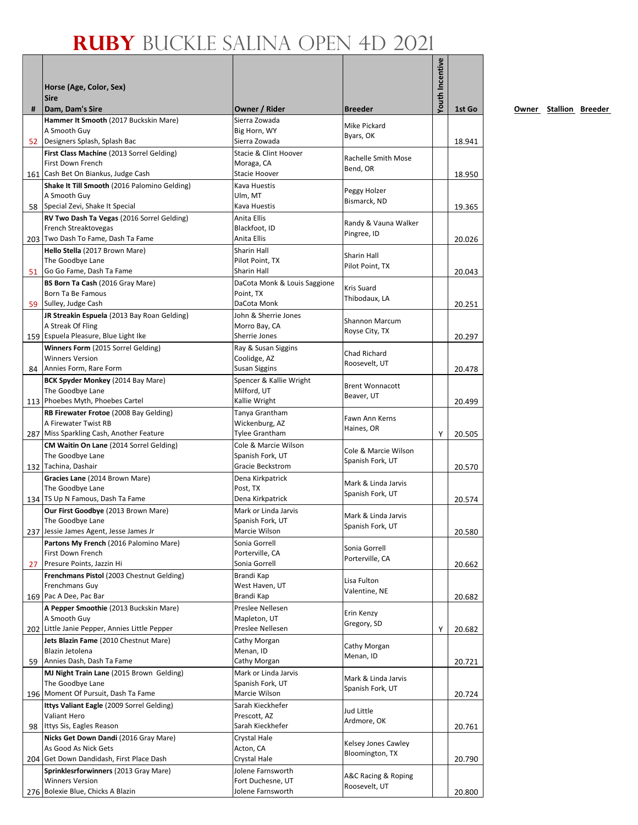|    | Horse (Age, Color, Sex)<br><b>Sire</b>                                              |                                           |                                      | <b>Youth Incentive</b> |        |
|----|-------------------------------------------------------------------------------------|-------------------------------------------|--------------------------------------|------------------------|--------|
| #  | Dam, Dam's Sire                                                                     | Owner / Rider                             | <b>Breeder</b>                       |                        | 1st Go |
|    | Hammer It Smooth (2017 Buckskin Mare)<br>A Smooth Guy                               | Sierra Zowada<br>Big Horn, WY             | Mike Pickard                         |                        |        |
| 52 | Designers Splash, Splash Bac                                                        | Sierra Zowada                             | Byars, OK                            |                        | 18.941 |
|    | First Class Machine (2013 Sorrel Gelding)                                           | Stacie & Clint Hoover                     |                                      |                        |        |
|    | First Down French                                                                   | Moraga, CA                                | Rachelle Smith Mose                  |                        |        |
|    | 161 Cash Bet On Biankus, Judge Cash                                                 | Stacie Hoover                             | Bend, OR                             |                        | 18.950 |
|    | Shake It Till Smooth (2016 Palomino Gelding)                                        | Kava Huestis                              | Peggy Holzer                         |                        |        |
|    | A Smooth Guy<br>58 Special Zevi, Shake It Special                                   | Ulm, MT<br>Kava Huestis                   | Bismarck, ND                         |                        |        |
|    | RV Two Dash Ta Vegas (2016 Sorrel Gelding)                                          | Anita Ellis                               |                                      |                        | 19.365 |
|    | French Streaktovegas                                                                | Blackfoot, ID                             | Randy & Vauna Walker                 |                        |        |
|    | 203 Two Dash To Fame, Dash Ta Fame                                                  | Anita Ellis                               | Pingree, ID                          |                        | 20.026 |
|    | Hello Stella (2017 Brown Mare)                                                      | Sharin Hall                               | Sharin Hall                          |                        |        |
|    | The Goodbye Lane                                                                    | Pilot Point, TX                           | Pilot Point, TX                      |                        |        |
| 51 | Go Go Fame, Dash Ta Fame                                                            | Sharin Hall                               |                                      |                        | 20.043 |
|    | BS Born Ta Cash (2016 Gray Mare)<br>Born Ta Be Famous                               | DaCota Monk & Louis Saggione<br>Point, TX | Kris Suard                           |                        |        |
| 59 | Sulley, Judge Cash                                                                  | DaCota Monk                               | Thibodaux, LA                        |                        | 20.251 |
|    | JR Streakin Espuela (2013 Bay Roan Gelding)                                         | John & Sherrie Jones                      |                                      |                        |        |
|    | A Streak Of Fling                                                                   | Morro Bay, CA                             | Shannon Marcum<br>Royse City, TX     |                        |        |
|    | 159 Espuela Pleasure, Blue Light Ike                                                | Sherrie Jones                             |                                      |                        | 20.297 |
|    | Winners Form (2015 Sorrel Gelding)                                                  | Ray & Susan Siggins                       | Chad Richard                         |                        |        |
|    | <b>Winners Version</b><br>84 Annies Form, Rare Form                                 | Coolidge, AZ<br>Susan Siggins             | Roosevelt, UT                        |                        | 20.478 |
|    | BCK Spyder Monkey (2014 Bay Mare)                                                   | Spencer & Kallie Wright                   |                                      |                        |        |
|    | The Goodbye Lane                                                                    | Milford, UT                               | <b>Brent Wonnacott</b>               |                        |        |
|    | 113 Phoebes Myth, Phoebes Cartel                                                    | Kallie Wright                             | Beaver, UT                           |                        | 20.499 |
|    | RB Firewater Frotoe (2008 Bay Gelding)                                              | Tanya Grantham                            | Fawn Ann Kerns                       |                        |        |
|    | A Firewater Twist RB                                                                | Wickenburg, AZ                            | Haines, OR                           |                        |        |
|    | 287 Miss Sparkling Cash, Another Feature<br>CM Waitin On Lane (2014 Sorrel Gelding) | Tylee Grantham<br>Cole & Marcie Wilson    |                                      | Υ                      | 20.505 |
|    | The Goodbye Lane                                                                    | Spanish Fork, UT                          | Cole & Marcie Wilson                 |                        |        |
|    | 132 Tachina, Dashair                                                                | Gracie Beckstrom                          | Spanish Fork, UT                     |                        | 20.570 |
|    | Gracies Lane (2014 Brown Mare)                                                      | Dena Kirkpatrick                          | Mark & Linda Jarvis                  |                        |        |
|    | The Goodbye Lane                                                                    | Post, TX                                  | Spanish Fork, UT                     |                        |        |
|    | 134 TS Up N Famous, Dash Ta Fame                                                    | Dena Kirkpatrick                          |                                      |                        | 20.574 |
|    | Our First Goodbye (2013 Brown Mare)<br>The Goodbye Lane                             | Mark or Linda Jarvis<br>Spanish Fork, UT  | Mark & Linda Jarvis                  |                        |        |
|    | 237 Jessie James Agent, Jesse James Jr                                              | Marcie Wilson                             | Spanish Fork, UT                     |                        | 20.580 |
|    | Partons My French (2016 Palomino Mare)                                              | Sonia Gorrell                             |                                      |                        |        |
|    | First Down French                                                                   | Porterville, CA                           | Sonia Gorrell<br>Porterville, CA     |                        |        |
| 27 | Presure Points, Jazzin Hi                                                           | Sonia Gorrell                             |                                      |                        | 20.662 |
|    | Frenchmans Pistol (2003 Chestnut Gelding)<br>Frenchmans Guy                         | Brandi Kap<br>West Haven, UT              | Lisa Fulton                          |                        |        |
|    | 169 Pac A Dee, Pac Bar                                                              | Brandi Kap                                | Valentine, NE                        |                        | 20.682 |
|    | A Pepper Smoothie (2013 Buckskin Mare)                                              | Preslee Nellesen                          |                                      |                        |        |
|    | A Smooth Guy                                                                        | Mapleton, UT                              | Erin Kenzy<br>Gregory, SD            |                        |        |
|    | 202 Little Janie Pepper, Annies Little Pepper                                       | Preslee Nellesen                          |                                      | Υ                      | 20.682 |
|    | Jets Blazin Fame (2010 Chestnut Mare)                                               | Cathy Morgan                              | Cathy Morgan                         |                        |        |
|    | Blazin Jetolena<br>Annies Dash, Dash Ta Fame                                        | Menan, ID<br>Cathy Morgan                 | Menan, ID                            |                        |        |
| 59 | MJ Night Train Lane (2015 Brown Gelding)                                            | Mark or Linda Jarvis                      |                                      |                        | 20.721 |
|    | The Goodbye Lane                                                                    | Spanish Fork, UT                          | Mark & Linda Jarvis                  |                        |        |
|    | 196 Moment Of Pursuit, Dash Ta Fame                                                 | Marcie Wilson                             | Spanish Fork, UT                     |                        | 20.724 |
|    | Ittys Valiant Eagle (2009 Sorrel Gelding)                                           | Sarah Kieckhefer                          | Jud Little                           |                        |        |
|    | Valiant Hero                                                                        | Prescott, AZ                              | Ardmore, OK                          |                        |        |
|    | 98 Ittys Sis, Eagles Reason                                                         | Sarah Kieckhefer                          |                                      |                        | 20.761 |
|    | Nicks Get Down Dandi (2016 Gray Mare)<br>As Good As Nick Gets                       | Crystal Hale<br>Acton, CA                 | Kelsey Jones Cawley                  |                        |        |
|    | 204 Get Down Dandidash, First Place Dash                                            | Crystal Hale                              | Bloomington, TX                      |                        | 20.790 |
|    | Sprinklesrforwinners (2013 Gray Mare)                                               | Jolene Farnsworth                         |                                      |                        |        |
|    | <b>Winners Version</b>                                                              | Fort Duchesne, UT                         | A&C Racing & Roping<br>Roosevelt, UT |                        |        |
|    | 276 Bolexie Blue, Chicks A Blazin                                                   | Jolene Farnsworth                         |                                      |                        | 20.800 |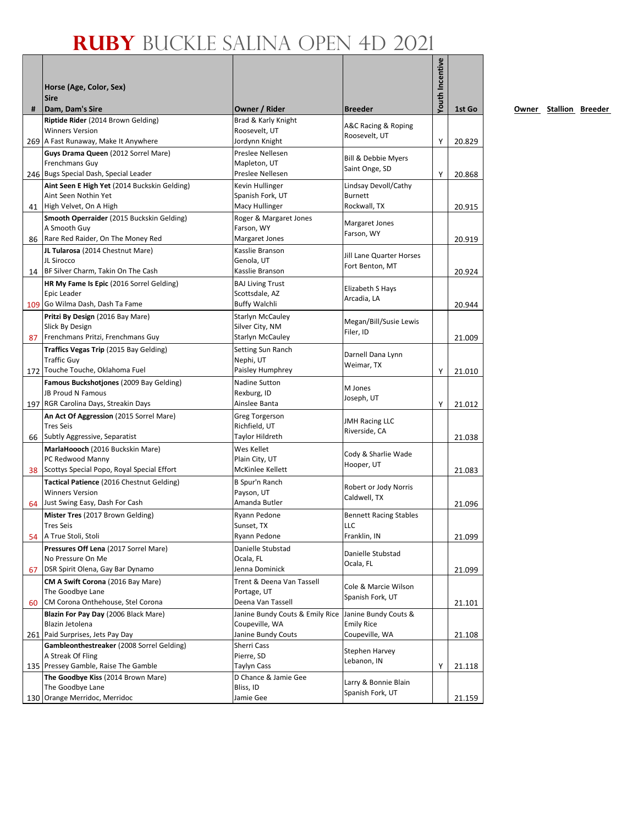| #  | Horse (Age, Color, Sex)<br><b>Sire</b><br>Dam, Dam's Sire                             | Owner / Rider                             | Breeder                               | <b>Youth Incentive</b> | 1st Go |
|----|---------------------------------------------------------------------------------------|-------------------------------------------|---------------------------------------|------------------------|--------|
|    | Riptide Rider (2014 Brown Gelding)                                                    | Brad & Karly Knight                       |                                       |                        |        |
|    | <b>Winners Version</b>                                                                | Roosevelt, UT                             | A&C Racing & Roping<br>Roosevelt, UT  |                        |        |
|    | 269 A Fast Runaway, Make It Anywhere                                                  | Jordynn Knight                            |                                       | Υ                      | 20.829 |
|    | Guys Drama Queen (2012 Sorrel Mare)                                                   | Preslee Nellesen                          | <b>Bill &amp; Debbie Myers</b>        |                        |        |
|    | Frenchmans Guy                                                                        | Mapleton, UT<br>Preslee Nellesen          | Saint Onge, SD                        |                        | 20.868 |
|    | 246 Bugs Special Dash, Special Leader<br>Aint Seen E High Yet (2014 Buckskin Gelding) |                                           | Lindsay Devoll/Cathy                  | Υ                      |        |
|    | Aint Seen Nothin Yet                                                                  | Kevin Hullinger<br>Spanish Fork, UT       | Burnett                               |                        |        |
| 41 | High Velvet, On A High                                                                | Macy Hullinger                            | Rockwall, TX                          |                        | 20.915 |
|    | Smooth Operraider (2015 Buckskin Gelding)                                             | Roger & Margaret Jones                    |                                       |                        |        |
|    | A Smooth Guy                                                                          | Farson, WY                                | Margaret Jones<br>Farson, WY          |                        |        |
|    | 86 Rare Red Raider, On The Money Red                                                  | Margaret Jones                            |                                       |                        | 20.919 |
|    | JL Tularosa (2014 Chestnut Mare)                                                      | Kasslie Branson                           | Jill Lane Quarter Horses              |                        |        |
|    | JL Sirocco                                                                            | Genola, UT                                | Fort Benton, MT                       |                        |        |
|    | 14 BF Silver Charm, Takin On The Cash                                                 | Kasslie Branson                           |                                       |                        | 20.924 |
|    | HR My Fame Is Epic (2016 Sorrel Gelding)<br>Epic Leader                               | <b>BAJ Living Trust</b><br>Scottsdale, AZ | Elizabeth S Hays                      |                        |        |
|    | 109 Go Wilma Dash, Dash Ta Fame                                                       | <b>Buffy Walchli</b>                      | Arcadia, LA                           |                        | 20.944 |
|    | Pritzi By Design (2016 Bay Mare)                                                      | Starlyn McCauley                          |                                       |                        |        |
|    | Slick By Design                                                                       | Silver City, NM                           | Megan/Bill/Susie Lewis                |                        |        |
| 87 | Frenchmans Pritzi, Frenchmans Guy                                                     | <b>Starlyn McCauley</b>                   | Filer, ID                             |                        | 21.009 |
|    | Traffics Vegas Trip (2015 Bay Gelding)                                                | Setting Sun Ranch                         |                                       |                        |        |
|    | <b>Traffic Guy</b>                                                                    | Nephi, UT                                 | Darnell Dana Lynn<br>Weimar, TX       |                        |        |
|    | 172 Touche Touche, Oklahoma Fuel                                                      | Paisley Humphrey                          |                                       | Υ                      | 21.010 |
|    | Famous Buckshotjones (2009 Bay Gelding)                                               | Nadine Sutton                             | M Jones                               |                        |        |
|    | JB Proud N Famous                                                                     | Rexburg, ID                               | Joseph, UT                            |                        |        |
|    | 197 RGR Carolina Days, Streakin Days                                                  | Ainslee Banta                             |                                       | Υ                      | 21.012 |
|    | An Act Of Aggression (2015 Sorrel Mare)<br><b>Tres Seis</b>                           | Greg Torgerson                            | <b>JMH Racing LLC</b>                 |                        |        |
|    | 66 Subtly Aggressive, Separatist                                                      | Richfield, UT<br>Taylor Hildreth          | Riverside, CA                         |                        | 21.038 |
|    | MarlaHoooch (2016 Buckskin Mare)                                                      | Wes Kellet                                |                                       |                        |        |
|    | PC Redwood Manny                                                                      | Plain City, UT                            | Cody & Sharlie Wade                   |                        |        |
|    | 38 Scottys Special Popo, Royal Special Effort                                         | McKinlee Kellett                          | Hooper, UT                            |                        | 21.083 |
|    | Tactical Patience (2016 Chestnut Gelding)                                             | B Spur'n Ranch                            |                                       |                        |        |
|    | <b>Winners Version</b>                                                                | Payson, UT                                | Robert or Jody Norris<br>Caldwell, TX |                        |        |
| 64 | Just Swing Easy, Dash For Cash                                                        | Amanda Butler                             |                                       |                        | 21.096 |
|    | Mister Tres (2017 Brown Gelding)                                                      | Ryann Pedone                              | <b>Bennett Racing Stables</b>         |                        |        |
|    | Tres Seis                                                                             | Sunset, TX                                | LLC                                   |                        |        |
| 54 | A True Stoli, Stoli                                                                   | Ryann Pedone                              | Franklin, IN                          |                        | 21.099 |
|    | Pressures Off Lena (2017 Sorrel Mare)<br>No Pressure On Me                            | Danielle Stubstad<br>Ocala, FL            | Danielle Stubstad                     |                        |        |
| 67 | DSR Spirit Olena, Gay Bar Dynamo                                                      | Jenna Dominick                            | Ocala, FL                             |                        | 21.099 |
|    | CM A Swift Corona (2016 Bay Mare)                                                     | Trent & Deena Van Tassell                 |                                       |                        |        |
|    | The Goodbye Lane                                                                      | Portage, UT                               | Cole & Marcie Wilson                  |                        |        |
| 60 | CM Corona Onthehouse, Stel Corona                                                     | Deena Van Tassell                         | Spanish Fork, UT                      |                        | 21.101 |
|    | Blazin For Pay Day (2006 Black Mare)                                                  | Janine Bundy Couts & Emily Rice           | Janine Bundy Couts &                  |                        |        |
|    | Blazin Jetolena                                                                       | Coupeville, WA                            | <b>Emily Rice</b>                     |                        |        |
|    | 261 Paid Surprises, Jets Pay Day                                                      | Janine Bundy Couts                        | Coupeville, WA                        |                        | 21.108 |
|    | Gambleonthestreaker (2008 Sorrel Gelding)                                             | Sherri Cass                               | Stephen Harvey                        |                        |        |
|    | A Streak Of Fling<br>135 Pressey Gamble, Raise The Gamble                             | Pierre, SD<br>Taylyn Cass                 | Lebanon, IN                           | Υ                      | 21.118 |
|    | The Goodbye Kiss (2014 Brown Mare)                                                    | D Chance & Jamie Gee                      |                                       |                        |        |
|    | The Goodbye Lane                                                                      | Bliss, ID                                 | Larry & Bonnie Blain                  |                        |        |
|    | 130 Orange Merridoc, Merridoc                                                         | Jamie Gee                                 | Spanish Fork, UT                      |                        | 21.159 |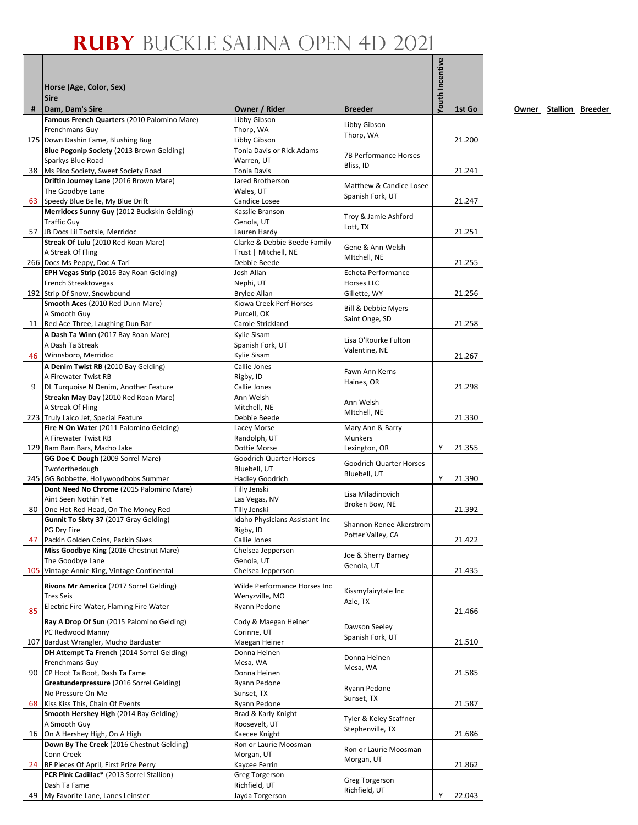|    | Horse (Age, Color, Sex)<br><b>Sire</b>                                            |                                                |                                     | <b>/outh Incentive</b> |        |
|----|-----------------------------------------------------------------------------------|------------------------------------------------|-------------------------------------|------------------------|--------|
| #  | Dam, Dam's Sire                                                                   | Owner / Rider                                  | <b>Breeder</b>                      |                        | 1st Go |
|    | Famous French Quarters (2010 Palomino Mare)<br>Frenchmans Guy                     | Libby Gibson<br>Thorp, WA                      | Libby Gibson                        |                        |        |
|    | 175 Down Dashin Fame, Blushing Bug                                                | Libby Gibson                                   | Thorp, WA                           |                        | 21.200 |
|    | Blue Pogonip Society (2013 Brown Gelding)                                         | Tonia Davis or Rick Adams                      | 7B Performance Horses               |                        |        |
|    | Sparkys Blue Road                                                                 | Warren, UT                                     | Bliss, ID                           |                        |        |
|    | 38 Ms Pico Society, Sweet Society Road                                            | Tonia Davis                                    |                                     |                        | 21.241 |
|    | Driftin Journey Lane (2016 Brown Mare)<br>The Goodbye Lane                        | Jared Brotherson<br>Wales, UT                  | Matthew & Candice Losee             |                        |        |
|    | 63 Speedy Blue Belle, My Blue Drift                                               | Candice Losee                                  | Spanish Fork, UT                    |                        | 21.247 |
|    | Merridocs Sunny Guy (2012 Buckskin Gelding)                                       | Kasslie Branson                                | Troy & Jamie Ashford                |                        |        |
|    | <b>Traffic Guy</b>                                                                | Genola, UT                                     | Lott, TX                            |                        |        |
|    | 57 JB Docs Lil Tootsie, Merridoc<br>Streak Of Lulu (2010 Red Roan Mare)           | Lauren Hardy<br>Clarke & Debbie Beede Family   |                                     |                        | 21.251 |
|    | A Streak Of Fling                                                                 | Trust   Mitchell, NE                           | Gene & Ann Welsh                    |                        |        |
|    | 266 Docs Ms Peppy, Doc A Tari                                                     | Debbie Beede                                   | MItchell, NE                        |                        | 21.255 |
|    | EPH Vegas Strip (2016 Bay Roan Gelding)                                           | Josh Allan                                     | Echeta Performance                  |                        |        |
|    | French Streaktovegas                                                              | Nephi, UT                                      | Horses LLC                          |                        |        |
|    | 192 Strip Of Snow, Snowbound<br>Smooth Aces (2010 Red Dunn Mare)                  | <b>Brylee Allan</b><br>Kiowa Creek Perf Horses | Gillette, WY                        |                        | 21.256 |
|    | A Smooth Guy                                                                      | Purcell, OK                                    | Bill & Debbie Myers                 |                        |        |
|    | 11 Red Ace Three, Laughing Dun Bar                                                | Carole Strickland                              | Saint Onge, SD                      |                        | 21.258 |
|    | A Dash Ta Winn (2017 Bay Roan Mare)                                               | Kylie Sisam                                    | Lisa O'Rourke Fulton                |                        |        |
|    | A Dash Ta Streak                                                                  | Spanish Fork, UT                               | Valentine, NE                       |                        |        |
|    | 46 Winnsboro, Merridoc                                                            | Kylie Sisam                                    |                                     |                        | 21.267 |
|    | A Denim Twist RB (2010 Bay Gelding)<br>A Firewater Twist RB                       | Callie Jones<br>Rigby, ID                      | Fawn Ann Kerns                      |                        |        |
| 9  | DL Turquoise N Denim, Another Feature                                             | Callie Jones                                   | Haines, OR                          |                        | 21.298 |
|    | Streakn May Day (2010 Red Roan Mare)                                              | Ann Welsh                                      | Ann Welsh                           |                        |        |
|    | A Streak Of Fling                                                                 | Mitchell, NE                                   | MItchell, NE                        |                        |        |
|    | 223 Truly Laico Jet, Special Feature                                              | Debbie Beede                                   |                                     |                        | 21.330 |
|    | Fire N On Water (2011 Palomino Gelding)<br>A Firewater Twist RB                   | Lacey Morse<br>Randolph, UT                    | Mary Ann & Barry<br>Munkers         |                        |        |
|    | 129 Bam Bam Bars, Macho Jake                                                      | Dottie Morse                                   | Lexington, OR                       | Y                      | 21.355 |
|    | GG Doe C Dough (2009 Sorrel Mare)                                                 | Goodrich Quarter Horses                        | <b>Goodrich Quarter Horses</b>      |                        |        |
|    | Twoforthedough                                                                    | Bluebell, UT                                   | Bluebell, UT                        |                        |        |
|    | 245 GG Bobbette, Hollywoodbobs Summer<br>Dont Need No Chrome (2015 Palomino Mare) | Hadley Goodrich<br>Tilly Jenski                |                                     | Y                      | 21.390 |
|    | Aint Seen Nothin Yet                                                              | Las Vegas, NV                                  | Lisa Miladinovich                   |                        |        |
|    | 80 One Hot Red Head, On The Money Red                                             | Tilly Jenski                                   | Broken Bow, NE                      |                        | 21.392 |
|    | Gunnit To Sixty 37 (2017 Gray Gelding)                                            | Idaho Physicians Assistant Inc                 | Shannon Renee Akerstrom             |                        |        |
|    | PG Dry Fire                                                                       | Rigby, ID                                      | Potter Valley, CA                   |                        |        |
| 47 | Packin Golden Coins, Packin Sixes<br>Miss Goodbye King (2016 Chestnut Mare)       | Callie Jones<br>Chelsea Jepperson              |                                     |                        | 21.422 |
|    | The Goodbye Lane                                                                  | Genola, UT                                     | Joe & Sherry Barney                 |                        |        |
|    | 105 Vintage Annie King, Vintage Continental                                       | Chelsea Jepperson                              | Genola, UT                          |                        | 21.435 |
|    | Rivons Mr America (2017 Sorrel Gelding)                                           | Wilde Performance Horses Inc                   |                                     |                        |        |
|    | <b>Tres Seis</b>                                                                  | Wenyzville, MO                                 | Kissmyfairytale Inc<br>Azle, TX     |                        |        |
| 85 | Electric Fire Water, Flaming Fire Water                                           | Ryann Pedone                                   |                                     |                        | 21.466 |
|    | Ray A Drop Of Sun (2015 Palomino Gelding)                                         | Cody & Maegan Heiner                           |                                     |                        |        |
|    | PC Redwood Manny                                                                  | Corinne, UT                                    | Dawson Seeley<br>Spanish Fork, UT   |                        |        |
|    | 107 Bardust Wrangler, Mucho Barduster                                             | Maegan Heiner                                  |                                     |                        | 21.510 |
|    | DH Attempt Ta French (2014 Sorrel Gelding)<br>Frenchmans Guy                      | Donna Heinen<br>Mesa, WA                       | Donna Heinen                        |                        |        |
|    | 90 CP Hoot Ta Boot, Dash Ta Fame                                                  | Donna Heinen                                   | Mesa, WA                            |                        | 21.585 |
|    | Greatunderpressure (2016 Sorrel Gelding)                                          | Ryann Pedone                                   |                                     |                        |        |
|    | No Pressure On Me                                                                 | Sunset, TX                                     | Ryann Pedone<br>Sunset, TX          |                        |        |
| 68 | Kiss Kiss This, Chain Of Events                                                   | Ryann Pedone                                   |                                     |                        | 21.587 |
|    | Smooth Hershey High (2014 Bay Gelding)<br>A Smooth Guy                            | Brad & Karly Knight<br>Roosevelt, UT           | Tyler & Keley Scaffner              |                        |        |
|    | 16 On A Hershey High, On A High                                                   | Kaecee Knight                                  | Stephenville, TX                    |                        | 21.686 |
|    | Down By The Creek (2016 Chestnut Gelding)                                         | Ron or Laurie Moosman                          |                                     |                        |        |
|    | Conn Creek                                                                        | Morgan, UT                                     | Ron or Laurie Moosman<br>Morgan, UT |                        |        |
| 24 | BF Pieces Of April, First Prize Perry                                             | Kaycee Ferrin                                  |                                     |                        | 21.862 |
|    | PCR Pink Cadillac* (2013 Sorrel Stallion)<br>Dash Ta Fame                         | <b>Greg Torgerson</b><br>Richfield, UT         | Greg Torgerson                      |                        |        |
|    | 49 My Favorite Lane, Lanes Leinster                                               | Jayda Torgerson                                | Richfield, UT                       | Y                      | 22.043 |
|    |                                                                                   |                                                |                                     |                        |        |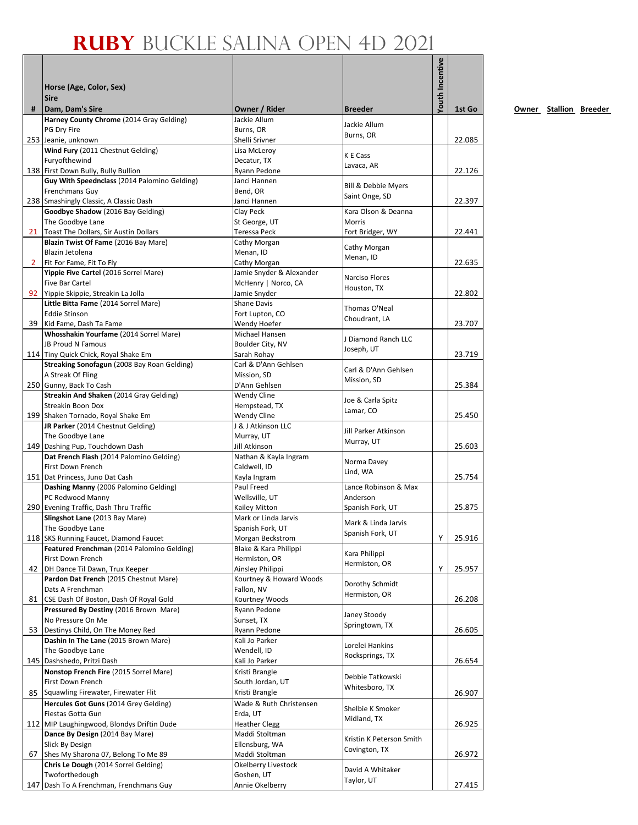|              | Horse (Age, Color, Sex)<br><b>Sire</b>                                         |                                        |                                         | <b>/outh Incentive</b> |        |
|--------------|--------------------------------------------------------------------------------|----------------------------------------|-----------------------------------------|------------------------|--------|
| #            | Dam, Dam's Sire                                                                | Owner / Rider                          | <b>Breeder</b>                          |                        | 1st Go |
|              | Harney County Chrome (2014 Gray Gelding)<br>PG Dry Fire                        | Jackie Allum<br>Burns, OR              | Jackie Allum                            |                        |        |
|              | 253 Jeanie, unknown                                                            | Shelli Srivner                         | Burns, OR                               |                        | 22.085 |
|              | Wind Fury (2011 Chestnut Gelding)                                              | Lisa McLeroy                           | K E Cass                                |                        |        |
|              | Furyofthewind                                                                  | Decatur, TX                            | Lavaca, AR                              |                        |        |
|              | 138 First Down Bully, Bully Bullion                                            | Ryann Pedone                           |                                         |                        | 22.126 |
|              | Guy With Speednclass (2014 Palomino Gelding)<br>Frenchmans Guy                 | Janci Hannen<br>Bend. OR               | Bill & Debbie Myers                     |                        |        |
|              | 238 Smashingly Classic, A Classic Dash                                         | Janci Hannen                           | Saint Onge, SD                          |                        | 22.397 |
|              | Goodbye Shadow (2016 Bay Gelding)                                              | Clay Peck                              | Kara Olson & Deanna                     |                        |        |
|              | The Goodbye Lane                                                               | St George, UT                          | Morris                                  |                        |        |
|              | 21 Toast The Dollars, Sir Austin Dollars                                       | Teressa Peck                           | Fort Bridger, WY                        |                        | 22.441 |
|              | Blazin Twist Of Fame (2016 Bay Mare)<br>Blazin Jetolena                        | Cathy Morgan<br>Menan, ID              | Cathy Morgan                            |                        |        |
| $\mathbf{2}$ | Fit For Fame, Fit To Fly                                                       | Cathy Morgan                           | Menan, ID                               |                        | 22.635 |
|              | Yippie Five Cartel (2016 Sorrel Mare)                                          | Jamie Snyder & Alexander               | Narciso Flores                          |                        |        |
|              | <b>Five Bar Cartel</b>                                                         | McHenry   Norco, CA                    | Houston, TX                             |                        |        |
|              | 92 Yippie Skippie, Streakin La Jolla                                           | Jamie Snyder                           |                                         |                        | 22.802 |
|              | Little Bitta Fame (2014 Sorrel Mare)<br><b>Eddie Stinson</b>                   | Shane Davis<br>Fort Lupton, CO         | Thomas O'Neal                           |                        |        |
|              | 39 Kid Fame, Dash Ta Fame                                                      | Wendy Hoefer                           | Choudrant, LA                           |                        | 23.707 |
|              | Whosshakin Yourfame (2014 Sorrel Mare)                                         | Michael Hansen                         |                                         |                        |        |
|              | <b>JB Proud N Famous</b>                                                       | Boulder City, NV                       | J Diamond Ranch LLC<br>Joseph, UT       |                        |        |
|              | 114 Tiny Quick Chick, Royal Shake Em                                           | Sarah Rohay                            |                                         |                        | 23.719 |
|              | Streaking Sonofagun (2008 Bay Roan Gelding)<br>A Streak Of Fling               | Carl & D'Ann Gehlsen<br>Mission, SD    | Carl & D'Ann Gehlsen                    |                        |        |
|              | 250 Gunny, Back To Cash                                                        | D'Ann Gehlsen                          | Mission, SD                             |                        | 25.384 |
|              | Streakin And Shaken (2014 Gray Gelding)                                        | <b>Wendy Cline</b>                     |                                         |                        |        |
|              | Streakin Boon Dox                                                              | Hempstead, TX                          | Joe & Carla Spitz<br>Lamar, CO          |                        |        |
|              | 199 Shaken Tornado, Royal Shake Em                                             | Wendy Cline                            |                                         |                        | 25.450 |
|              | JR Parker (2014 Chestnut Gelding)<br>The Goodbye Lane                          | J & J Atkinson LLC<br>Murray, UT       | Jill Parker Atkinson                    |                        |        |
|              | 149 Dashing Pup, Touchdown Dash                                                | Jill Atkinson                          | Murray, UT                              |                        | 25.603 |
|              | Dat French Flash (2014 Palomino Gelding)                                       | Nathan & Kayla Ingram                  |                                         |                        |        |
|              | First Down French                                                              | Caldwell, ID                           | Norma Davey<br>Lind, WA                 |                        |        |
|              | 151 Dat Princess, Juno Dat Cash                                                | Kayla Ingram                           |                                         |                        | 25.754 |
|              | Dashing Manny (2006 Palomino Gelding)<br>PC Redwood Manny                      | Paul Freed<br>Wellsville, UT           | Lance Robinson & Max<br>Anderson        |                        |        |
|              | 290 Evening Traffic, Dash Thru Traffic                                         | Kailey Mitton                          | Spanish Fork, UT                        |                        | 25.875 |
|              | Slingshot Lane (2013 Bay Mare)                                                 | Mark or Linda Jarvis                   |                                         |                        |        |
|              | The Goodbye Lane                                                               | Spanish Fork, UT                       | Mark & Linda Jarvis<br>Spanish Fork, UT |                        |        |
|              | 118 SKS Running Faucet, Diamond Faucet                                         | Morgan Beckstrom                       |                                         | Υ                      | 25.916 |
|              | Featured Frenchman (2014 Palomino Gelding)<br>First Down French                | Blake & Kara Philippi<br>Hermiston, OR | Kara Philippi                           |                        |        |
|              | 42   DH Dance Til Dawn, Trux Keeper                                            | Ainsley Philippi                       | Hermiston, OR                           | Υ                      | 25.957 |
|              | Pardon Dat French (2015 Chestnut Mare)                                         | Kourtney & Howard Woods                |                                         |                        |        |
|              | Dats A Frenchman                                                               | Fallon, NV                             | Dorothy Schmidt<br>Hermiston, OR        |                        |        |
| 81           | CSE Dash Of Boston, Dash Of Royal Gold                                         | Kourtney Woods                         |                                         |                        | 26.208 |
|              | Pressured By Destiny (2016 Brown Mare)<br>No Pressure On Me                    | Ryann Pedone<br>Sunset, TX             | Janey Stoody                            |                        |        |
|              | 53 Destinys Child, On The Money Red                                            | Ryann Pedone                           | Springtown, TX                          |                        | 26.605 |
|              | Dashin In The Lane (2015 Brown Mare)                                           | Kali Jo Parker                         |                                         |                        |        |
|              | The Goodbye Lane                                                               | Wendell, ID                            | Lorelei Hankins<br>Rocksprings, TX      |                        |        |
|              | 145 Dashshedo, Pritzi Dash                                                     | Kali Jo Parker                         |                                         |                        | 26.654 |
|              | Nonstop French Fire (2015 Sorrel Mare)                                         | Kristi Brangle                         | Debbie Tatkowski                        |                        |        |
| 85           | First Down French<br>Squawling Firewater, Firewater Flit                       | South Jordan, UT<br>Kristi Brangle     | Whitesboro, TX                          |                        | 26.907 |
|              | Hercules Got Guns (2014 Grey Gelding)                                          | Wade & Ruth Christensen                |                                         |                        |        |
|              | Fiestas Gotta Gun                                                              | Erda, UT                               | Shelbie K Smoker                        |                        |        |
|              | 112 MIP Laughingwood, Blondys Driftin Dude                                     | <b>Heather Clegg</b>                   | Midland, TX                             |                        | 26.925 |
|              | Dance By Design (2014 Bay Mare)                                                | Maddi Stoltman                         | Kristin K Peterson Smith                |                        |        |
|              | Slick By Design                                                                | Ellensburg, WA                         | Covington, TX                           |                        |        |
|              | 67 Shes My Sharona 07, Belong To Me 89<br>Chris Le Dough (2014 Sorrel Gelding) | Maddi Stoltman<br>Okelberry Livestock  |                                         |                        | 26.972 |
|              | Twoforthedough                                                                 | Goshen, UT                             | David A Whitaker                        |                        |        |
|              | 147 Dash To A Frenchman, Frenchmans Guy                                        | Annie Okelberry                        | Taylor, UT                              |                        | 27.415 |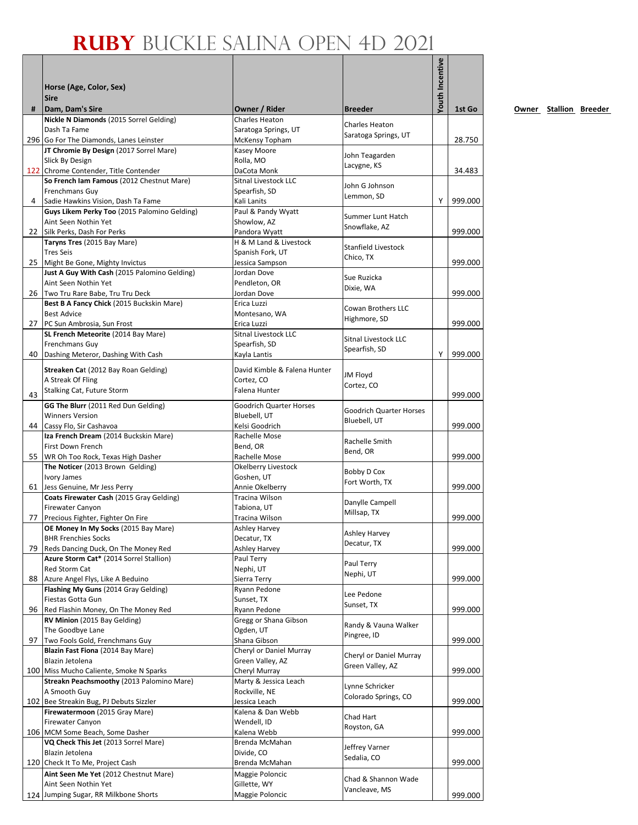|    |                                                                                |                                            |                                         | <b>/outh Incentive</b> |         |
|----|--------------------------------------------------------------------------------|--------------------------------------------|-----------------------------------------|------------------------|---------|
|    | Horse (Age, Color, Sex)                                                        |                                            |                                         |                        |         |
|    | <b>Sire</b>                                                                    |                                            |                                         |                        |         |
| #  | Dam, Dam's Sire<br>Nickle N Diamonds (2015 Sorrel Gelding)                     | Owner / Rider<br>Charles Heaton            | <b>Breeder</b>                          |                        | 1st Go  |
|    | Dash Ta Fame                                                                   | Saratoga Springs, UT                       | Charles Heaton                          |                        |         |
|    | 296 Go For The Diamonds, Lanes Leinster                                        | McKensy Topham                             | Saratoga Springs, UT                    |                        | 28.750  |
|    | JT Chromie By Design (2017 Sorrel Mare)                                        | Kasey Moore                                | John Teagarden                          |                        |         |
|    | Slick By Design<br>122 Chrome Contender, Title Contender                       | Rolla, MO<br>DaCota Monk                   | Lacygne, KS                             |                        | 34.483  |
|    | So French Iam Famous (2012 Chestnut Mare)                                      | Sitnal Livestock LLC                       |                                         |                        |         |
|    | Frenchmans Guy                                                                 | Spearfish, SD                              | John G Johnson<br>Lemmon, SD            |                        |         |
| 4  | Sadie Hawkins Vision, Dash Ta Fame                                             | Kali Lanits                                |                                         | Y                      | 999.000 |
|    | Guys Likem Perky Too (2015 Palomino Gelding)                                   | Paul & Pandy Wyatt                         | Summer Lunt Hatch                       |                        |         |
| 22 | Aint Seen Nothin Yet<br>Silk Perks, Dash For Perks                             | Showlow, AZ<br>Pandora Wyatt               | Snowflake, AZ                           |                        | 999.000 |
|    | Taryns Tres (2015 Bay Mare)                                                    | H & M Land & Livestock                     |                                         |                        |         |
|    | <b>Tres Seis</b>                                                               | Spanish Fork, UT                           | Stanfield Livestock<br>Chico, TX        |                        |         |
|    | 25 Might Be Gone, Mighty Invictus                                              | Jessica Sampson                            |                                         |                        | 999.000 |
|    | Just A Guy With Cash (2015 Palomino Gelding)                                   | Jordan Dove                                | Sue Ruzicka                             |                        |         |
|    | Aint Seen Nothin Yet<br>26 Two Tru Rare Babe, Tru Tru Deck                     | Pendleton, OR<br>Jordan Dove               | Dixie, WA                               |                        | 999.000 |
|    | Best B A Fancy Chick (2015 Buckskin Mare)                                      | Erica Luzzi                                |                                         |                        |         |
|    | <b>Best Advice</b>                                                             | Montesano, WA                              | Cowan Brothers LLC<br>Highmore, SD      |                        |         |
|    | 27 PC Sun Ambrosia, Sun Frost                                                  | Erica Luzzi                                |                                         |                        | 999.000 |
|    | SL French Meteorite (2014 Bay Mare)                                            | <b>Sitnal Livestock LLC</b>                | <b>Sitnal Livestock LLC</b>             |                        |         |
| 40 | Frenchmans Guy<br>Dashing Meteror, Dashing With Cash                           | Spearfish, SD<br>Kayla Lantis              | Spearfish, SD                           | Y                      | 999.000 |
|    |                                                                                |                                            |                                         |                        |         |
|    | Streaken Cat (2012 Bay Roan Gelding)<br>A Streak Of Fling                      | David Kimble & Falena Hunter<br>Cortez, CO | JM Floyd                                |                        |         |
|    | Stalking Cat, Future Storm                                                     | Falena Hunter                              | Cortez, CO                              |                        |         |
| 43 | GG The Blurr (2011 Red Dun Gelding)                                            | Goodrich Quarter Horses                    |                                         |                        | 999.000 |
|    | <b>Winners Version</b>                                                         | Bluebell, UT                               | Goodrich Quarter Horses                 |                        |         |
|    | 44 Cassy Flo, Sir Cashavoa                                                     | Kelsi Goodrich                             | Bluebell, UT                            |                        | 999.000 |
|    | Iza French Dream (2014 Buckskin Mare)                                          | Rachelle Mose                              | Rachelle Smith                          |                        |         |
|    | First Down French<br>55 WR Oh Too Rock, Texas High Dasher                      | Bend, OR<br>Rachelle Mose                  | Bend, OR                                |                        | 999.000 |
|    | The Noticer (2013 Brown Gelding)                                               | Okelberry Livestock                        |                                         |                        |         |
|    | Ivory James                                                                    | Goshen, UT                                 | Bobby D Cox<br>Fort Worth, TX           |                        |         |
| 61 | Jess Genuine, Mr Jess Perry                                                    | Annie Okelberry                            |                                         |                        | 999.000 |
|    | Coats Firewater Cash (2015 Gray Gelding)<br><b>Firewater Canyon</b>            | Tracina Wilson<br>Tabiona. UT              | Danylle Campell                         |                        |         |
| 77 | Precious Fighter, Fighter On Fire                                              | Tracina Wilson                             | Millsap, TX                             |                        | 999.000 |
|    | <b>OE Money In My Socks</b> (2015 Bay Mare)                                    | Ashley Harvey                              | <b>Ashley Harvey</b>                    |                        |         |
|    | <b>BHR Frenchies Socks</b>                                                     | Decatur, TX                                | Decatur, TX                             |                        |         |
| 79 | Reds Dancing Duck, On The Money Red<br>Azure Storm Cat* (2014 Sorrel Stallion) | <b>Ashley Harvey</b><br>Paul Terry         |                                         |                        | 999.000 |
|    | Red Storm Cat                                                                  | Nephi, UT                                  | Paul Terry                              |                        |         |
| 88 | Azure Angel Flys, Like A Beduino                                               | Sierra Terry                               | Nephi, UT                               |                        | 999.000 |
|    | Flashing My Guns (2014 Gray Gelding)                                           | Ryann Pedone                               | Lee Pedone                              |                        |         |
|    | Fiestas Gotta Gun                                                              | Sunset, TX                                 | Sunset, TX                              |                        |         |
| 96 | Red Flashin Money, On The Money Red<br>RV Minion (2015 Bay Gelding)            | Ryann Pedone<br>Gregg or Shana Gibson      |                                         |                        | 999.000 |
|    | The Goodbye Lane                                                               | Ogden, UT                                  | Randy & Vauna Walker                    |                        |         |
| 97 | Two Fools Gold, Frenchmans Guy                                                 | Shana Gibson                               | Pingree, ID                             |                        | 999.000 |
|    | <b>Blazin Fast Fiona (2014 Bay Mare)</b>                                       | Cheryl or Daniel Murray                    | Cheryl or Daniel Murray                 |                        |         |
|    | Blazin Jetolena<br>100 Miss Mucho Caliente, Smoke N Sparks                     | Green Valley, AZ<br>Cheryl Murray          | Green Valley, AZ                        |                        | 999.000 |
|    | Streakn Peachsmoothy (2013 Palomino Mare)                                      | Marty & Jessica Leach                      |                                         |                        |         |
|    | A Smooth Guy                                                                   | Rockville, NE                              | Lynne Schricker<br>Colorado Springs, CO |                        |         |
|    | 102 Bee Streakin Bug, PJ Debuts Sizzler                                        | Jessica Leach                              |                                         |                        | 999.000 |
|    | Firewatermoon (2015 Gray Mare)<br><b>Firewater Canyon</b>                      | Kalena & Dan Webb<br>Wendell, ID           | Chad Hart                               |                        |         |
|    | 106 MCM Some Beach, Some Dasher                                                | Kalena Webb                                | Royston, GA                             |                        | 999.000 |
|    | VQ Check This Jet (2013 Sorrel Mare)                                           | Brenda McMahan                             | Jeffrey Varner                          |                        |         |
|    | Blazin Jetolena                                                                | Divide, CO                                 | Sedalia, CO                             |                        |         |
|    | 120 Check It To Me, Project Cash                                               | Brenda McMahan                             |                                         |                        | 999.000 |
|    | Aint Seen Me Yet (2012 Chestnut Mare)<br>Aint Seen Nothin Yet                  | Maggie Poloncic<br>Gillette, WY            | Chad & Shannon Wade                     |                        |         |
|    | 124 Jumping Sugar, RR Milkbone Shorts                                          | Maggie Poloncic                            | Vancleave, MS                           |                        | 999.000 |
|    |                                                                                |                                            |                                         |                        |         |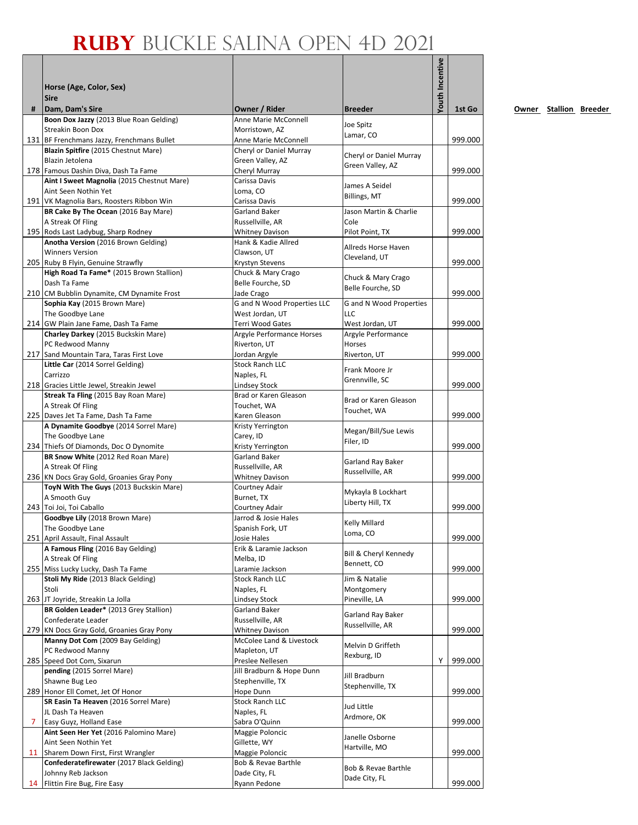|    | Horse (Age, Color, Sex)<br><b>Sire</b>                                             |                                                  |                                      | Youth Incentive |         |
|----|------------------------------------------------------------------------------------|--------------------------------------------------|--------------------------------------|-----------------|---------|
| #  | Dam, Dam's Sire<br>Boon Dox Jazzy (2013 Blue Roan Gelding)                         | Owner / Rider<br>Anne Marie McConnell            | <b>Breeder</b>                       |                 | 1st Go  |
|    | Streakin Boon Dox                                                                  | Morristown, AZ                                   | Joe Spitz                            |                 |         |
|    | 131 BF Frenchmans Jazzy, Frenchmans Bullet                                         | Anne Marie McConnell                             | Lamar, CO                            |                 | 999.000 |
|    | Blazin Spitfire (2015 Chestnut Mare)                                               | Cheryl or Daniel Murray                          | Cheryl or Daniel Murray              |                 |         |
|    | Blazin Jetolena                                                                    | Green Valley, AZ                                 | Green Valley, AZ                     |                 |         |
|    | 178 Famous Dashin Diva, Dash Ta Fame<br>Aint I Sweet Magnolia (2015 Chestnut Mare) | Cheryl Murray<br>Carissa Davis                   |                                      |                 | 999.000 |
|    | Aint Seen Nothin Yet                                                               | Loma, CO                                         | James A Seidel                       |                 |         |
|    | 191 VK Magnolia Bars, Roosters Ribbon Win                                          | Carissa Davis                                    | Billings, MT                         |                 | 999.000 |
|    | BR Cake By The Ocean (2016 Bay Mare)                                               | Garland Baker                                    | Jason Martin & Charlie               |                 |         |
|    | A Streak Of Fling                                                                  | Russellville, AR                                 | Cole                                 |                 |         |
|    | 195 Rods Last Ladybug, Sharp Rodney<br>Anotha Version (2016 Brown Gelding)         | <b>Whitney Davison</b><br>Hank & Kadie Allred    | Pilot Point, TX                      |                 | 999.000 |
|    | <b>Winners Version</b>                                                             | Clawson, UT                                      | Allreds Horse Haven                  |                 |         |
|    | 205 Ruby B Flyin, Genuine Strawfly                                                 | Krystyn Stevens                                  | Cleveland, UT                        |                 | 999.000 |
|    | High Road Ta Fame* (2015 Brown Stallion)                                           | Chuck & Mary Crago                               | Chuck & Mary Crago                   |                 |         |
|    | Dash Ta Fame                                                                       | Belle Fourche, SD                                | Belle Fourche, SD                    |                 |         |
|    | 210 CM Bubblin Dynamite, CM Dynamite Frost                                         | Jade Crago<br><b>G</b> and N Wood Properties LLC |                                      |                 | 999.000 |
|    | Sophia Kay (2015 Brown Mare)<br>The Goodbye Lane                                   | West Jordan, UT                                  | G and N Wood Properties<br>LLC       |                 |         |
|    | 214 GW Plain Jane Fame, Dash Ta Fame                                               | Terri Wood Gates                                 | West Jordan, UT                      |                 | 999.000 |
|    | Charley Darkey (2015 Buckskin Mare)                                                | Argyle Performance Horses                        | Argyle Performance                   |                 |         |
|    | PC Redwood Manny                                                                   | Riverton, UT                                     | Horses                               |                 |         |
|    | 217 Sand Mountain Tara, Taras First Love                                           | Jordan Argyle                                    | Riverton, UT                         |                 | 999.000 |
|    | Little Car (2014 Sorrel Gelding)<br>Carrizzo                                       | <b>Stock Ranch LLC</b><br>Naples, FL             | Frank Moore Jr                       |                 |         |
|    | 218 Gracies Little Jewel, Streakin Jewel                                           | Lindsey Stock                                    | Grennville, SC                       |                 | 999.000 |
|    | Streak Ta Fling (2015 Bay Roan Mare)                                               | Brad or Karen Gleason                            |                                      |                 |         |
|    | A Streak Of Fling                                                                  | Touchet, WA                                      | Brad or Karen Gleason<br>Touchet, WA |                 |         |
|    | 225 Daves Jet Ta Fame, Dash Ta Fame                                                | Karen Gleason                                    |                                      |                 | 999.000 |
|    | A Dynamite Goodbye (2014 Sorrel Mare)<br>The Goodbye Lane                          | Kristy Yerrington<br>Carey, ID                   | Megan/Bill/Sue Lewis                 |                 |         |
|    | 234 Thiefs Of Diamonds, Doc O Dynomite                                             | Kristy Yerrington                                | Filer, ID                            |                 | 999.000 |
|    | BR Snow White (2012 Red Roan Mare)                                                 | <b>Garland Baker</b>                             | Garland Ray Baker                    |                 |         |
|    | A Streak Of Fling                                                                  | Russellville, AR                                 | Russellville, AR                     |                 |         |
|    | 236 KN Docs Gray Gold, Groanies Gray Pony                                          | <b>Whitney Davison</b>                           |                                      |                 | 999.000 |
|    | ToyN With The Guys (2013 Buckskin Mare)<br>A Smooth Guy                            | Courtney Adair<br>Burnet, TX                     | Mykayla B Lockhart                   |                 |         |
|    | 243 Toi Joi, Toi Caballo                                                           | Courtney Adair                                   | Liberty Hill, TX                     |                 | 999.000 |
|    | Goodbye Lily (2018 Brown Mare)                                                     | Jarrod & Josie Hales                             | <b>Kelly Millard</b>                 |                 |         |
|    | The Goodbye Lane                                                                   | Spanish Fork, UT                                 | Loma, CO                             |                 |         |
|    | 251 April Assault, Final Assault                                                   | Josie Hales                                      |                                      |                 | 999.000 |
|    | A Famous Fling (2016 Bay Gelding)<br>A Streak Of Fling                             | Erik & Laramie Jackson<br>Melba, ID              | Bill & Cheryl Kennedy                |                 |         |
|    | 255 Miss Lucky Lucky, Dash Ta Fame                                                 | Laramie Jackson                                  | Bennett, CO                          |                 | 999.000 |
|    | Stoli My Ride (2013 Black Gelding)                                                 | <b>Stock Ranch LLC</b>                           | Jim & Natalie                        |                 |         |
|    | Stoli                                                                              | Naples, FL                                       | Montgomery                           |                 |         |
|    | 263 JT Joyride, Streakin La Jolla                                                  | Lindsey Stock                                    | Pineville, LA                        |                 | 999.000 |
|    | BR Golden Leader* (2013 Grey Stallion)<br>Confederate Leader                       | Garland Baker<br>Russellville, AR                | Garland Ray Baker                    |                 |         |
|    | 279 KN Docs Gray Gold, Groanies Gray Pony                                          | <b>Whitney Davison</b>                           | Russellville, AR                     |                 | 999.000 |
|    | Manny Dot Com (2009 Bay Gelding)                                                   | McColee Land & Livestock                         | Melvin D Griffeth                    |                 |         |
|    | PC Redwood Manny                                                                   | Mapleton, UT                                     | Rexburg, ID                          |                 |         |
|    | 285 Speed Dot Com, Sixarun                                                         | Preslee Nellesen                                 |                                      | Υ               | 999.000 |
|    | pending (2015 Sorrel Mare)<br>Shawne Bug Leo                                       | Jill Bradburn & Hope Dunn<br>Stephenville, TX    | Jill Bradburn                        |                 |         |
|    | 289 Honor Ell Comet, Jet Of Honor                                                  | Hope Dunn                                        | Stephenville, TX                     |                 | 999.000 |
|    | SR Easin Ta Heaven (2016 Sorrel Mare)                                              | <b>Stock Ranch LLC</b>                           |                                      |                 |         |
|    | JL Dash Ta Heaven                                                                  | Naples, FL                                       | Jud Little<br>Ardmore, OK            |                 |         |
| 7  | Easy Guyz, Holland Ease                                                            | Sabra O'Quinn                                    |                                      |                 | 999.000 |
|    | Aint Seen Her Yet (2016 Palomino Mare)                                             | Maggie Poloncic                                  | Janelle Osborne                      |                 |         |
| 11 | Aint Seen Nothin Yet<br>Sharem Down First, First Wrangler                          | Gillette, WY<br>Maggie Poloncic                  | Hartville, MO                        |                 | 999.000 |
|    | Confederatefirewater (2017 Black Gelding)                                          | Bob & Revae Barthle                              |                                      |                 |         |
|    | Johnny Reb Jackson                                                                 | Dade City, FL                                    | Bob & Revae Barthle                  |                 |         |
|    | 14 Flittin Fire Bug, Fire Easy                                                     | Ryann Pedone                                     | Dade City, FL                        |                 | 999.000 |